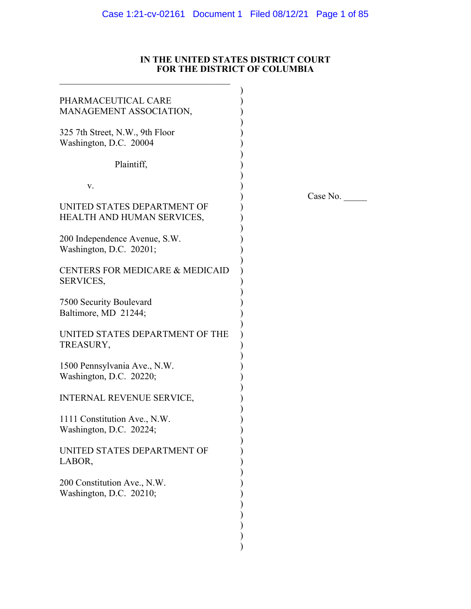### **IN THE UNITED STATES DISTRICT COURT FOR THE DISTRICT OF COLUMBIA**

| PHARMACEUTICAL CARE<br>MANAGEMENT ASSOCIATION,            |          |
|-----------------------------------------------------------|----------|
| 325 7th Street, N.W., 9th Floor<br>Washington, D.C. 20004 |          |
| Plaintiff,                                                |          |
| V.                                                        | Case No. |
| UNITED STATES DEPARTMENT OF<br>HEALTH AND HUMAN SERVICES, |          |
| 200 Independence Avenue, S.W.<br>Washington, D.C. 20201;  |          |
| CENTERS FOR MEDICARE & MEDICAID<br>SERVICES,              |          |
| 7500 Security Boulevard<br>Baltimore, MD 21244;           |          |
| UNITED STATES DEPARTMENT OF THE<br>TREASURY,              |          |
| 1500 Pennsylvania Ave., N.W.<br>Washington, D.C. 20220;   |          |
| <b>INTERNAL REVENUE SERVICE,</b>                          |          |
| 1111 Constitution Ave., N.W.<br>Washington, D.C. 20224;   |          |
| UNITED STATES DEPARTMENT OF<br>LABOR,                     |          |
| 200 Constitution Ave., N.W.<br>Washington, D.C. 20210;    |          |
|                                                           |          |
|                                                           |          |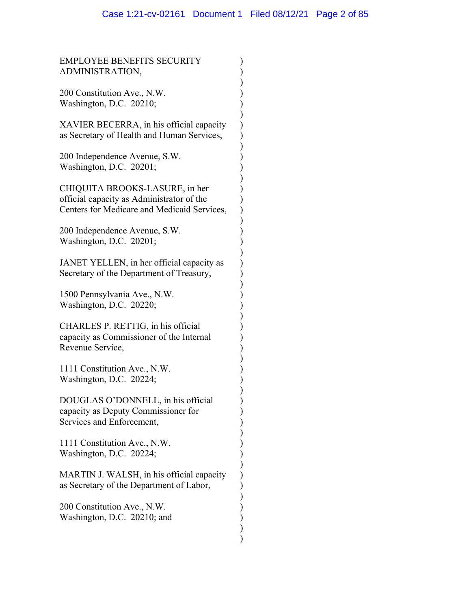) ) ) ) ) ) ) ) ) ) ) ) ) ) ) ) ) ) ) ) ) ) ) ) ) ) ) ) ) ) ) ) ) ) ) ) ) ) ) ) ) ) ) ) ) )

EMPLOYEE BENEFITS SECURITY ADMINISTRATION,

200 Constitution Ave., N.W. Washington, D.C. 20210;

XAVIER BECERRA, in his official capacity as Secretary of Health and Human Services,

200 Independence Avenue, S.W. Washington, D.C. 20201;

CHIQUITA BROOKS-LASURE, in her official capacity as Administrator of the Centers for Medicare and Medicaid Services,

200 Independence Avenue, S.W. Washington, D.C. 20201;

JANET YELLEN, in her official capacity as Secretary of the Department of Treasury,

1500 Pennsylvania Ave., N.W. Washington, D.C. 20220;

CHARLES P. RETTIG, in his official capacity as Commissioner of the Internal Revenue Service,

1111 Constitution Ave., N.W. Washington, D.C. 20224;

DOUGLAS O'DONNELL, in his official capacity as Deputy Commissioner for Services and Enforcement,

1111 Constitution Ave., N.W. Washington, D.C. 20224;

MARTIN J. WALSH, in his official capacity as Secretary of the Department of Labor,

200 Constitution Ave., N.W. Washington, D.C. 20210; and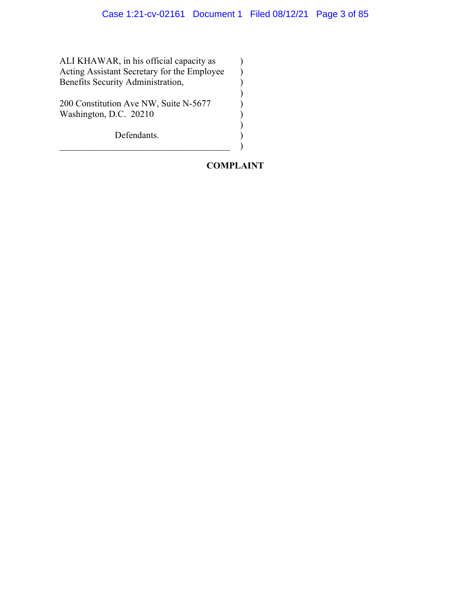$\mathcal{L}$ ) ) ) ) ) ) ) )

ALI KHAWAR, in his official capacity as Acting Assistant Secretary for the Employee Benefits Security Administration,

200 Constitution Ave NW, Suite N-5677 Washington, D.C. 20210

Defendants.

# **COMPLAINT**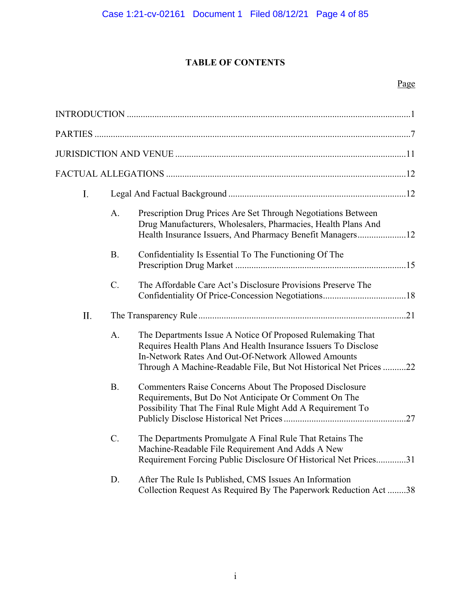# **TABLE OF CONTENTS**

# Page

| I.  |             |                                                                                                                                                                                                                                                          |  |  |
|-----|-------------|----------------------------------------------------------------------------------------------------------------------------------------------------------------------------------------------------------------------------------------------------------|--|--|
|     | A.          | Prescription Drug Prices Are Set Through Negotiations Between<br>Drug Manufacturers, Wholesalers, Pharmacies, Health Plans And<br>Health Insurance Issuers, And Pharmacy Benefit Managers12                                                              |  |  |
|     | <b>B.</b>   | Confidentiality Is Essential To The Functioning Of The                                                                                                                                                                                                   |  |  |
|     | $C_{\cdot}$ | The Affordable Care Act's Disclosure Provisions Preserve The                                                                                                                                                                                             |  |  |
| II. |             |                                                                                                                                                                                                                                                          |  |  |
|     | A.          | The Departments Issue A Notice Of Proposed Rulemaking That<br>Requires Health Plans And Health Insurance Issuers To Disclose<br>In-Network Rates And Out-Of-Network Allowed Amounts<br>Through A Machine-Readable File, But Not Historical Net Prices 22 |  |  |
|     | <b>B.</b>   | Commenters Raise Concerns About The Proposed Disclosure<br>Requirements, But Do Not Anticipate Or Comment On The<br>Possibility That The Final Rule Might Add A Requirement To                                                                           |  |  |
|     | C.          | The Departments Promulgate A Final Rule That Retains The<br>Machine-Readable File Requirement And Adds A New<br>Requirement Forcing Public Disclosure Of Historical Net Prices31                                                                         |  |  |
|     | D.          | After The Rule Is Published, CMS Issues An Information<br>Collection Request As Required By The Paperwork Reduction Act38                                                                                                                                |  |  |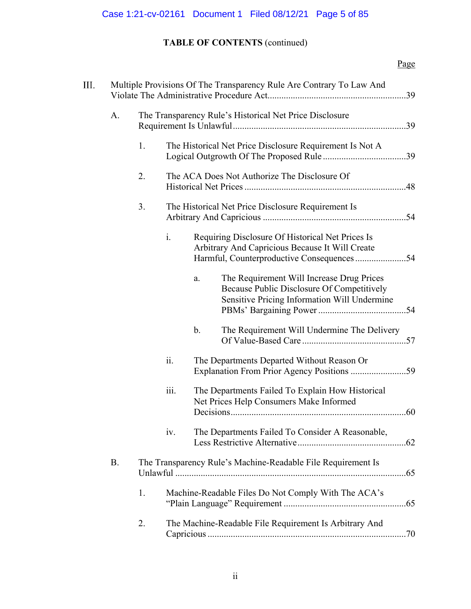# **TABLE OF CONTENTS** (continued)

# Page

| III. |           | Multiple Provisions Of The Transparency Rule Are Contrary To Law And |      |                |                                                                                                                                         |  |
|------|-----------|----------------------------------------------------------------------|------|----------------|-----------------------------------------------------------------------------------------------------------------------------------------|--|
|      | A.        | The Transparency Rule's Historical Net Price Disclosure              |      |                |                                                                                                                                         |  |
|      |           | The Historical Net Price Disclosure Requirement Is Not A<br>1.       |      |                |                                                                                                                                         |  |
|      |           | 2.                                                                   |      |                | The ACA Does Not Authorize The Disclosure Of                                                                                            |  |
|      |           | 3.                                                                   |      |                | The Historical Net Price Disclosure Requirement Is                                                                                      |  |
|      |           |                                                                      | i.   |                | Requiring Disclosure Of Historical Net Prices Is<br>Arbitrary And Capricious Because It Will Create                                     |  |
|      |           |                                                                      |      | a.             | The Requirement Will Increase Drug Prices<br>Because Public Disclosure Of Competitively<br>Sensitive Pricing Information Will Undermine |  |
|      |           |                                                                      |      | $\mathbf{b}$ . | The Requirement Will Undermine The Delivery                                                                                             |  |
|      |           |                                                                      | ii.  |                | The Departments Departed Without Reason Or                                                                                              |  |
|      |           |                                                                      | iii. |                | The Departments Failed To Explain How Historical<br>Net Prices Help Consumers Make Informed                                             |  |
|      |           |                                                                      | iv.  |                | The Departments Failed To Consider A Reasonable,                                                                                        |  |
|      | <b>B.</b> |                                                                      |      |                | The Transparency Rule's Machine-Readable File Requirement Is                                                                            |  |
|      |           | 1.                                                                   |      |                | Machine-Readable Files Do Not Comply With The ACA's                                                                                     |  |
|      |           | 2.                                                                   |      |                | The Machine-Readable File Requirement Is Arbitrary And                                                                                  |  |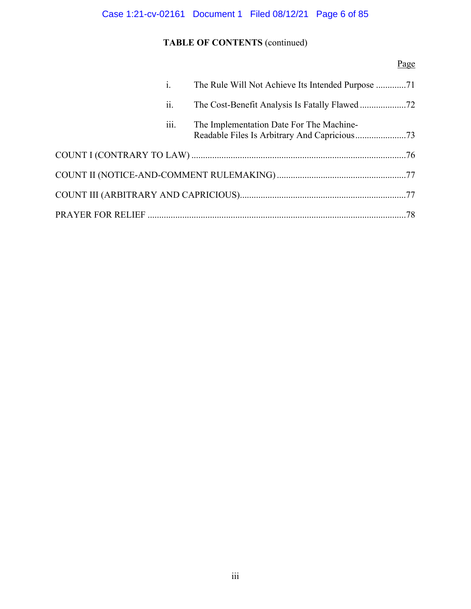# Case 1:21-cv-02161 Document 1 Filed 08/12/21 Page 6 of 85

# **TABLE OF CONTENTS** (continued)

# Page

|  | $\mathbf{i}$ .   |                                          |  |
|--|------------------|------------------------------------------|--|
|  | ii.              |                                          |  |
|  | $\cdots$<br>111. | The Implementation Date For The Machine- |  |
|  |                  |                                          |  |
|  |                  |                                          |  |
|  |                  |                                          |  |
|  |                  |                                          |  |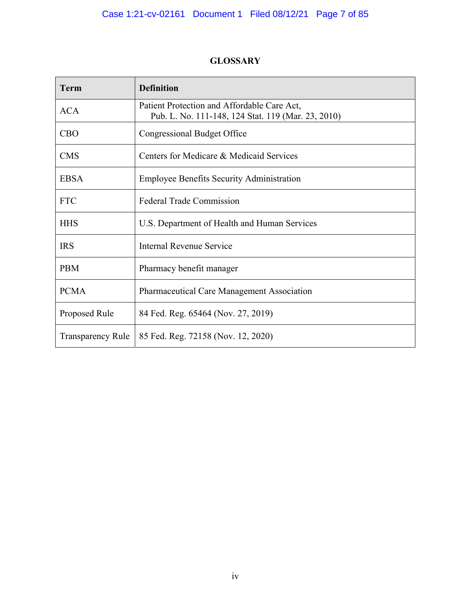# **GLOSSARY**

| <b>Term</b>              | <b>Definition</b>                                                                                 |
|--------------------------|---------------------------------------------------------------------------------------------------|
| <b>ACA</b>               | Patient Protection and Affordable Care Act,<br>Pub. L. No. 111-148, 124 Stat. 119 (Mar. 23, 2010) |
| <b>CBO</b>               | <b>Congressional Budget Office</b>                                                                |
| <b>CMS</b>               | Centers for Medicare & Medicaid Services                                                          |
| <b>EBSA</b>              | <b>Employee Benefits Security Administration</b>                                                  |
| <b>FTC</b>               | <b>Federal Trade Commission</b>                                                                   |
| <b>HHS</b>               | U.S. Department of Health and Human Services                                                      |
| <b>IRS</b>               | Internal Revenue Service                                                                          |
| <b>PBM</b>               | Pharmacy benefit manager                                                                          |
| <b>PCMA</b>              | Pharmaceutical Care Management Association                                                        |
| Proposed Rule            | 84 Fed. Reg. 65464 (Nov. 27, 2019)                                                                |
| <b>Transparency Rule</b> | 85 Fed. Reg. 72158 (Nov. 12, 2020)                                                                |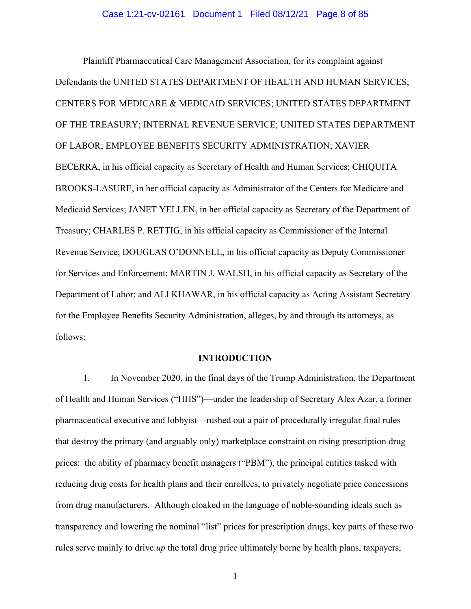Plaintiff Pharmaceutical Care Management Association, for its complaint against Defendants the UNITED STATES DEPARTMENT OF HEALTH AND HUMAN SERVICES; CENTERS FOR MEDICARE & MEDICAID SERVICES; UNITED STATES DEPARTMENT OF THE TREASURY; INTERNAL REVENUE SERVICE; UNITED STATES DEPARTMENT OF LABOR; EMPLOYEE BENEFITS SECURITY ADMINISTRATION; XAVIER BECERRA, in his official capacity as Secretary of Health and Human Services; CHIQUITA BROOKS-LASURE, in her official capacity as Administrator of the Centers for Medicare and Medicaid Services; JANET YELLEN, in her official capacity as Secretary of the Department of Treasury; CHARLES P. RETTIG, in his official capacity as Commissioner of the Internal Revenue Service; DOUGLAS O'DONNELL, in his official capacity as Deputy Commissioner for Services and Enforcement; MARTIN J. WALSH, in his official capacity as Secretary of the Department of Labor; and ALI KHAWAR, in his official capacity as Acting Assistant Secretary for the Employee Benefits Security Administration, alleges, by and through its attorneys, as follows:

### **INTRODUCTION**

1. In November 2020, in the final days of the Trump Administration, the Department of Health and Human Services ("HHS")—under the leadership of Secretary Alex Azar, a former pharmaceutical executive and lobbyist—rushed out a pair of procedurally irregular final rules that destroy the primary (and arguably only) marketplace constraint on rising prescription drug prices: the ability of pharmacy benefit managers ("PBM"), the principal entities tasked with reducing drug costs for health plans and their enrollees, to privately negotiate price concessions from drug manufacturers. Although cloaked in the language of noble-sounding ideals such as transparency and lowering the nominal "list" prices for prescription drugs, key parts of these two rules serve mainly to drive *up* the total drug price ultimately borne by health plans, taxpayers,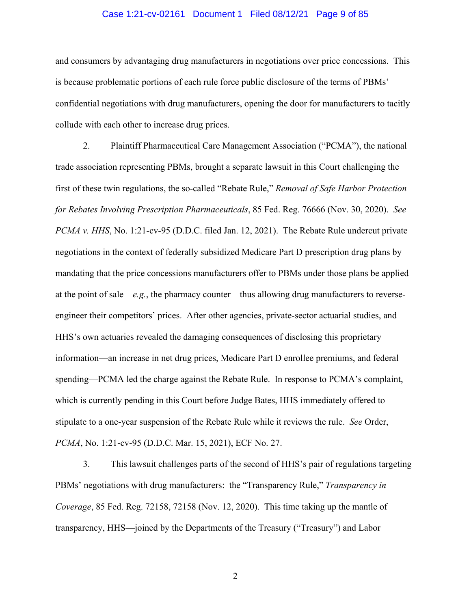### Case 1:21-cv-02161 Document 1 Filed 08/12/21 Page 9 of 85

and consumers by advantaging drug manufacturers in negotiations over price concessions. This is because problematic portions of each rule force public disclosure of the terms of PBMs' confidential negotiations with drug manufacturers, opening the door for manufacturers to tacitly collude with each other to increase drug prices.

2. Plaintiff Pharmaceutical Care Management Association ("PCMA"), the national trade association representing PBMs, brought a separate lawsuit in this Court challenging the first of these twin regulations, the so-called "Rebate Rule," *Removal of Safe Harbor Protection for Rebates Involving Prescription Pharmaceuticals*, 85 Fed. Reg. 76666 (Nov. 30, 2020). *See PCMA v. HHS*, No. 1:21-cv-95 (D.D.C. filed Jan. 12, 2021). The Rebate Rule undercut private negotiations in the context of federally subsidized Medicare Part D prescription drug plans by mandating that the price concessions manufacturers offer to PBMs under those plans be applied at the point of sale— $e.g.,$  the pharmacy counter—thus allowing drug manufacturers to reverseengineer their competitors' prices. After other agencies, private-sector actuarial studies, and HHS's own actuaries revealed the damaging consequences of disclosing this proprietary information—an increase in net drug prices, Medicare Part D enrollee premiums, and federal spending—PCMA led the charge against the Rebate Rule. In response to PCMA's complaint, which is currently pending in this Court before Judge Bates, HHS immediately offered to stipulate to a one-year suspension of the Rebate Rule while it reviews the rule. *See* Order, *PCMA*, No. 1:21-cv-95 (D.D.C. Mar. 15, 2021), ECF No. 27.

3. This lawsuit challenges parts of the second of HHS's pair of regulations targeting PBMs' negotiations with drug manufacturers: the "Transparency Rule," *Transparency in Coverage*, 85 Fed. Reg. 72158, 72158 (Nov. 12, 2020). This time taking up the mantle of transparency, HHS—joined by the Departments of the Treasury ("Treasury") and Labor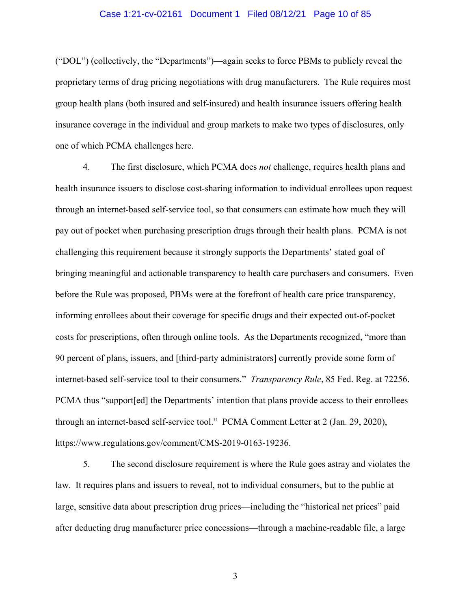### Case 1:21-cv-02161 Document 1 Filed 08/12/21 Page 10 of 85

("DOL") (collectively, the "Departments")—again seeks to force PBMs to publicly reveal the proprietary terms of drug pricing negotiations with drug manufacturers. The Rule requires most group health plans (both insured and self-insured) and health insurance issuers offering health insurance coverage in the individual and group markets to make two types of disclosures, only one of which PCMA challenges here.

4. The first disclosure, which PCMA does *not* challenge, requires health plans and health insurance issuers to disclose cost-sharing information to individual enrollees upon request through an internet-based self-service tool, so that consumers can estimate how much they will pay out of pocket when purchasing prescription drugs through their health plans. PCMA is not challenging this requirement because it strongly supports the Departments' stated goal of bringing meaningful and actionable transparency to health care purchasers and consumers. Even before the Rule was proposed, PBMs were at the forefront of health care price transparency, informing enrollees about their coverage for specific drugs and their expected out-of-pocket costs for prescriptions, often through online tools. As the Departments recognized, "more than 90 percent of plans, issuers, and [third-party administrators] currently provide some form of internet-based self-service tool to their consumers." *Transparency Rule*, 85 Fed. Reg. at 72256. PCMA thus "support[ed] the Departments' intention that plans provide access to their enrollees through an internet-based self-service tool." PCMA Comment Letter at 2 (Jan. 29, 2020), https://www.regulations.gov/comment/CMS-2019-0163-19236.

5. The second disclosure requirement is where the Rule goes astray and violates the law. It requires plans and issuers to reveal, not to individual consumers, but to the public at large, sensitive data about prescription drug prices—including the "historical net prices" paid after deducting drug manufacturer price concessions—through a machine-readable file, a large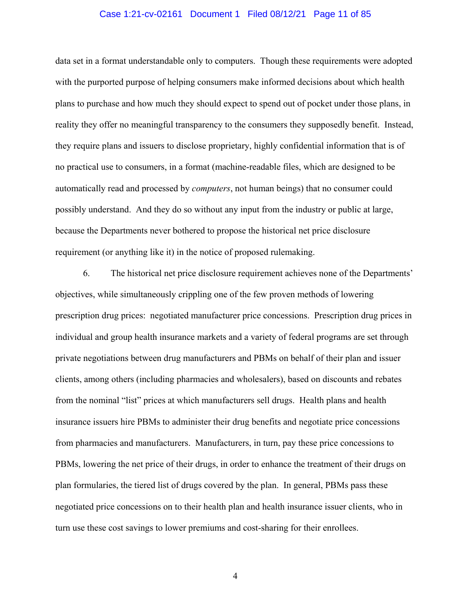### Case 1:21-cv-02161 Document 1 Filed 08/12/21 Page 11 of 85

data set in a format understandable only to computers. Though these requirements were adopted with the purported purpose of helping consumers make informed decisions about which health plans to purchase and how much they should expect to spend out of pocket under those plans, in reality they offer no meaningful transparency to the consumers they supposedly benefit. Instead, they require plans and issuers to disclose proprietary, highly confidential information that is of no practical use to consumers, in a format (machine-readable files, which are designed to be automatically read and processed by *computers*, not human beings) that no consumer could possibly understand. And they do so without any input from the industry or public at large, because the Departments never bothered to propose the historical net price disclosure requirement (or anything like it) in the notice of proposed rulemaking.

6. The historical net price disclosure requirement achieves none of the Departments' objectives, while simultaneously crippling one of the few proven methods of lowering prescription drug prices: negotiated manufacturer price concessions. Prescription drug prices in individual and group health insurance markets and a variety of federal programs are set through private negotiations between drug manufacturers and PBMs on behalf of their plan and issuer clients, among others (including pharmacies and wholesalers), based on discounts and rebates from the nominal "list" prices at which manufacturers sell drugs. Health plans and health insurance issuers hire PBMs to administer their drug benefits and negotiate price concessions from pharmacies and manufacturers. Manufacturers, in turn, pay these price concessions to PBMs, lowering the net price of their drugs, in order to enhance the treatment of their drugs on plan formularies, the tiered list of drugs covered by the plan. In general, PBMs pass these negotiated price concessions on to their health plan and health insurance issuer clients, who in turn use these cost savings to lower premiums and cost-sharing for their enrollees.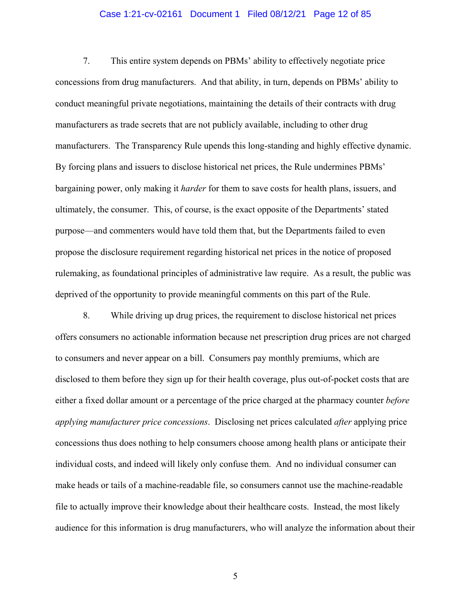### Case 1:21-cv-02161 Document 1 Filed 08/12/21 Page 12 of 85

7. This entire system depends on PBMs' ability to effectively negotiate price concessions from drug manufacturers. And that ability, in turn, depends on PBMs' ability to conduct meaningful private negotiations, maintaining the details of their contracts with drug manufacturers as trade secrets that are not publicly available, including to other drug manufacturers. The Transparency Rule upends this long-standing and highly effective dynamic. By forcing plans and issuers to disclose historical net prices, the Rule undermines PBMs' bargaining power, only making it *harder* for them to save costs for health plans, issuers, and ultimately, the consumer. This, of course, is the exact opposite of the Departments' stated purpose—and commenters would have told them that, but the Departments failed to even propose the disclosure requirement regarding historical net prices in the notice of proposed rulemaking, as foundational principles of administrative law require. As a result, the public was deprived of the opportunity to provide meaningful comments on this part of the Rule.

8. While driving up drug prices, the requirement to disclose historical net prices offers consumers no actionable information because net prescription drug prices are not charged to consumers and never appear on a bill. Consumers pay monthly premiums, which are disclosed to them before they sign up for their health coverage, plus out-of-pocket costs that are either a fixed dollar amount or a percentage of the price charged at the pharmacy counter *before applying manufacturer price concessions*. Disclosing net prices calculated *after* applying price concessions thus does nothing to help consumers choose among health plans or anticipate their individual costs, and indeed will likely only confuse them. And no individual consumer can make heads or tails of a machine-readable file, so consumers cannot use the machine-readable file to actually improve their knowledge about their healthcare costs. Instead, the most likely audience for this information is drug manufacturers, who will analyze the information about their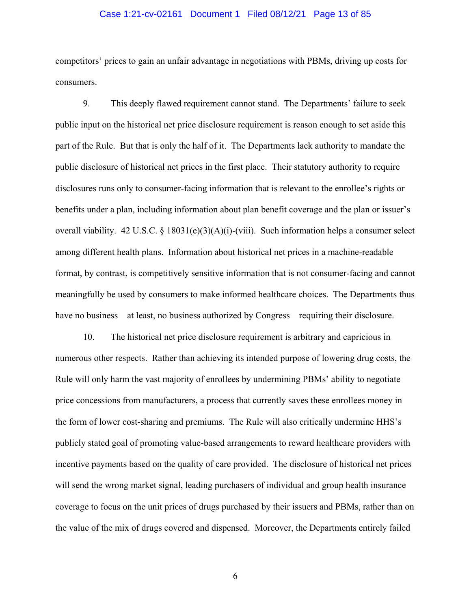### Case 1:21-cv-02161 Document 1 Filed 08/12/21 Page 13 of 85

competitors' prices to gain an unfair advantage in negotiations with PBMs, driving up costs for consumers.

9. This deeply flawed requirement cannot stand. The Departments' failure to seek public input on the historical net price disclosure requirement is reason enough to set aside this part of the Rule. But that is only the half of it. The Departments lack authority to mandate the public disclosure of historical net prices in the first place. Their statutory authority to require disclosures runs only to consumer-facing information that is relevant to the enrollee's rights or benefits under a plan, including information about plan benefit coverage and the plan or issuer's overall viability. 42 U.S.C. § 18031(e)(3)(A)(i)-(viii). Such information helps a consumer select among different health plans. Information about historical net prices in a machine-readable format, by contrast, is competitively sensitive information that is not consumer-facing and cannot meaningfully be used by consumers to make informed healthcare choices. The Departments thus have no business—at least, no business authorized by Congress—requiring their disclosure.

10. The historical net price disclosure requirement is arbitrary and capricious in numerous other respects. Rather than achieving its intended purpose of lowering drug costs, the Rule will only harm the vast majority of enrollees by undermining PBMs' ability to negotiate price concessions from manufacturers, a process that currently saves these enrollees money in the form of lower cost-sharing and premiums. The Rule will also critically undermine HHS's publicly stated goal of promoting value-based arrangements to reward healthcare providers with incentive payments based on the quality of care provided. The disclosure of historical net prices will send the wrong market signal, leading purchasers of individual and group health insurance coverage to focus on the unit prices of drugs purchased by their issuers and PBMs, rather than on the value of the mix of drugs covered and dispensed. Moreover, the Departments entirely failed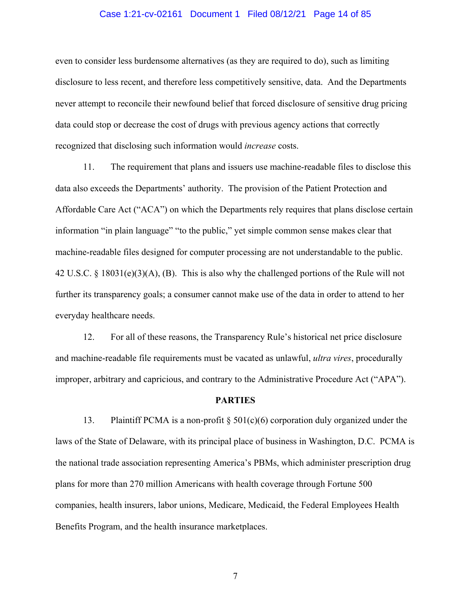### Case 1:21-cv-02161 Document 1 Filed 08/12/21 Page 14 of 85

even to consider less burdensome alternatives (as they are required to do), such as limiting disclosure to less recent, and therefore less competitively sensitive, data. And the Departments never attempt to reconcile their newfound belief that forced disclosure of sensitive drug pricing data could stop or decrease the cost of drugs with previous agency actions that correctly recognized that disclosing such information would *increase* costs.

11. The requirement that plans and issuers use machine-readable files to disclose this data also exceeds the Departments' authority. The provision of the Patient Protection and Affordable Care Act ("ACA") on which the Departments rely requires that plans disclose certain information "in plain language" "to the public," yet simple common sense makes clear that machine-readable files designed for computer processing are not understandable to the public. 42 U.S.C. § 18031(e)(3)(A), (B). This is also why the challenged portions of the Rule will not further its transparency goals; a consumer cannot make use of the data in order to attend to her everyday healthcare needs.

12. For all of these reasons, the Transparency Rule's historical net price disclosure and machine-readable file requirements must be vacated as unlawful, *ultra vires*, procedurally improper, arbitrary and capricious, and contrary to the Administrative Procedure Act ("APA").

### **PARTIES**

13. Plaintiff PCMA is a non-profit  $\S 501(c)(6)$  corporation duly organized under the laws of the State of Delaware, with its principal place of business in Washington, D.C. PCMA is the national trade association representing America's PBMs, which administer prescription drug plans for more than 270 million Americans with health coverage through Fortune 500 companies, health insurers, labor unions, Medicare, Medicaid, the Federal Employees Health Benefits Program, and the health insurance marketplaces.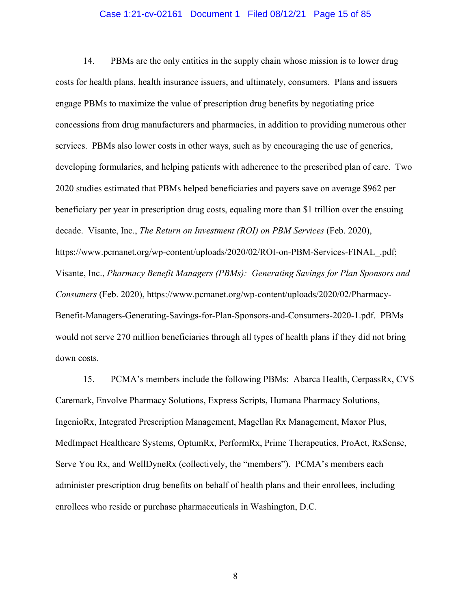### Case 1:21-cv-02161 Document 1 Filed 08/12/21 Page 15 of 85

14. PBMs are the only entities in the supply chain whose mission is to lower drug costs for health plans, health insurance issuers, and ultimately, consumers. Plans and issuers engage PBMs to maximize the value of prescription drug benefits by negotiating price concessions from drug manufacturers and pharmacies, in addition to providing numerous other services. PBMs also lower costs in other ways, such as by encouraging the use of generics, developing formularies, and helping patients with adherence to the prescribed plan of care. Two 2020 studies estimated that PBMs helped beneficiaries and payers save on average \$962 per beneficiary per year in prescription drug costs, equaling more than \$1 trillion over the ensuing decade. Visante, Inc., *The Return on Investment (ROI) on PBM Services* (Feb. 2020), https://www.pcmanet.org/wp-content/uploads/2020/02/ROI-on-PBM-Services-FINAL\_.pdf; Visante, Inc., *Pharmacy Benefit Managers (PBMs): Generating Savings for Plan Sponsors and Consumers* (Feb. 2020), https://www.pcmanet.org/wp-content/uploads/2020/02/Pharmacy-Benefit-Managers-Generating-Savings-for-Plan-Sponsors-and-Consumers-2020-1.pdf. PBMs would not serve 270 million beneficiaries through all types of health plans if they did not bring down costs.

15. PCMA's members include the following PBMs: Abarca Health, CerpassRx, CVS Caremark, Envolve Pharmacy Solutions, Express Scripts, Humana Pharmacy Solutions, IngenioRx, Integrated Prescription Management, Magellan Rx Management, Maxor Plus, MedImpact Healthcare Systems, OptumRx, PerformRx, Prime Therapeutics, ProAct, RxSense, Serve You Rx, and WellDyneRx (collectively, the "members"). PCMA's members each administer prescription drug benefits on behalf of health plans and their enrollees, including enrollees who reside or purchase pharmaceuticals in Washington, D.C.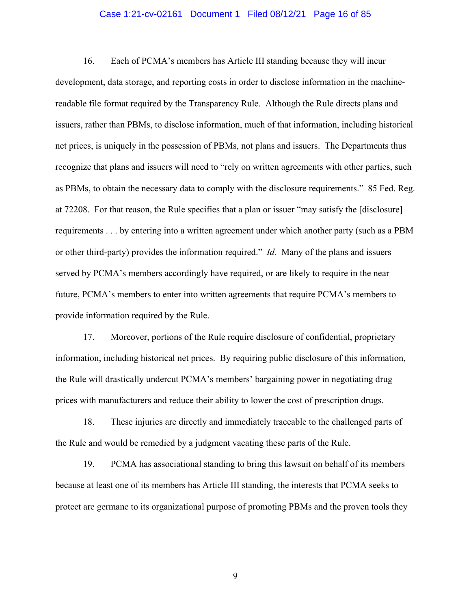### Case 1:21-cv-02161 Document 1 Filed 08/12/21 Page 16 of 85

16. Each of PCMA's members has Article III standing because they will incur development, data storage, and reporting costs in order to disclose information in the machinereadable file format required by the Transparency Rule. Although the Rule directs plans and issuers, rather than PBMs, to disclose information, much of that information, including historical net prices, is uniquely in the possession of PBMs, not plans and issuers. The Departments thus recognize that plans and issuers will need to "rely on written agreements with other parties, such as PBMs, to obtain the necessary data to comply with the disclosure requirements." 85 Fed. Reg. at 72208. For that reason, the Rule specifies that a plan or issuer "may satisfy the [disclosure] requirements . . . by entering into a written agreement under which another party (such as a PBM or other third-party) provides the information required." *Id.* Many of the plans and issuers served by PCMA's members accordingly have required, or are likely to require in the near future, PCMA's members to enter into written agreements that require PCMA's members to provide information required by the Rule.

17. Moreover, portions of the Rule require disclosure of confidential, proprietary information, including historical net prices. By requiring public disclosure of this information, the Rule will drastically undercut PCMA's members' bargaining power in negotiating drug prices with manufacturers and reduce their ability to lower the cost of prescription drugs.

18. These injuries are directly and immediately traceable to the challenged parts of the Rule and would be remedied by a judgment vacating these parts of the Rule.

19. PCMA has associational standing to bring this lawsuit on behalf of its members because at least one of its members has Article III standing, the interests that PCMA seeks to protect are germane to its organizational purpose of promoting PBMs and the proven tools they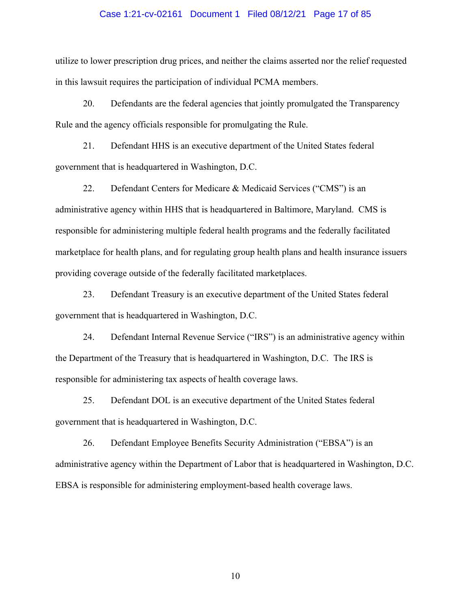### Case 1:21-cv-02161 Document 1 Filed 08/12/21 Page 17 of 85

utilize to lower prescription drug prices, and neither the claims asserted nor the relief requested in this lawsuit requires the participation of individual PCMA members.

20. Defendants are the federal agencies that jointly promulgated the Transparency Rule and the agency officials responsible for promulgating the Rule.

21. Defendant HHS is an executive department of the United States federal government that is headquartered in Washington, D.C.

22. Defendant Centers for Medicare & Medicaid Services ("CMS") is an administrative agency within HHS that is headquartered in Baltimore, Maryland. CMS is responsible for administering multiple federal health programs and the federally facilitated marketplace for health plans, and for regulating group health plans and health insurance issuers providing coverage outside of the federally facilitated marketplaces.

23. Defendant Treasury is an executive department of the United States federal government that is headquartered in Washington, D.C.

24. Defendant Internal Revenue Service ("IRS") is an administrative agency within the Department of the Treasury that is headquartered in Washington, D.C. The IRS is responsible for administering tax aspects of health coverage laws.

25. Defendant DOL is an executive department of the United States federal government that is headquartered in Washington, D.C.

26. Defendant Employee Benefits Security Administration ("EBSA") is an administrative agency within the Department of Labor that is headquartered in Washington, D.C. EBSA is responsible for administering employment-based health coverage laws.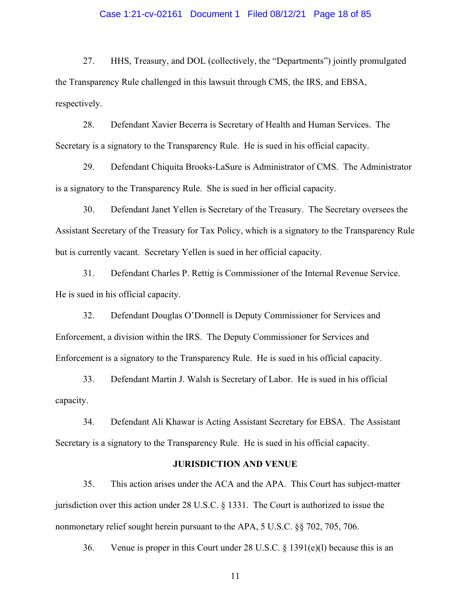### Case 1:21-cv-02161 Document 1 Filed 08/12/21 Page 18 of 85

27. HHS, Treasury, and DOL (collectively, the "Departments") jointly promulgated the Transparency Rule challenged in this lawsuit through CMS, the IRS, and EBSA, respectively.

28. Defendant Xavier Becerra is Secretary of Health and Human Services. The Secretary is a signatory to the Transparency Rule. He is sued in his official capacity.

29. Defendant Chiquita Brooks-LaSure is Administrator of CMS. The Administrator is a signatory to the Transparency Rule. She is sued in her official capacity.

30. Defendant Janet Yellen is Secretary of the Treasury. The Secretary oversees the Assistant Secretary of the Treasury for Tax Policy, which is a signatory to the Transparency Rule but is currently vacant. Secretary Yellen is sued in her official capacity.

31. Defendant Charles P. Rettig is Commissioner of the Internal Revenue Service. He is sued in his official capacity.

32. Defendant Douglas O'Donnell is Deputy Commissioner for Services and Enforcement, a division within the IRS. The Deputy Commissioner for Services and Enforcement is a signatory to the Transparency Rule. He is sued in his official capacity.

33. Defendant Martin J. Walsh is Secretary of Labor. He is sued in his official capacity.

34. Defendant Ali Khawar is Acting Assistant Secretary for EBSA. The Assistant Secretary is a signatory to the Transparency Rule. He is sued in his official capacity.

### **JURISDICTION AND VENUE**

35. This action arises under the ACA and the APA. This Court has subject-matter jurisdiction over this action under 28 U.S.C. § 1331. The Court is authorized to issue the nonmonetary relief sought herein pursuant to the APA, 5 U.S.C. §§ 702, 705, 706.

36. Venue is proper in this Court under 28 U.S.C. § 1391(e)(l) because this is an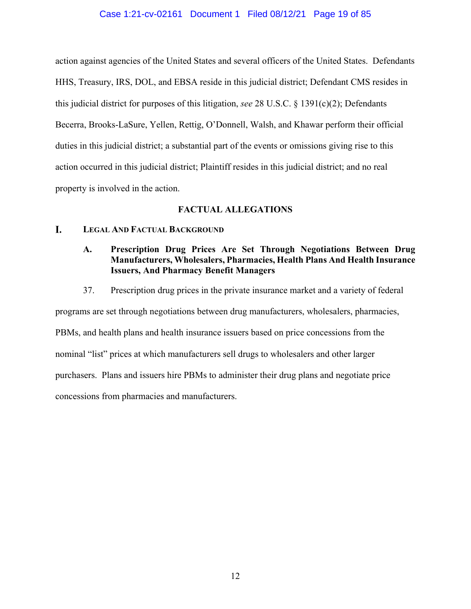### Case 1:21-cv-02161 Document 1 Filed 08/12/21 Page 19 of 85

action against agencies of the United States and several officers of the United States. Defendants HHS, Treasury, IRS, DOL, and EBSA reside in this judicial district; Defendant CMS resides in this judicial district for purposes of this litigation, *see* 28 U.S.C. § 1391(c)(2); Defendants Becerra, Brooks-LaSure, Yellen, Rettig, O'Donnell, Walsh, and Khawar perform their official duties in this judicial district; a substantial part of the events or omissions giving rise to this action occurred in this judicial district; Plaintiff resides in this judicial district; and no real property is involved in the action.

### **FACTUAL ALLEGATIONS**

#### L. **LEGAL AND FACTUAL BACKGROUND**

## **A. Prescription Drug Prices Are Set Through Negotiations Between Drug Manufacturers, Wholesalers, Pharmacies, Health Plans And Health Insurance Issuers, And Pharmacy Benefit Managers**

37. Prescription drug prices in the private insurance market and a variety of federal

programs are set through negotiations between drug manufacturers, wholesalers, pharmacies,

PBMs, and health plans and health insurance issuers based on price concessions from the

nominal "list" prices at which manufacturers sell drugs to wholesalers and other larger

purchasers. Plans and issuers hire PBMs to administer their drug plans and negotiate price

concessions from pharmacies and manufacturers.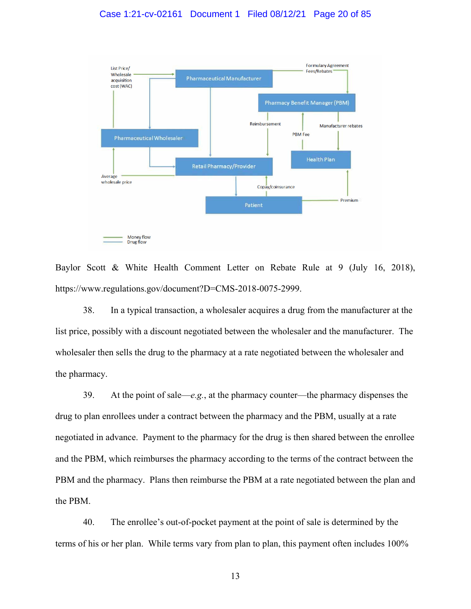### Case 1:21-cv-02161 Document 1 Filed 08/12/21 Page 20 of 85



Baylor Scott & White Health Comment Letter on Rebate Rule at 9 (July 16, 2018), https://www.regulations.gov/document?D=CMS-2018-0075-2999.

38. In a typical transaction, a wholesaler acquires a drug from the manufacturer at the list price, possibly with a discount negotiated between the wholesaler and the manufacturer. The wholesaler then sells the drug to the pharmacy at a rate negotiated between the wholesaler and the pharmacy.

39. At the point of sale—*e.g.*, at the pharmacy counter—the pharmacy dispenses the drug to plan enrollees under a contract between the pharmacy and the PBM, usually at a rate negotiated in advance. Payment to the pharmacy for the drug is then shared between the enrollee and the PBM, which reimburses the pharmacy according to the terms of the contract between the PBM and the pharmacy. Plans then reimburse the PBM at a rate negotiated between the plan and the PBM.

40. The enrollee's out-of-pocket payment at the point of sale is determined by the terms of his or her plan. While terms vary from plan to plan, this payment often includes 100%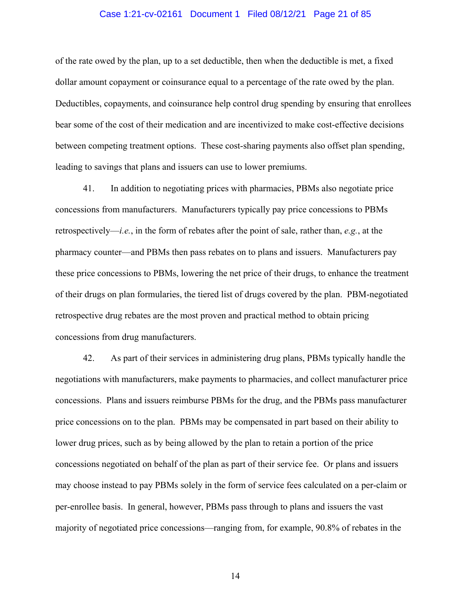### Case 1:21-cv-02161 Document 1 Filed 08/12/21 Page 21 of 85

of the rate owed by the plan, up to a set deductible, then when the deductible is met, a fixed dollar amount copayment or coinsurance equal to a percentage of the rate owed by the plan. Deductibles, copayments, and coinsurance help control drug spending by ensuring that enrollees bear some of the cost of their medication and are incentivized to make cost-effective decisions between competing treatment options. These cost-sharing payments also offset plan spending, leading to savings that plans and issuers can use to lower premiums.

41. In addition to negotiating prices with pharmacies, PBMs also negotiate price concessions from manufacturers. Manufacturers typically pay price concessions to PBMs retrospectively—*i.e.*, in the form of rebates after the point of sale, rather than, *e.g.*, at the pharmacy counter—and PBMs then pass rebates on to plans and issuers. Manufacturers pay these price concessions to PBMs, lowering the net price of their drugs, to enhance the treatment of their drugs on plan formularies, the tiered list of drugs covered by the plan. PBM-negotiated retrospective drug rebates are the most proven and practical method to obtain pricing concessions from drug manufacturers.

42. As part of their services in administering drug plans, PBMs typically handle the negotiations with manufacturers, make payments to pharmacies, and collect manufacturer price concessions. Plans and issuers reimburse PBMs for the drug, and the PBMs pass manufacturer price concessions on to the plan. PBMs may be compensated in part based on their ability to lower drug prices, such as by being allowed by the plan to retain a portion of the price concessions negotiated on behalf of the plan as part of their service fee. Or plans and issuers may choose instead to pay PBMs solely in the form of service fees calculated on a per-claim or per-enrollee basis. In general, however, PBMs pass through to plans and issuers the vast majority of negotiated price concessions—ranging from, for example, 90.8% of rebates in the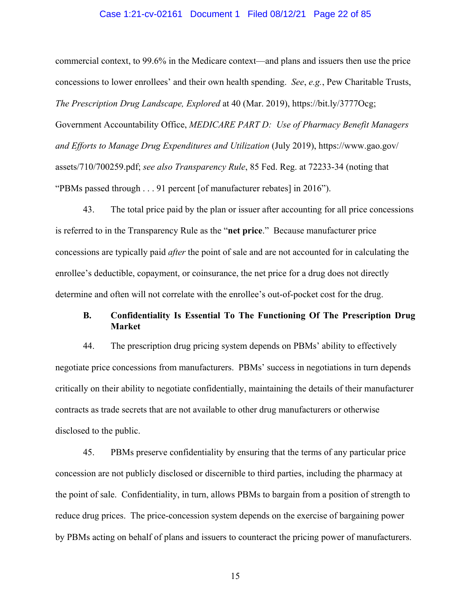### Case 1:21-cv-02161 Document 1 Filed 08/12/21 Page 22 of 85

commercial context, to 99.6% in the Medicare context—and plans and issuers then use the price concessions to lower enrollees' and their own health spending. *See*, *e.g.*, Pew Charitable Trusts, *The Prescription Drug Landscape, Explored* at 40 (Mar. 2019), https://bit.ly/3777Ocg; Government Accountability Office, *MEDICARE PART D: Use of Pharmacy Benefit Managers and Efforts to Manage Drug Expenditures and Utilization* (July 2019), https://www.gao.gov/ assets/710/700259.pdf; *see also Transparency Rule*, 85 Fed. Reg. at 72233-34 (noting that "PBMs passed through . . . 91 percent [of manufacturer rebates] in 2016").

43. The total price paid by the plan or issuer after accounting for all price concessions is referred to in the Transparency Rule as the "**net price**." Because manufacturer price concessions are typically paid *after* the point of sale and are not accounted for in calculating the enrollee's deductible, copayment, or coinsurance, the net price for a drug does not directly determine and often will not correlate with the enrollee's out-of-pocket cost for the drug.

### **B. Confidentiality Is Essential To The Functioning Of The Prescription Drug Market**

44. The prescription drug pricing system depends on PBMs' ability to effectively negotiate price concessions from manufacturers. PBMs' success in negotiations in turn depends critically on their ability to negotiate confidentially, maintaining the details of their manufacturer contracts as trade secrets that are not available to other drug manufacturers or otherwise disclosed to the public.

45. PBMs preserve confidentiality by ensuring that the terms of any particular price concession are not publicly disclosed or discernible to third parties, including the pharmacy at the point of sale. Confidentiality, in turn, allows PBMs to bargain from a position of strength to reduce drug prices. The price-concession system depends on the exercise of bargaining power by PBMs acting on behalf of plans and issuers to counteract the pricing power of manufacturers.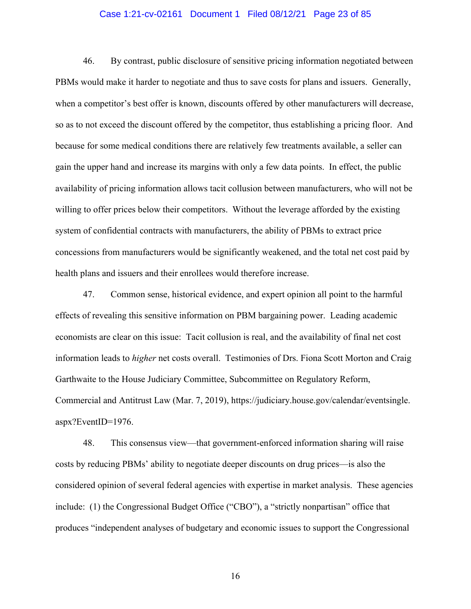### Case 1:21-cv-02161 Document 1 Filed 08/12/21 Page 23 of 85

46. By contrast, public disclosure of sensitive pricing information negotiated between PBMs would make it harder to negotiate and thus to save costs for plans and issuers. Generally, when a competitor's best offer is known, discounts offered by other manufacturers will decrease, so as to not exceed the discount offered by the competitor, thus establishing a pricing floor. And because for some medical conditions there are relatively few treatments available, a seller can gain the upper hand and increase its margins with only a few data points. In effect, the public availability of pricing information allows tacit collusion between manufacturers, who will not be willing to offer prices below their competitors. Without the leverage afforded by the existing system of confidential contracts with manufacturers, the ability of PBMs to extract price concessions from manufacturers would be significantly weakened, and the total net cost paid by health plans and issuers and their enrollees would therefore increase.

47. Common sense, historical evidence, and expert opinion all point to the harmful effects of revealing this sensitive information on PBM bargaining power. Leading academic economists are clear on this issue: Tacit collusion is real, and the availability of final net cost information leads to *higher* net costs overall. Testimonies of Drs. Fiona Scott Morton and Craig Garthwaite to the House Judiciary Committee, Subcommittee on Regulatory Reform, Commercial and Antitrust Law (Mar. 7, 2019), https://judiciary.house.gov/calendar/eventsingle. aspx?EventID=1976.

48. This consensus view—that government-enforced information sharing will raise costs by reducing PBMs' ability to negotiate deeper discounts on drug prices—is also the considered opinion of several federal agencies with expertise in market analysis. These agencies include: (1) the Congressional Budget Office ("CBO"), a "strictly nonpartisan" office that produces "independent analyses of budgetary and economic issues to support the Congressional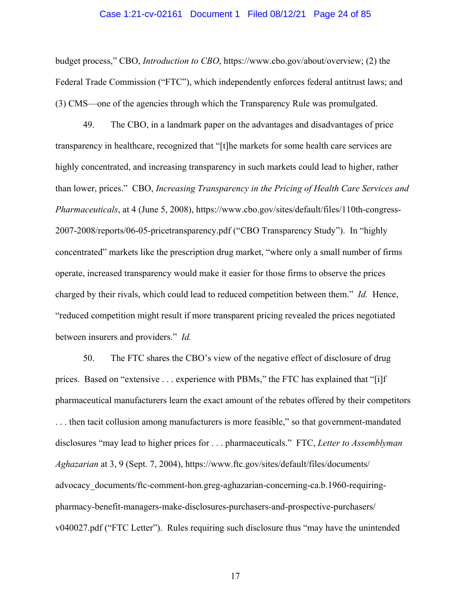### Case 1:21-cv-02161 Document 1 Filed 08/12/21 Page 24 of 85

budget process," CBO, *Introduction to CBO*, https://www.cbo.gov/about/overview; (2) the Federal Trade Commission ("FTC"), which independently enforces federal antitrust laws; and (3) CMS—one of the agencies through which the Transparency Rule was promulgated.

49. The CBO, in a landmark paper on the advantages and disadvantages of price transparency in healthcare, recognized that "[t]he markets for some health care services are highly concentrated, and increasing transparency in such markets could lead to higher, rather than lower, prices." CBO, *Increasing Transparency in the Pricing of Health Care Services and Pharmaceuticals*, at 4 (June 5, 2008), https://www.cbo.gov/sites/default/files/110th-congress-2007-2008/reports/06-05-pricetransparency.pdf ("CBO Transparency Study"). In "highly concentrated" markets like the prescription drug market, "where only a small number of firms operate, increased transparency would make it easier for those firms to observe the prices charged by their rivals, which could lead to reduced competition between them." *Id.* Hence, "reduced competition might result if more transparent pricing revealed the prices negotiated between insurers and providers." *Id.*

50. The FTC shares the CBO's view of the negative effect of disclosure of drug prices. Based on "extensive . . . experience with PBMs," the FTC has explained that "[i]f pharmaceutical manufacturers learn the exact amount of the rebates offered by their competitors . . . then tacit collusion among manufacturers is more feasible," so that government-mandated disclosures "may lead to higher prices for . . . pharmaceuticals." FTC, *Letter to Assemblyman Aghazarian* at 3, 9 (Sept. 7, 2004), https://www.ftc.gov/sites/default/files/documents/ advocacy\_documents/ftc-comment-hon.greg-aghazarian-concerning-ca.b.1960-requiringpharmacy-benefit-managers-make-disclosures-purchasers-and-prospective-purchasers/ v040027.pdf ("FTC Letter"). Rules requiring such disclosure thus "may have the unintended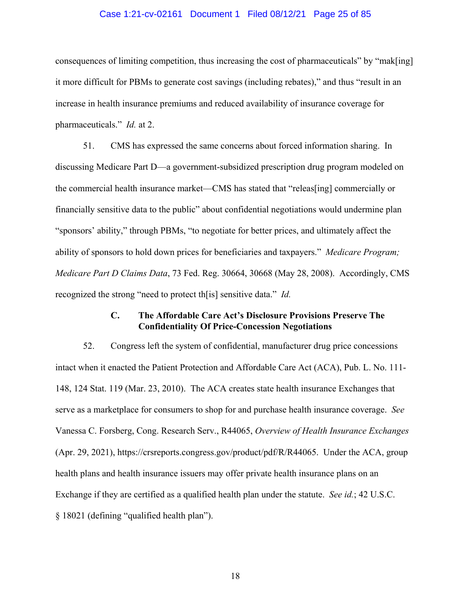### Case 1:21-cv-02161 Document 1 Filed 08/12/21 Page 25 of 85

consequences of limiting competition, thus increasing the cost of pharmaceuticals" by "mak[ing] it more difficult for PBMs to generate cost savings (including rebates)," and thus "result in an increase in health insurance premiums and reduced availability of insurance coverage for pharmaceuticals." *Id.* at 2.

51. CMS has expressed the same concerns about forced information sharing. In discussing Medicare Part D—a government-subsidized prescription drug program modeled on the commercial health insurance market—CMS has stated that "releas[ing] commercially or financially sensitive data to the public" about confidential negotiations would undermine plan "sponsors' ability," through PBMs, "to negotiate for better prices, and ultimately affect the ability of sponsors to hold down prices for beneficiaries and taxpayers." *Medicare Program; Medicare Part D Claims Data*, 73 Fed. Reg. 30664, 30668 (May 28, 2008). Accordingly, CMS recognized the strong "need to protect th[is] sensitive data." *Id.*

### **C. The Affordable Care Act's Disclosure Provisions Preserve The Confidentiality Of Price-Concession Negotiations**

52. Congress left the system of confidential, manufacturer drug price concessions intact when it enacted the Patient Protection and Affordable Care Act (ACA), Pub. L. No. 111- 148, 124 Stat. 119 (Mar. 23, 2010). The ACA creates state health insurance Exchanges that serve as a marketplace for consumers to shop for and purchase health insurance coverage. *See* Vanessa C. Forsberg, Cong. Research Serv., R44065, *Overview of Health Insurance Exchanges* (Apr. 29, 2021), https://crsreports.congress.gov/product/pdf/R/R44065. Under the ACA, group health plans and health insurance issuers may offer private health insurance plans on an Exchange if they are certified as a qualified health plan under the statute. *See id.*; 42 U.S.C. § 18021 (defining "qualified health plan").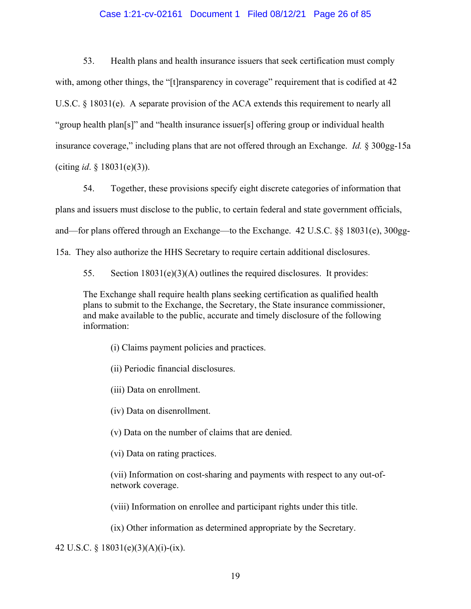### Case 1:21-cv-02161 Document 1 Filed 08/12/21 Page 26 of 85

53. Health plans and health insurance issuers that seek certification must comply with, among other things, the "[t]ransparency in coverage" requirement that is codified at 42 U.S.C.  $\S$  18031(e). A separate provision of the ACA extends this requirement to nearly all "group health plan[s]" and "health insurance issuer[s] offering group or individual health insurance coverage," including plans that are not offered through an Exchange. *Id.* § 300gg-15a (citing *id*. § 18031(e)(3)).

54. Together, these provisions specify eight discrete categories of information that plans and issuers must disclose to the public, to certain federal and state government officials, and—for plans offered through an Exchange—to the Exchange. 42 U.S.C. §§ 18031(e), 300gg-15a. They also authorize the HHS Secretary to require certain additional disclosures.

55. Section 18031(e)(3)(A) outlines the required disclosures. It provides:

The Exchange shall require health plans seeking certification as qualified health plans to submit to the Exchange, the Secretary, the State insurance commissioner, and make available to the public, accurate and timely disclosure of the following information:

(i) Claims payment policies and practices.

(ii) Periodic financial disclosures.

(iii) Data on enrollment.

(iv) Data on disenrollment.

(v) Data on the number of claims that are denied.

(vi) Data on rating practices.

(vii) Information on cost-sharing and payments with respect to any out-ofnetwork coverage.

(viii) Information on enrollee and participant rights under this title.

(ix) Other information as determined appropriate by the Secretary.

42 U.S.C. § 18031(e)(3)(A)(i)-(ix).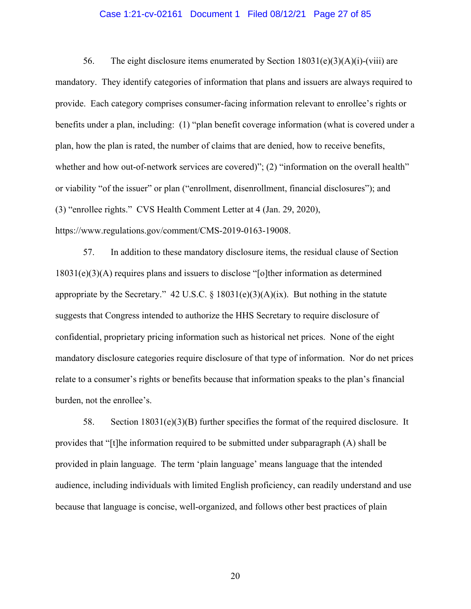### Case 1:21-cv-02161 Document 1 Filed 08/12/21 Page 27 of 85

56. The eight disclosure items enumerated by Section  $18031(e)(3)(A)(i)$ -(viii) are mandatory. They identify categories of information that plans and issuers are always required to provide. Each category comprises consumer-facing information relevant to enrollee's rights or benefits under a plan, including: (1) "plan benefit coverage information (what is covered under a plan, how the plan is rated, the number of claims that are denied, how to receive benefits, whether and how out-of-network services are covered)"; (2) "information on the overall health" or viability "of the issuer" or plan ("enrollment, disenrollment, financial disclosures"); and (3) "enrollee rights." CVS Health Comment Letter at 4 (Jan. 29, 2020), https://www.regulations.gov/comment/CMS-2019-0163-19008.

57. In addition to these mandatory disclosure items, the residual clause of Section 18031(e)(3)(A) requires plans and issuers to disclose "[o]ther information as determined appropriate by the Secretary." 42 U.S.C.  $\S$  18031(e)(3)(A)(ix). But nothing in the statute suggests that Congress intended to authorize the HHS Secretary to require disclosure of confidential, proprietary pricing information such as historical net prices. None of the eight mandatory disclosure categories require disclosure of that type of information. Nor do net prices relate to a consumer's rights or benefits because that information speaks to the plan's financial burden, not the enrollee's.

58. Section 18031(e)(3)(B) further specifies the format of the required disclosure. It provides that "[t]he information required to be submitted under subparagraph (A) shall be provided in plain language. The term 'plain language' means language that the intended audience, including individuals with limited English proficiency, can readily understand and use because that language is concise, well-organized, and follows other best practices of plain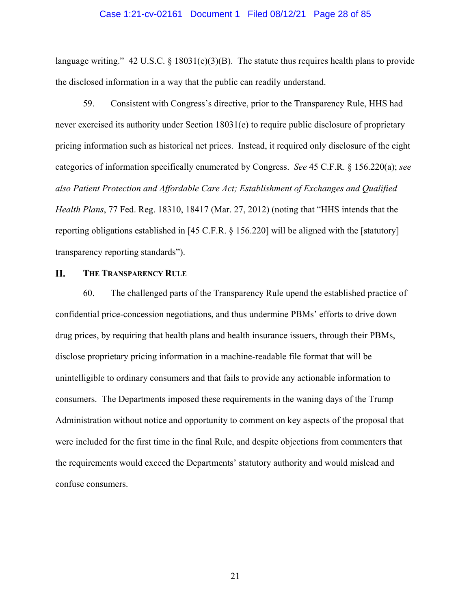### Case 1:21-cv-02161 Document 1 Filed 08/12/21 Page 28 of 85

language writing." 42 U.S.C. § 18031(e)(3)(B). The statute thus requires health plans to provide the disclosed information in a way that the public can readily understand.

59. Consistent with Congress's directive, prior to the Transparency Rule, HHS had never exercised its authority under Section 18031(e) to require public disclosure of proprietary pricing information such as historical net prices. Instead, it required only disclosure of the eight categories of information specifically enumerated by Congress. *See* 45 C.F.R. § 156.220(a); *see also Patient Protection and Affordable Care Act; Establishment of Exchanges and Qualified Health Plans*, 77 Fed. Reg. 18310, 18417 (Mar. 27, 2012) (noting that "HHS intends that the reporting obligations established in [45 C.F.R. § 156.220] will be aligned with the [statutory] transparency reporting standards").

#### **II. THE TRANSPARENCY RULE**

60. The challenged parts of the Transparency Rule upend the established practice of confidential price-concession negotiations, and thus undermine PBMs' efforts to drive down drug prices, by requiring that health plans and health insurance issuers, through their PBMs, disclose proprietary pricing information in a machine-readable file format that will be unintelligible to ordinary consumers and that fails to provide any actionable information to consumers. The Departments imposed these requirements in the waning days of the Trump Administration without notice and opportunity to comment on key aspects of the proposal that were included for the first time in the final Rule, and despite objections from commenters that the requirements would exceed the Departments' statutory authority and would mislead and confuse consumers.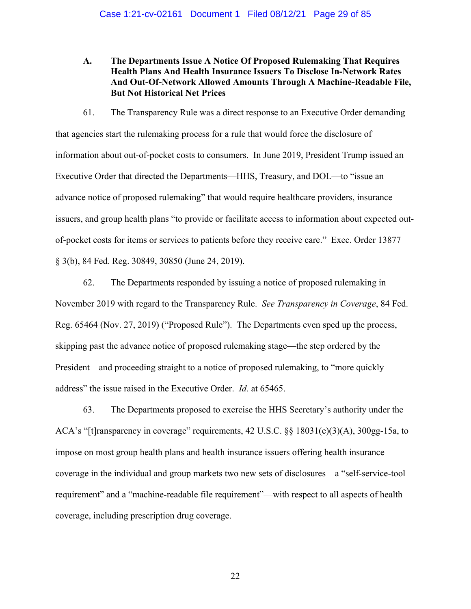**A. The Departments Issue A Notice Of Proposed Rulemaking That Requires Health Plans And Health Insurance Issuers To Disclose In-Network Rates And Out-Of-Network Allowed Amounts Through A Machine-Readable File, But Not Historical Net Prices** 

61. The Transparency Rule was a direct response to an Executive Order demanding that agencies start the rulemaking process for a rule that would force the disclosure of information about out-of-pocket costs to consumers. In June 2019, President Trump issued an Executive Order that directed the Departments—HHS, Treasury, and DOL—to "issue an advance notice of proposed rulemaking" that would require healthcare providers, insurance issuers, and group health plans "to provide or facilitate access to information about expected outof-pocket costs for items or services to patients before they receive care." Exec. Order 13877 § 3(b), 84 Fed. Reg. 30849, 30850 (June 24, 2019).

62. The Departments responded by issuing a notice of proposed rulemaking in November 2019 with regard to the Transparency Rule. *See Transparency in Coverage*, 84 Fed. Reg. 65464 (Nov. 27, 2019) ("Proposed Rule"). The Departments even sped up the process, skipping past the advance notice of proposed rulemaking stage—the step ordered by the President—and proceeding straight to a notice of proposed rulemaking, to "more quickly address" the issue raised in the Executive Order. *Id.* at 65465.

63. The Departments proposed to exercise the HHS Secretary's authority under the ACA's "[t]ransparency in coverage" requirements, 42 U.S.C. §§ 18031(e)(3)(A), 300gg-15a, to impose on most group health plans and health insurance issuers offering health insurance coverage in the individual and group markets two new sets of disclosures—a "self-service-tool requirement" and a "machine-readable file requirement"—with respect to all aspects of health coverage, including prescription drug coverage.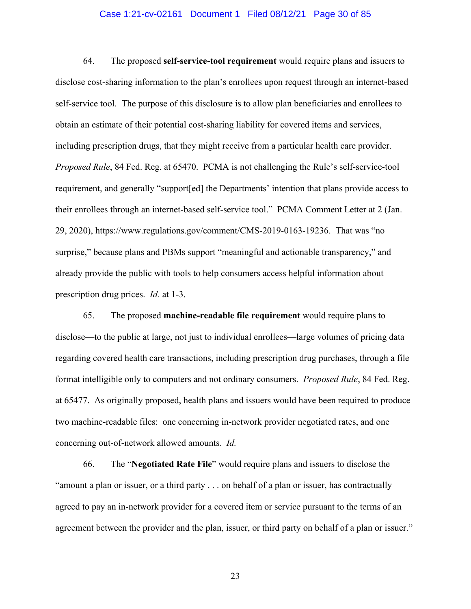### Case 1:21-cv-02161 Document 1 Filed 08/12/21 Page 30 of 85

64. The proposed **self-service-tool requirement** would require plans and issuers to disclose cost-sharing information to the plan's enrollees upon request through an internet-based self-service tool. The purpose of this disclosure is to allow plan beneficiaries and enrollees to obtain an estimate of their potential cost-sharing liability for covered items and services, including prescription drugs, that they might receive from a particular health care provider. *Proposed Rule*, 84 Fed. Reg. at 65470. PCMA is not challenging the Rule's self-service-tool requirement, and generally "support[ed] the Departments' intention that plans provide access to their enrollees through an internet-based self-service tool." PCMA Comment Letter at 2 (Jan. 29, 2020), https://www.regulations.gov/comment/CMS-2019-0163-19236. That was "no surprise," because plans and PBMs support "meaningful and actionable transparency," and already provide the public with tools to help consumers access helpful information about prescription drug prices. *Id.* at 1-3.

65. The proposed **machine-readable file requirement** would require plans to disclose—to the public at large, not just to individual enrollees—large volumes of pricing data regarding covered health care transactions, including prescription drug purchases, through a file format intelligible only to computers and not ordinary consumers. *Proposed Rule*, 84 Fed. Reg. at 65477. As originally proposed, health plans and issuers would have been required to produce two machine-readable files: one concerning in-network provider negotiated rates, and one concerning out-of-network allowed amounts. *Id.*

66. The "**Negotiated Rate File**" would require plans and issuers to disclose the "amount a plan or issuer, or a third party . . . on behalf of a plan or issuer, has contractually agreed to pay an in-network provider for a covered item or service pursuant to the terms of an agreement between the provider and the plan, issuer, or third party on behalf of a plan or issuer."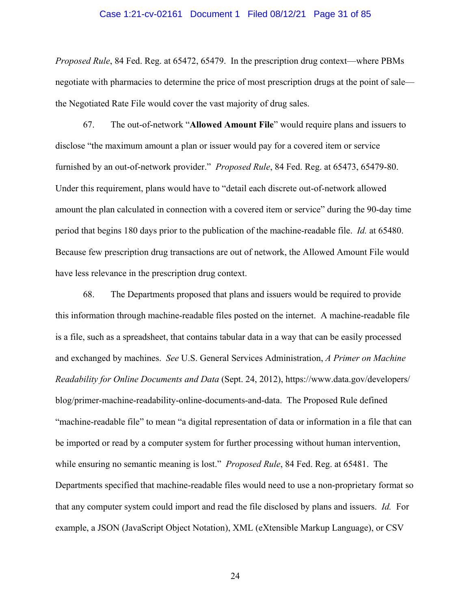### Case 1:21-cv-02161 Document 1 Filed 08/12/21 Page 31 of 85

*Proposed Rule*, 84 Fed. Reg. at 65472, 65479. In the prescription drug context—where PBMs negotiate with pharmacies to determine the price of most prescription drugs at the point of sale the Negotiated Rate File would cover the vast majority of drug sales.

67. The out-of-network "**Allowed Amount File**" would require plans and issuers to disclose "the maximum amount a plan or issuer would pay for a covered item or service furnished by an out-of-network provider." *Proposed Rule*, 84 Fed. Reg. at 65473, 65479-80. Under this requirement, plans would have to "detail each discrete out-of-network allowed amount the plan calculated in connection with a covered item or service" during the 90-day time period that begins 180 days prior to the publication of the machine-readable file. *Id.* at 65480. Because few prescription drug transactions are out of network, the Allowed Amount File would have less relevance in the prescription drug context.

68. The Departments proposed that plans and issuers would be required to provide this information through machine-readable files posted on the internet. A machine-readable file is a file, such as a spreadsheet, that contains tabular data in a way that can be easily processed and exchanged by machines. *See* U.S. General Services Administration, *A Primer on Machine Readability for Online Documents and Data* (Sept. 24, 2012), https://www.data.gov/developers/ blog/primer-machine-readability-online-documents-and-data. The Proposed Rule defined "machine-readable file" to mean "a digital representation of data or information in a file that can be imported or read by a computer system for further processing without human intervention, while ensuring no semantic meaning is lost." *Proposed Rule*, 84 Fed. Reg. at 65481. The Departments specified that machine-readable files would need to use a non-proprietary format so that any computer system could import and read the file disclosed by plans and issuers. *Id.* For example, a JSON (JavaScript Object Notation), XML (eXtensible Markup Language), or CSV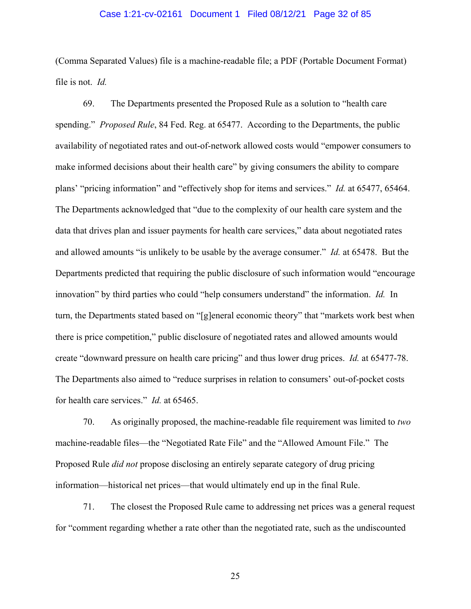### Case 1:21-cv-02161 Document 1 Filed 08/12/21 Page 32 of 85

(Comma Separated Values) file is a machine-readable file; a PDF (Portable Document Format) file is not. *Id.*

69. The Departments presented the Proposed Rule as a solution to "health care spending." *Proposed Rule*, 84 Fed. Reg. at 65477. According to the Departments, the public availability of negotiated rates and out-of-network allowed costs would "empower consumers to make informed decisions about their health care" by giving consumers the ability to compare plans' "pricing information" and "effectively shop for items and services." *Id.* at 65477, 65464. The Departments acknowledged that "due to the complexity of our health care system and the data that drives plan and issuer payments for health care services," data about negotiated rates and allowed amounts "is unlikely to be usable by the average consumer." *Id.* at 65478. But the Departments predicted that requiring the public disclosure of such information would "encourage innovation" by third parties who could "help consumers understand" the information. *Id.* In turn, the Departments stated based on "[g]eneral economic theory" that "markets work best when there is price competition," public disclosure of negotiated rates and allowed amounts would create "downward pressure on health care pricing" and thus lower drug prices. *Id.* at 65477-78. The Departments also aimed to "reduce surprises in relation to consumers' out-of-pocket costs for health care services." *Id.* at 65465.

70. As originally proposed, the machine-readable file requirement was limited to *two* machine-readable files—the "Negotiated Rate File" and the "Allowed Amount File." The Proposed Rule *did not* propose disclosing an entirely separate category of drug pricing information—historical net prices—that would ultimately end up in the final Rule.

71. The closest the Proposed Rule came to addressing net prices was a general request for "comment regarding whether a rate other than the negotiated rate, such as the undiscounted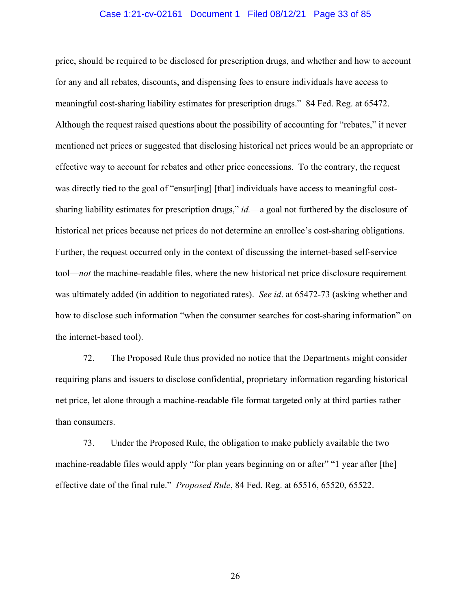### Case 1:21-cv-02161 Document 1 Filed 08/12/21 Page 33 of 85

price, should be required to be disclosed for prescription drugs, and whether and how to account for any and all rebates, discounts, and dispensing fees to ensure individuals have access to meaningful cost-sharing liability estimates for prescription drugs." 84 Fed. Reg. at 65472. Although the request raised questions about the possibility of accounting for "rebates," it never mentioned net prices or suggested that disclosing historical net prices would be an appropriate or effective way to account for rebates and other price concessions. To the contrary, the request was directly tied to the goal of "ensur[ing] [that] individuals have access to meaningful costsharing liability estimates for prescription drugs," *id.*—a goal not furthered by the disclosure of historical net prices because net prices do not determine an enrollee's cost-sharing obligations. Further, the request occurred only in the context of discussing the internet-based self-service tool—*not* the machine-readable files, where the new historical net price disclosure requirement was ultimately added (in addition to negotiated rates). *See id*. at 65472-73 (asking whether and how to disclose such information "when the consumer searches for cost-sharing information" on the internet-based tool).

72. The Proposed Rule thus provided no notice that the Departments might consider requiring plans and issuers to disclose confidential, proprietary information regarding historical net price, let alone through a machine-readable file format targeted only at third parties rather than consumers.

73. Under the Proposed Rule, the obligation to make publicly available the two machine-readable files would apply "for plan years beginning on or after" "1 year after [the] effective date of the final rule." *Proposed Rule*, 84 Fed. Reg. at 65516, 65520, 65522.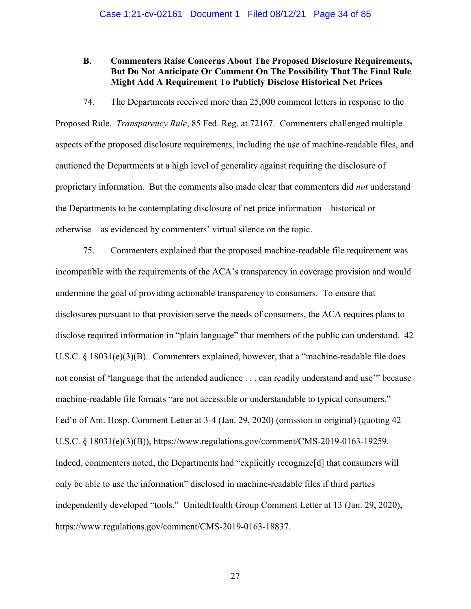### **B. Commenters Raise Concerns About The Proposed Disclosure Requirements, But Do Not Anticipate Or Comment On The Possibility That The Final Rule Might Add A Requirement To Publicly Disclose Historical Net Prices**

74. The Departments received more than 25,000 comment letters in response to the Proposed Rule. *Transparency Rule*, 85 Fed. Reg. at 72167. Commenters challenged multiple aspects of the proposed disclosure requirements, including the use of machine-readable files, and cautioned the Departments at a high level of generality against requiring the disclosure of proprietary information. But the comments also made clear that commenters did *not* understand the Departments to be contemplating disclosure of net price information—historical or otherwise—as evidenced by commenters' virtual silence on the topic.

75. Commenters explained that the proposed machine-readable file requirement was incompatible with the requirements of the ACA's transparency in coverage provision and would undermine the goal of providing actionable transparency to consumers. To ensure that disclosures pursuant to that provision serve the needs of consumers, the ACA requires plans to disclose required information in "plain language" that members of the public can understand. 42 U.S.C. § 18031(e)(3)(B). Commenters explained, however, that a "machine-readable file does not consist of 'language that the intended audience . . . can readily understand and use'" because machine-readable file formats "are not accessible or understandable to typical consumers." Fed'n of Am. Hosp. Comment Letter at 3-4 (Jan. 29, 2020) (omission in original) (quoting 42 U.S.C. § 18031(e)(3)(B)), https://www.regulations.gov/comment/CMS-2019-0163-19259. Indeed, commenters noted, the Departments had "explicitly recognize[d] that consumers will only be able to use the information" disclosed in machine-readable files if third parties independently developed "tools." UnitedHealth Group Comment Letter at 13 (Jan. 29, 2020), https://www.regulations.gov/comment/CMS-2019-0163-18837.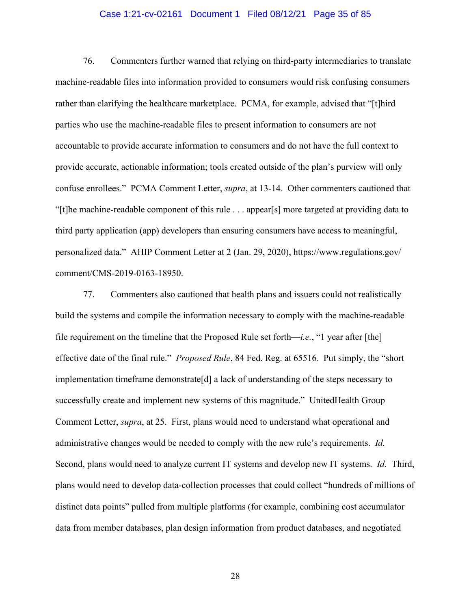### Case 1:21-cv-02161 Document 1 Filed 08/12/21 Page 35 of 85

76. Commenters further warned that relying on third-party intermediaries to translate machine-readable files into information provided to consumers would risk confusing consumers rather than clarifying the healthcare marketplace. PCMA, for example, advised that "[t]hird parties who use the machine-readable files to present information to consumers are not accountable to provide accurate information to consumers and do not have the full context to provide accurate, actionable information; tools created outside of the plan's purview will only confuse enrollees." PCMA Comment Letter, *supra*, at 13-14. Other commenters cautioned that "[t]he machine-readable component of this rule . . . appear[s] more targeted at providing data to third party application (app) developers than ensuring consumers have access to meaningful, personalized data." AHIP Comment Letter at 2 (Jan. 29, 2020), https://www.regulations.gov/ comment/CMS-2019-0163-18950.

77. Commenters also cautioned that health plans and issuers could not realistically build the systems and compile the information necessary to comply with the machine-readable file requirement on the timeline that the Proposed Rule set forth—*i.e.*, "1 year after [the] effective date of the final rule." *Proposed Rule*, 84 Fed. Reg. at 65516. Put simply, the "short implementation timeframe demonstrate[d] a lack of understanding of the steps necessary to successfully create and implement new systems of this magnitude." UnitedHealth Group Comment Letter, *supra*, at 25. First, plans would need to understand what operational and administrative changes would be needed to comply with the new rule's requirements. *Id.* Second, plans would need to analyze current IT systems and develop new IT systems. *Id.* Third, plans would need to develop data-collection processes that could collect "hundreds of millions of distinct data points" pulled from multiple platforms (for example, combining cost accumulator data from member databases, plan design information from product databases, and negotiated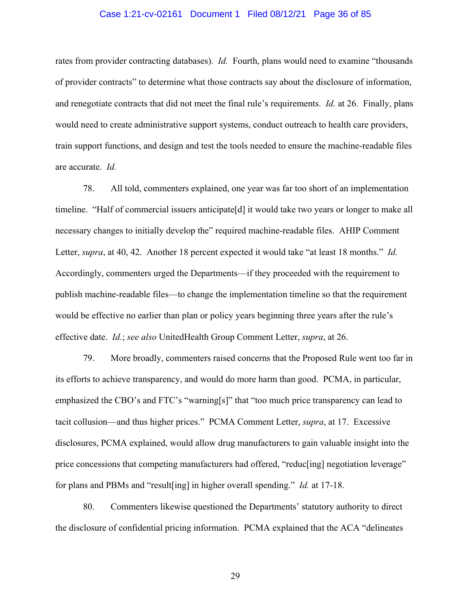### Case 1:21-cv-02161 Document 1 Filed 08/12/21 Page 36 of 85

rates from provider contracting databases). *Id.* Fourth, plans would need to examine "thousands of provider contracts" to determine what those contracts say about the disclosure of information, and renegotiate contracts that did not meet the final rule's requirements. *Id.* at 26. Finally, plans would need to create administrative support systems, conduct outreach to health care providers, train support functions, and design and test the tools needed to ensure the machine-readable files are accurate. *Id.*

78. All told, commenters explained, one year was far too short of an implementation timeline. "Half of commercial issuers anticipate[d] it would take two years or longer to make all necessary changes to initially develop the" required machine-readable files. AHIP Comment Letter, *supra*, at 40, 42. Another 18 percent expected it would take "at least 18 months." *Id.* Accordingly, commenters urged the Departments—if they proceeded with the requirement to publish machine-readable files—to change the implementation timeline so that the requirement would be effective no earlier than plan or policy years beginning three years after the rule's effective date. *Id.*; *see also* UnitedHealth Group Comment Letter, *supra*, at 26.

79. More broadly, commenters raised concerns that the Proposed Rule went too far in its efforts to achieve transparency, and would do more harm than good. PCMA, in particular, emphasized the CBO's and FTC's "warning[s]" that "too much price transparency can lead to tacit collusion—and thus higher prices." PCMA Comment Letter, *supra*, at 17. Excessive disclosures, PCMA explained, would allow drug manufacturers to gain valuable insight into the price concessions that competing manufacturers had offered, "reduc[ing] negotiation leverage" for plans and PBMs and "result[ing] in higher overall spending." *Id.* at 17-18.

80. Commenters likewise questioned the Departments' statutory authority to direct the disclosure of confidential pricing information. PCMA explained that the ACA "delineates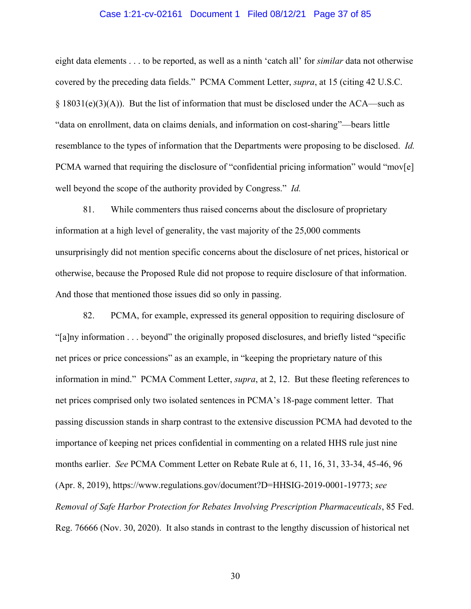#### Case 1:21-cv-02161 Document 1 Filed 08/12/21 Page 37 of 85

eight data elements . . . to be reported, as well as a ninth 'catch all' for *similar* data not otherwise covered by the preceding data fields." PCMA Comment Letter, *supra*, at 15 (citing 42 U.S.C.  $\S$  18031(e)(3)(A)). But the list of information that must be disclosed under the ACA—such as "data on enrollment, data on claims denials, and information on cost-sharing"—bears little resemblance to the types of information that the Departments were proposing to be disclosed. *Id.* PCMA warned that requiring the disclosure of "confidential pricing information" would "mov[e] well beyond the scope of the authority provided by Congress." *Id.*

81. While commenters thus raised concerns about the disclosure of proprietary information at a high level of generality, the vast majority of the 25,000 comments unsurprisingly did not mention specific concerns about the disclosure of net prices, historical or otherwise, because the Proposed Rule did not propose to require disclosure of that information. And those that mentioned those issues did so only in passing.

82. PCMA, for example, expressed its general opposition to requiring disclosure of "[a]ny information . . . beyond" the originally proposed disclosures, and briefly listed "specific net prices or price concessions" as an example, in "keeping the proprietary nature of this information in mind." PCMA Comment Letter, *supra*, at 2, 12. But these fleeting references to net prices comprised only two isolated sentences in PCMA's 18-page comment letter. That passing discussion stands in sharp contrast to the extensive discussion PCMA had devoted to the importance of keeping net prices confidential in commenting on a related HHS rule just nine months earlier. *See* PCMA Comment Letter on Rebate Rule at 6, 11, 16, 31, 33-34, 45-46, 96 (Apr. 8, 2019), https://www.regulations.gov/document?D=HHSIG-2019-0001-19773; *see Removal of Safe Harbor Protection for Rebates Involving Prescription Pharmaceuticals*, 85 Fed. Reg. 76666 (Nov. 30, 2020). It also stands in contrast to the lengthy discussion of historical net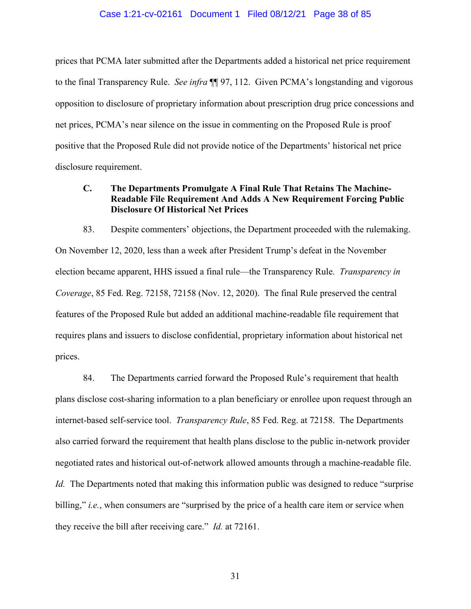#### Case 1:21-cv-02161 Document 1 Filed 08/12/21 Page 38 of 85

prices that PCMA later submitted after the Departments added a historical net price requirement to the final Transparency Rule. *See infra* ¶¶ 97, 112. Given PCMA's longstanding and vigorous opposition to disclosure of proprietary information about prescription drug price concessions and net prices, PCMA's near silence on the issue in commenting on the Proposed Rule is proof positive that the Proposed Rule did not provide notice of the Departments' historical net price disclosure requirement.

## **C. The Departments Promulgate A Final Rule That Retains The Machine-Readable File Requirement And Adds A New Requirement Forcing Public Disclosure Of Historical Net Prices**

83. Despite commenters' objections, the Department proceeded with the rulemaking. On November 12, 2020, less than a week after President Trump's defeat in the November election became apparent, HHS issued a final rule—the Transparency Rule. *Transparency in Coverage*, 85 Fed. Reg. 72158, 72158 (Nov. 12, 2020). The final Rule preserved the central features of the Proposed Rule but added an additional machine-readable file requirement that requires plans and issuers to disclose confidential, proprietary information about historical net prices.

84. The Departments carried forward the Proposed Rule's requirement that health plans disclose cost-sharing information to a plan beneficiary or enrollee upon request through an internet-based self-service tool. *Transparency Rule*, 85 Fed. Reg. at 72158. The Departments also carried forward the requirement that health plans disclose to the public in-network provider negotiated rates and historical out-of-network allowed amounts through a machine-readable file. *Id.* The Departments noted that making this information public was designed to reduce "surprise billing," *i.e.*, when consumers are "surprised by the price of a health care item or service when they receive the bill after receiving care." *Id.* at 72161.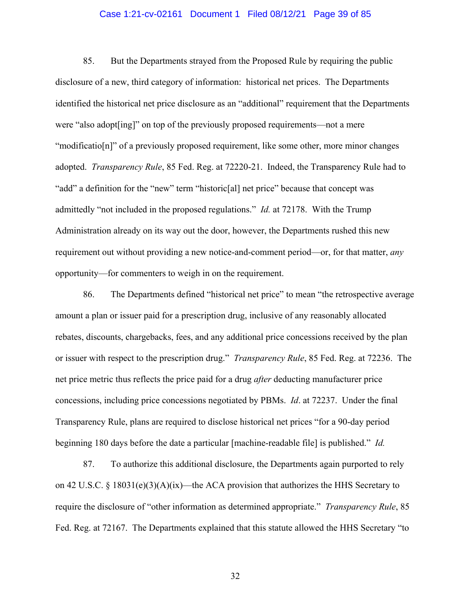#### Case 1:21-cv-02161 Document 1 Filed 08/12/21 Page 39 of 85

85. But the Departments strayed from the Proposed Rule by requiring the public disclosure of a new, third category of information: historical net prices. The Departments identified the historical net price disclosure as an "additional" requirement that the Departments were "also adopt[ing]" on top of the previously proposed requirements—not a mere "modificatio[n]" of a previously proposed requirement, like some other, more minor changes adopted. *Transparency Rule*, 85 Fed. Reg. at 72220-21. Indeed, the Transparency Rule had to "add" a definition for the "new" term "historic[al] net price" because that concept was admittedly "not included in the proposed regulations." *Id.* at 72178. With the Trump Administration already on its way out the door, however, the Departments rushed this new requirement out without providing a new notice-and-comment period—or, for that matter, *any* opportunity—for commenters to weigh in on the requirement.

86. The Departments defined "historical net price" to mean "the retrospective average amount a plan or issuer paid for a prescription drug, inclusive of any reasonably allocated rebates, discounts, chargebacks, fees, and any additional price concessions received by the plan or issuer with respect to the prescription drug." *Transparency Rule*, 85 Fed. Reg. at 72236. The net price metric thus reflects the price paid for a drug *after* deducting manufacturer price concessions, including price concessions negotiated by PBMs. *Id*. at 72237. Under the final Transparency Rule, plans are required to disclose historical net prices "for a 90-day period beginning 180 days before the date a particular [machine-readable file] is published." *Id.* 

87. To authorize this additional disclosure, the Departments again purported to rely on 42 U.S.C. § 18031(e)(3)(A)(ix)—the ACA provision that authorizes the HHS Secretary to require the disclosure of "other information as determined appropriate." *Transparency Rule*, 85 Fed. Reg. at 72167. The Departments explained that this statute allowed the HHS Secretary "to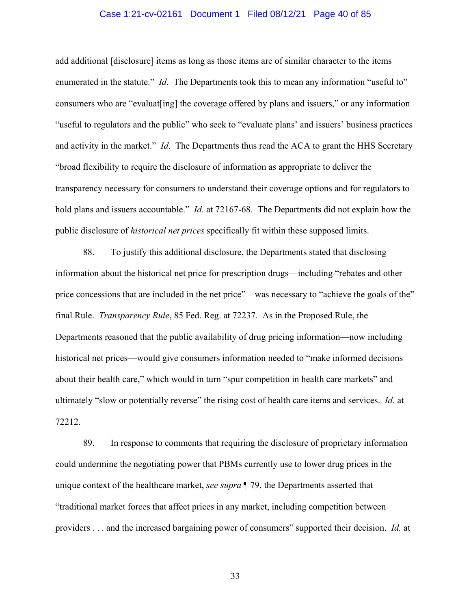#### Case 1:21-cv-02161 Document 1 Filed 08/12/21 Page 40 of 85

add additional [disclosure] items as long as those items are of similar character to the items enumerated in the statute." *Id.* The Departments took this to mean any information "useful to" consumers who are "evaluat[ing] the coverage offered by plans and issuers," or any information "useful to regulators and the public" who seek to "evaluate plans' and issuers' business practices and activity in the market." *Id*. The Departments thus read the ACA to grant the HHS Secretary "broad flexibility to require the disclosure of information as appropriate to deliver the transparency necessary for consumers to understand their coverage options and for regulators to hold plans and issuers accountable." *Id.* at 72167-68. The Departments did not explain how the public disclosure of *historical net prices* specifically fit within these supposed limits.

88. To justify this additional disclosure, the Departments stated that disclosing information about the historical net price for prescription drugs—including "rebates and other price concessions that are included in the net price"—was necessary to "achieve the goals of the" final Rule. *Transparency Rule*, 85 Fed. Reg. at 72237. As in the Proposed Rule, the Departments reasoned that the public availability of drug pricing information—now including historical net prices—would give consumers information needed to "make informed decisions about their health care," which would in turn "spur competition in health care markets" and ultimately "slow or potentially reverse" the rising cost of health care items and services. *Id.* at 72212.

89. In response to comments that requiring the disclosure of proprietary information could undermine the negotiating power that PBMs currently use to lower drug prices in the unique context of the healthcare market, *see supra* ¶ 79, the Departments asserted that "traditional market forces that affect prices in any market, including competition between providers . . . and the increased bargaining power of consumers" supported their decision. *Id.* at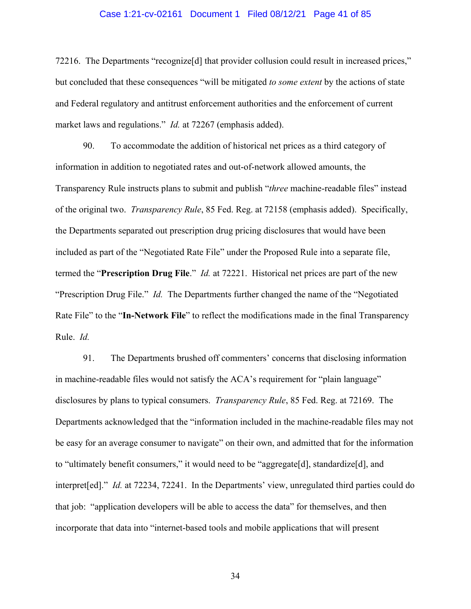#### Case 1:21-cv-02161 Document 1 Filed 08/12/21 Page 41 of 85

72216. The Departments "recognize<sup>[d]</sup> that provider collusion could result in increased prices," but concluded that these consequences "will be mitigated *to some extent* by the actions of state and Federal regulatory and antitrust enforcement authorities and the enforcement of current market laws and regulations." *Id.* at 72267 (emphasis added).

90. To accommodate the addition of historical net prices as a third category of information in addition to negotiated rates and out-of-network allowed amounts, the Transparency Rule instructs plans to submit and publish "*three* machine-readable files" instead of the original two. *Transparency Rule*, 85 Fed. Reg. at 72158 (emphasis added). Specifically, the Departments separated out prescription drug pricing disclosures that would have been included as part of the "Negotiated Rate File" under the Proposed Rule into a separate file, termed the "**Prescription Drug File**." *Id.* at 72221. Historical net prices are part of the new "Prescription Drug File." *Id.* The Departments further changed the name of the "Negotiated Rate File" to the "**In-Network File**" to reflect the modifications made in the final Transparency Rule. *Id.*

91. The Departments brushed off commenters' concerns that disclosing information in machine-readable files would not satisfy the ACA's requirement for "plain language" disclosures by plans to typical consumers. *Transparency Rule*, 85 Fed. Reg. at 72169. The Departments acknowledged that the "information included in the machine-readable files may not be easy for an average consumer to navigate" on their own, and admitted that for the information to "ultimately benefit consumers," it would need to be "aggregate[d], standardize[d], and interpret[ed]." *Id.* at 72234, 72241. In the Departments' view, unregulated third parties could do that job: "application developers will be able to access the data" for themselves, and then incorporate that data into "internet-based tools and mobile applications that will present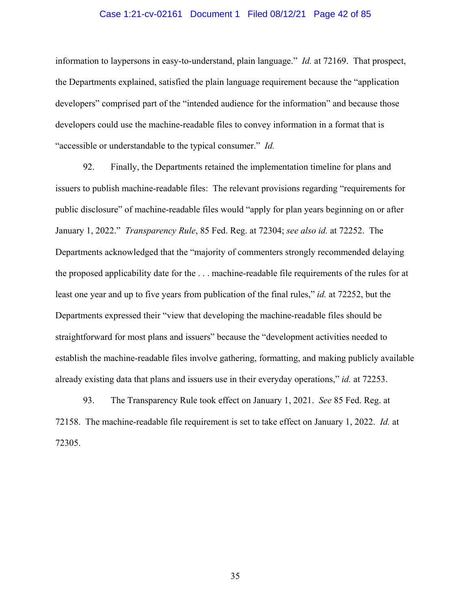#### Case 1:21-cv-02161 Document 1 Filed 08/12/21 Page 42 of 85

information to laypersons in easy-to-understand, plain language." *Id.* at 72169. That prospect, the Departments explained, satisfied the plain language requirement because the "application developers" comprised part of the "intended audience for the information" and because those developers could use the machine-readable files to convey information in a format that is "accessible or understandable to the typical consumer." *Id.*

92. Finally, the Departments retained the implementation timeline for plans and issuers to publish machine-readable files: The relevant provisions regarding "requirements for public disclosure" of machine-readable files would "apply for plan years beginning on or after January 1, 2022." *Transparency Rule*, 85 Fed. Reg. at 72304; *see also id.* at 72252. The Departments acknowledged that the "majority of commenters strongly recommended delaying the proposed applicability date for the . . . machine-readable file requirements of the rules for at least one year and up to five years from publication of the final rules," *id.* at 72252, but the Departments expressed their "view that developing the machine-readable files should be straightforward for most plans and issuers" because the "development activities needed to establish the machine-readable files involve gathering, formatting, and making publicly available already existing data that plans and issuers use in their everyday operations," *id.* at 72253.

93. The Transparency Rule took effect on January 1, 2021. *See* 85 Fed. Reg. at 72158. The machine-readable file requirement is set to take effect on January 1, 2022. *Id.* at 72305.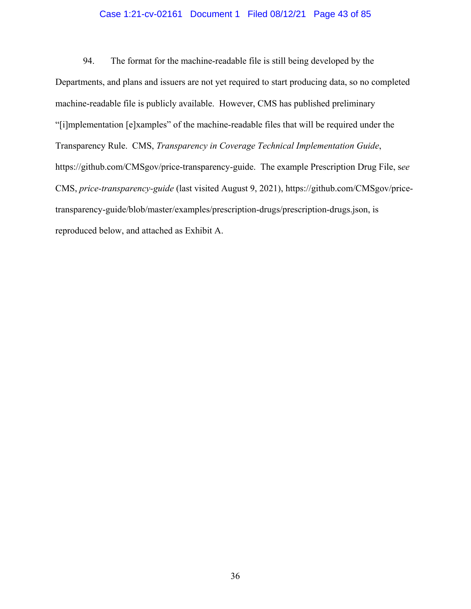#### Case 1:21-cv-02161 Document 1 Filed 08/12/21 Page 43 of 85

94. The format for the machine-readable file is still being developed by the Departments, and plans and issuers are not yet required to start producing data, so no completed machine-readable file is publicly available. However, CMS has published preliminary "[i]mplementation [e]xamples" of the machine-readable files that will be required under the Transparency Rule. CMS, *Transparency in Coverage Technical Implementation Guide*, https://github.com/CMSgov/price-transparency-guide. The example Prescription Drug File, s*ee* CMS, *price-transparency-guide* (last visited August 9, 2021), https://github.com/CMSgov/pricetransparency-guide/blob/master/examples/prescription-drugs/prescription-drugs.json, is reproduced below, and attached as Exhibit A.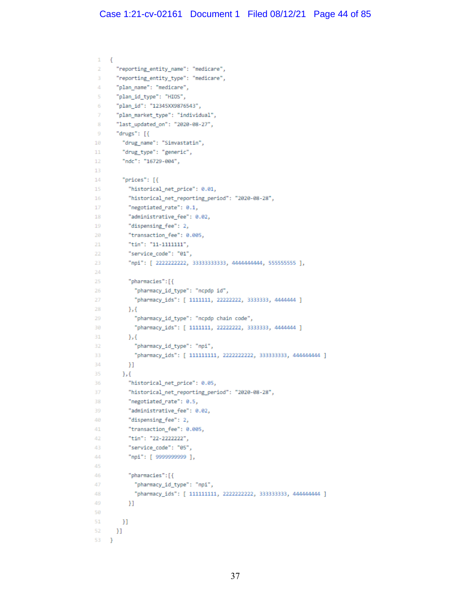```
\mathbf{1}\overline{\mathcal{L}}\bar{2}"reporting entity name": "medicare",
       "reporting_entity_type": "medicare",
 R
 \Delta"plan_name": "medicare",
       "plan_id_type": "HIOS",
 \mathbb{R}"plan_id": "12345XX9876543",
 6
       "plan_market_type": "individual",
 \overline{z}"last_updated_on": "2020-08-27",
 \bf8"drugs": [{
 \mathbf Q10
          "drug_name": "Simvastatin",
11"drug_type": "generic",
12
          "ndc": "16729-004",
13
14"prices": [{
15
           "historical net price": 0.01,
            "historical_net_reporting_period": "2020-08-28",
16
17
            "negotiated_rate": 0.1,
           "administrative_fee": 0.02,
18
19
           "dispensing fee": 2,
            "transaction_fee": 0.005,
20
            "tin": "11-1111111",
2122"service_code": "01",
            "npi": [ 2222222222, 33333333333, 4444444444, 555555555 ],
23
24
25"pharmacies": [{
26
             "pharmacy_id_type": "ncpdp_id",
27
              "pharmacy_ids": [ 1111111, 22222222, 3333333, 4444444 ]
28
           \mathcal{H}"pharmacy_id_type": "ncpdp chain code",
29
30
              "pharmacy_ids": [ 1111111, 22222222, 3333333, 4444444 ]
31
            \mathcal{V}32
              "pharmacy_id_type": "npi",
33
              "pharmacy_ids": [ 111111111, 2222222222, 333333333, 444444444 ]
34
           _{\rm H}35
         \mathcal{L}"historical_net_price": 0.05,
36
37
            "historical net reporting period": "2020-08-28",
            "negotiated_rate": 0.5,
38
            "administrative_fee": 0.02,
39
            "dispensing_fee": 2,
48
41
           "transaction fee": 0.005,
            "tin": "22-2222222",
42
43
            "service_code": "05",
44
            "npi": [ 9999999999 ],
45
46
            "pharmacies":[{
47
              "pharmacy_id_type": "npi",
48
              "pharmacy_ids": [ 111111111, 2222222222, 333333333, 444444444 ]
49
           _{\rm H}50
51
         _{\rm H}52
       _{\rm H}53
     \mathcal{F}
```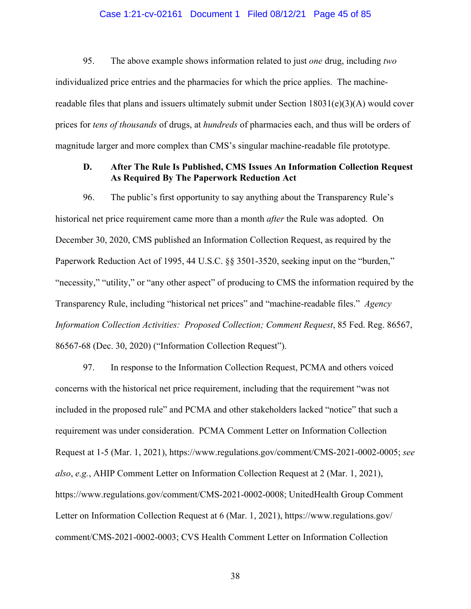#### Case 1:21-cv-02161 Document 1 Filed 08/12/21 Page 45 of 85

95. The above example shows information related to just *one* drug, including *two* individualized price entries and the pharmacies for which the price applies. The machinereadable files that plans and issuers ultimately submit under Section  $18031(e)(3)(A)$  would cover prices for *tens of thousands* of drugs, at *hundreds* of pharmacies each, and thus will be orders of magnitude larger and more complex than CMS's singular machine-readable file prototype.

### **D. After The Rule Is Published, CMS Issues An Information Collection Request As Required By The Paperwork Reduction Act**

96. The public's first opportunity to say anything about the Transparency Rule's historical net price requirement came more than a month *after* the Rule was adopted. On December 30, 2020, CMS published an Information Collection Request, as required by the Paperwork Reduction Act of 1995, 44 U.S.C. §§ 3501-3520, seeking input on the "burden," "necessity," "utility," or "any other aspect" of producing to CMS the information required by the Transparency Rule, including "historical net prices" and "machine-readable files." *Agency Information Collection Activities: Proposed Collection; Comment Request*, 85 Fed. Reg. 86567, 86567-68 (Dec. 30, 2020) ("Information Collection Request").

97. In response to the Information Collection Request, PCMA and others voiced concerns with the historical net price requirement, including that the requirement "was not included in the proposed rule" and PCMA and other stakeholders lacked "notice" that such a requirement was under consideration. PCMA Comment Letter on Information Collection Request at 1-5 (Mar. 1, 2021), https://www.regulations.gov/comment/CMS-2021-0002-0005; *see also*, *e.g.*, AHIP Comment Letter on Information Collection Request at 2 (Mar. 1, 2021), https://www.regulations.gov/comment/CMS-2021-0002-0008; UnitedHealth Group Comment Letter on Information Collection Request at 6 (Mar. 1, 2021), https://www.regulations.gov/ comment/CMS-2021-0002-0003; CVS Health Comment Letter on Information Collection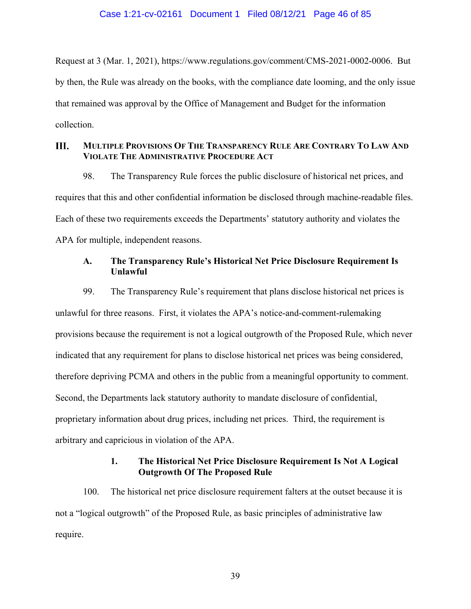Request at 3 (Mar. 1, 2021), https://www.regulations.gov/comment/CMS-2021-0002-0006. But by then, the Rule was already on the books, with the compliance date looming, and the only issue that remained was approval by the Office of Management and Budget for the information collection.

#### III. **MULTIPLE PROVISIONS OF THE TRANSPARENCY RULE ARE CONTRARY TO LAW AND VIOLATE THE ADMINISTRATIVE PROCEDURE ACT**

98. The Transparency Rule forces the public disclosure of historical net prices, and requires that this and other confidential information be disclosed through machine-readable files. Each of these two requirements exceeds the Departments' statutory authority and violates the APA for multiple, independent reasons.

# **A. The Transparency Rule's Historical Net Price Disclosure Requirement Is Unlawful**

99. The Transparency Rule's requirement that plans disclose historical net prices is unlawful for three reasons. First, it violates the APA's notice-and-comment-rulemaking provisions because the requirement is not a logical outgrowth of the Proposed Rule, which never indicated that any requirement for plans to disclose historical net prices was being considered, therefore depriving PCMA and others in the public from a meaningful opportunity to comment. Second, the Departments lack statutory authority to mandate disclosure of confidential, proprietary information about drug prices, including net prices. Third, the requirement is arbitrary and capricious in violation of the APA.

# **1. The Historical Net Price Disclosure Requirement Is Not A Logical Outgrowth Of The Proposed Rule**

100. The historical net price disclosure requirement falters at the outset because it is not a "logical outgrowth" of the Proposed Rule, as basic principles of administrative law require.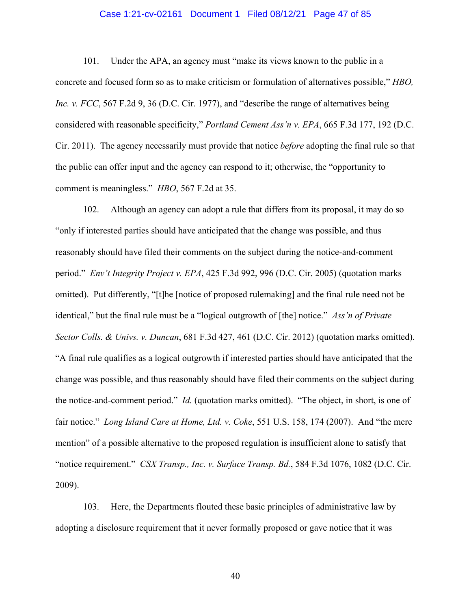#### Case 1:21-cv-02161 Document 1 Filed 08/12/21 Page 47 of 85

101. Under the APA, an agency must "make its views known to the public in a concrete and focused form so as to make criticism or formulation of alternatives possible," *HBO, Inc. v. FCC*, 567 F.2d 9, 36 (D.C. Cir. 1977), and "describe the range of alternatives being considered with reasonable specificity," *Portland Cement Ass'n v. EPA*, 665 F.3d 177, 192 (D.C. Cir. 2011). The agency necessarily must provide that notice *before* adopting the final rule so that the public can offer input and the agency can respond to it; otherwise, the "opportunity to comment is meaningless." *HBO*, 567 F.2d at 35.

102. Although an agency can adopt a rule that differs from its proposal, it may do so "only if interested parties should have anticipated that the change was possible, and thus reasonably should have filed their comments on the subject during the notice-and-comment period." *Env't Integrity Project v. EPA*, 425 F.3d 992, 996 (D.C. Cir. 2005) (quotation marks omitted). Put differently, "[t]he [notice of proposed rulemaking] and the final rule need not be identical," but the final rule must be a "logical outgrowth of [the] notice." *Ass'n of Private Sector Colls. & Univs. v. Duncan*, 681 F.3d 427, 461 (D.C. Cir. 2012) (quotation marks omitted). "A final rule qualifies as a logical outgrowth if interested parties should have anticipated that the change was possible, and thus reasonably should have filed their comments on the subject during the notice-and-comment period." *Id.* (quotation marks omitted). "The object, in short, is one of fair notice." *Long Island Care at Home, Ltd. v. Coke*, 551 U.S. 158, 174 (2007). And "the mere mention" of a possible alternative to the proposed regulation is insufficient alone to satisfy that "notice requirement." *CSX Transp., Inc. v. Surface Transp. Bd.*, 584 F.3d 1076, 1082 (D.C. Cir. 2009).

103. Here, the Departments flouted these basic principles of administrative law by adopting a disclosure requirement that it never formally proposed or gave notice that it was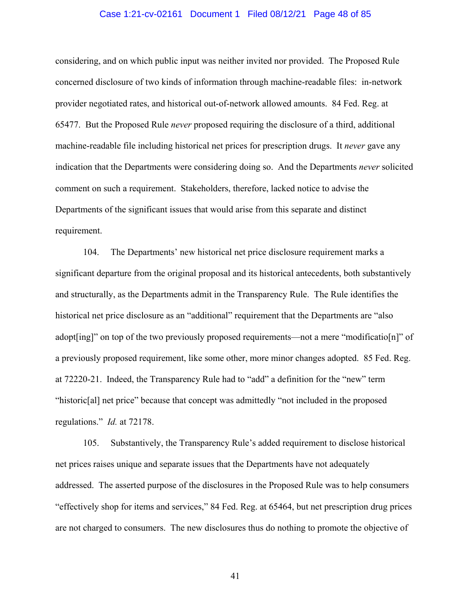#### Case 1:21-cv-02161 Document 1 Filed 08/12/21 Page 48 of 85

considering, and on which public input was neither invited nor provided. The Proposed Rule concerned disclosure of two kinds of information through machine-readable files: in-network provider negotiated rates, and historical out-of-network allowed amounts. 84 Fed. Reg. at 65477. But the Proposed Rule *never* proposed requiring the disclosure of a third, additional machine-readable file including historical net prices for prescription drugs. It *never* gave any indication that the Departments were considering doing so. And the Departments *never* solicited comment on such a requirement. Stakeholders, therefore, lacked notice to advise the Departments of the significant issues that would arise from this separate and distinct requirement.

104. The Departments' new historical net price disclosure requirement marks a significant departure from the original proposal and its historical antecedents, both substantively and structurally, as the Departments admit in the Transparency Rule. The Rule identifies the historical net price disclosure as an "additional" requirement that the Departments are "also adopt[ing]" on top of the two previously proposed requirements—not a mere "modificatio[n]" of a previously proposed requirement, like some other, more minor changes adopted. 85 Fed. Reg. at 72220-21. Indeed, the Transparency Rule had to "add" a definition for the "new" term "historic[al] net price" because that concept was admittedly "not included in the proposed regulations." *Id.* at 72178.

105. Substantively, the Transparency Rule's added requirement to disclose historical net prices raises unique and separate issues that the Departments have not adequately addressed. The asserted purpose of the disclosures in the Proposed Rule was to help consumers "effectively shop for items and services," 84 Fed. Reg. at 65464, but net prescription drug prices are not charged to consumers. The new disclosures thus do nothing to promote the objective of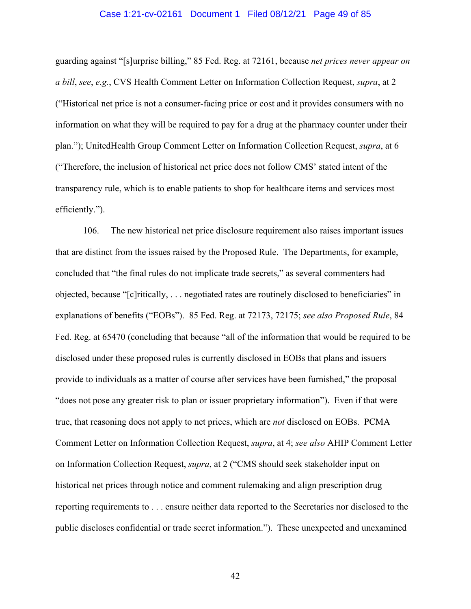#### Case 1:21-cv-02161 Document 1 Filed 08/12/21 Page 49 of 85

guarding against "[s]urprise billing," 85 Fed. Reg. at 72161, because *net prices never appear on a bill*, *see*, *e.g.*, CVS Health Comment Letter on Information Collection Request, *supra*, at 2 ("Historical net price is not a consumer-facing price or cost and it provides consumers with no information on what they will be required to pay for a drug at the pharmacy counter under their plan."); UnitedHealth Group Comment Letter on Information Collection Request, *supra*, at 6 ("Therefore, the inclusion of historical net price does not follow CMS' stated intent of the transparency rule, which is to enable patients to shop for healthcare items and services most efficiently.").

106. The new historical net price disclosure requirement also raises important issues that are distinct from the issues raised by the Proposed Rule. The Departments, for example, concluded that "the final rules do not implicate trade secrets," as several commenters had objected, because "[c]ritically, . . . negotiated rates are routinely disclosed to beneficiaries" in explanations of benefits ("EOBs"). 85 Fed. Reg. at 72173, 72175; *see also Proposed Rule*, 84 Fed. Reg. at 65470 (concluding that because "all of the information that would be required to be disclosed under these proposed rules is currently disclosed in EOBs that plans and issuers provide to individuals as a matter of course after services have been furnished," the proposal "does not pose any greater risk to plan or issuer proprietary information"). Even if that were true, that reasoning does not apply to net prices, which are *not* disclosed on EOBs. PCMA Comment Letter on Information Collection Request, *supra*, at 4; *see also* AHIP Comment Letter on Information Collection Request, *supra*, at 2 ("CMS should seek stakeholder input on historical net prices through notice and comment rulemaking and align prescription drug reporting requirements to . . . ensure neither data reported to the Secretaries nor disclosed to the public discloses confidential or trade secret information."). These unexpected and unexamined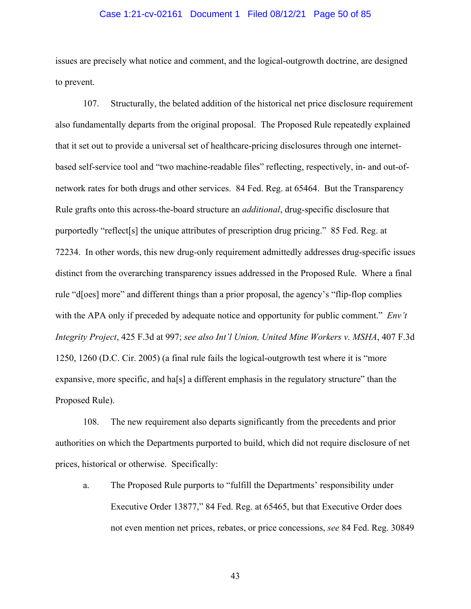#### Case 1:21-cv-02161 Document 1 Filed 08/12/21 Page 50 of 85

issues are precisely what notice and comment, and the logical-outgrowth doctrine, are designed to prevent.

107. Structurally, the belated addition of the historical net price disclosure requirement also fundamentally departs from the original proposal. The Proposed Rule repeatedly explained that it set out to provide a universal set of healthcare-pricing disclosures through one internetbased self-service tool and "two machine-readable files" reflecting, respectively, in- and out-ofnetwork rates for both drugs and other services. 84 Fed. Reg. at 65464. But the Transparency Rule grafts onto this across-the-board structure an *additional*, drug-specific disclosure that purportedly "reflect[s] the unique attributes of prescription drug pricing." 85 Fed. Reg. at 72234. In other words, this new drug-only requirement admittedly addresses drug-specific issues distinct from the overarching transparency issues addressed in the Proposed Rule. Where a final rule "d[oes] more" and different things than a prior proposal, the agency's "flip-flop complies with the APA only if preceded by adequate notice and opportunity for public comment." *Env't Integrity Project*, 425 F.3d at 997; *see also Int'l Union, United Mine Workers v. MSHA*, 407 F.3d 1250, 1260 (D.C. Cir. 2005) (a final rule fails the logical-outgrowth test where it is "more expansive, more specific, and ha[s] a different emphasis in the regulatory structure" than the Proposed Rule).

108. The new requirement also departs significantly from the precedents and prior authorities on which the Departments purported to build, which did not require disclosure of net prices, historical or otherwise. Specifically:

a. The Proposed Rule purports to "fulfill the Departments' responsibility under Executive Order 13877," 84 Fed. Reg. at 65465, but that Executive Order does not even mention net prices, rebates, or price concessions, *see* 84 Fed. Reg. 30849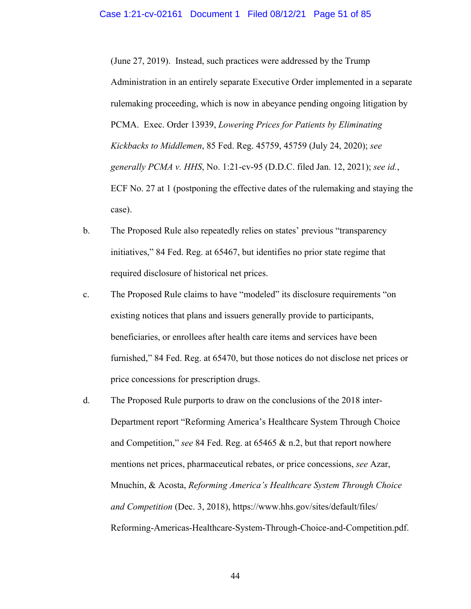(June 27, 2019). Instead, such practices were addressed by the Trump Administration in an entirely separate Executive Order implemented in a separate rulemaking proceeding, which is now in abeyance pending ongoing litigation by PCMA. Exec. Order 13939, *Lowering Prices for Patients by Eliminating Kickbacks to Middlemen*, 85 Fed. Reg. 45759, 45759 (July 24, 2020); *see generally PCMA v. HHS*, No. 1:21-cv-95 (D.D.C. filed Jan. 12, 2021); *see id.*, ECF No. 27 at 1 (postponing the effective dates of the rulemaking and staying the case).

- b. The Proposed Rule also repeatedly relies on states' previous "transparency initiatives," 84 Fed. Reg. at 65467, but identifies no prior state regime that required disclosure of historical net prices.
- c. The Proposed Rule claims to have "modeled" its disclosure requirements "on existing notices that plans and issuers generally provide to participants, beneficiaries, or enrollees after health care items and services have been furnished," 84 Fed. Reg. at 65470, but those notices do not disclose net prices or price concessions for prescription drugs.
- d. The Proposed Rule purports to draw on the conclusions of the 2018 inter-Department report "Reforming America's Healthcare System Through Choice and Competition," *see* 84 Fed. Reg. at 65465 & n.2, but that report nowhere mentions net prices, pharmaceutical rebates, or price concessions, *see* Azar, Mnuchin, & Acosta, *Reforming America's Healthcare System Through Choice and Competition* (Dec. 3, 2018), https://www.hhs.gov/sites/default/files/ Reforming-Americas-Healthcare-System-Through-Choice-and-Competition.pdf.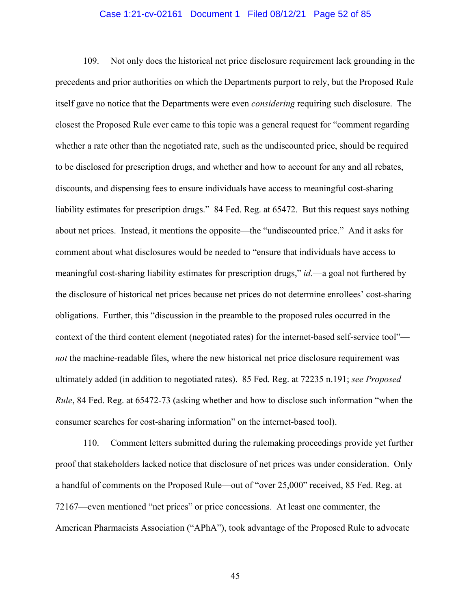#### Case 1:21-cv-02161 Document 1 Filed 08/12/21 Page 52 of 85

109. Not only does the historical net price disclosure requirement lack grounding in the precedents and prior authorities on which the Departments purport to rely, but the Proposed Rule itself gave no notice that the Departments were even *considering* requiring such disclosure. The closest the Proposed Rule ever came to this topic was a general request for "comment regarding whether a rate other than the negotiated rate, such as the undiscounted price, should be required to be disclosed for prescription drugs, and whether and how to account for any and all rebates, discounts, and dispensing fees to ensure individuals have access to meaningful cost-sharing liability estimates for prescription drugs." 84 Fed. Reg. at 65472. But this request says nothing about net prices. Instead, it mentions the opposite—the "undiscounted price." And it asks for comment about what disclosures would be needed to "ensure that individuals have access to meaningful cost-sharing liability estimates for prescription drugs," *id.*—a goal not furthered by the disclosure of historical net prices because net prices do not determine enrollees' cost-sharing obligations. Further, this "discussion in the preamble to the proposed rules occurred in the context of the third content element (negotiated rates) for the internet-based self-service tool" *not* the machine-readable files, where the new historical net price disclosure requirement was ultimately added (in addition to negotiated rates). 85 Fed. Reg. at 72235 n.191; *see Proposed Rule*, 84 Fed. Reg. at 65472-73 (asking whether and how to disclose such information "when the consumer searches for cost-sharing information" on the internet-based tool).

110. Comment letters submitted during the rulemaking proceedings provide yet further proof that stakeholders lacked notice that disclosure of net prices was under consideration. Only a handful of comments on the Proposed Rule—out of "over 25,000" received, 85 Fed. Reg. at 72167—even mentioned "net prices" or price concessions. At least one commenter, the American Pharmacists Association ("APhA"), took advantage of the Proposed Rule to advocate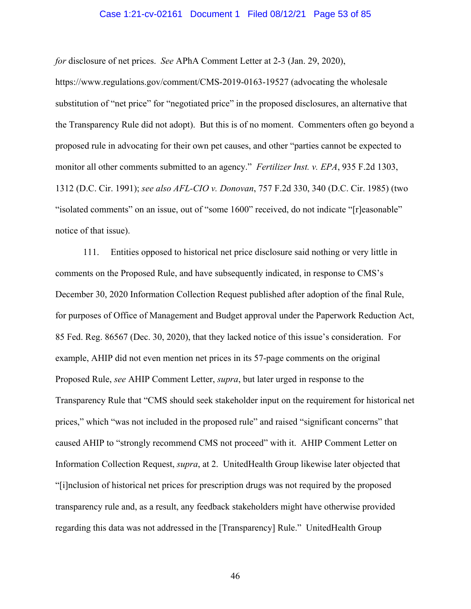#### Case 1:21-cv-02161 Document 1 Filed 08/12/21 Page 53 of 85

*for* disclosure of net prices. *See* APhA Comment Letter at 2-3 (Jan. 29, 2020),

https://www.regulations.gov/comment/CMS-2019-0163-19527 (advocating the wholesale substitution of "net price" for "negotiated price" in the proposed disclosures, an alternative that the Transparency Rule did not adopt). But this is of no moment. Commenters often go beyond a proposed rule in advocating for their own pet causes, and other "parties cannot be expected to monitor all other comments submitted to an agency." *Fertilizer Inst. v. EPA*, 935 F.2d 1303, 1312 (D.C. Cir. 1991); *see also AFL-CIO v. Donovan*, 757 F.2d 330, 340 (D.C. Cir. 1985) (two "isolated comments" on an issue, out of "some 1600" received, do not indicate "[r]easonable" notice of that issue).

111. Entities opposed to historical net price disclosure said nothing or very little in comments on the Proposed Rule, and have subsequently indicated, in response to CMS's December 30, 2020 Information Collection Request published after adoption of the final Rule, for purposes of Office of Management and Budget approval under the Paperwork Reduction Act, 85 Fed. Reg. 86567 (Dec. 30, 2020), that they lacked notice of this issue's consideration. For example, AHIP did not even mention net prices in its 57-page comments on the original Proposed Rule, *see* AHIP Comment Letter, *supra*, but later urged in response to the Transparency Rule that "CMS should seek stakeholder input on the requirement for historical net prices," which "was not included in the proposed rule" and raised "significant concerns" that caused AHIP to "strongly recommend CMS not proceed" with it. AHIP Comment Letter on Information Collection Request, *supra*, at 2. UnitedHealth Group likewise later objected that "[i]nclusion of historical net prices for prescription drugs was not required by the proposed transparency rule and, as a result, any feedback stakeholders might have otherwise provided regarding this data was not addressed in the [Transparency] Rule." UnitedHealth Group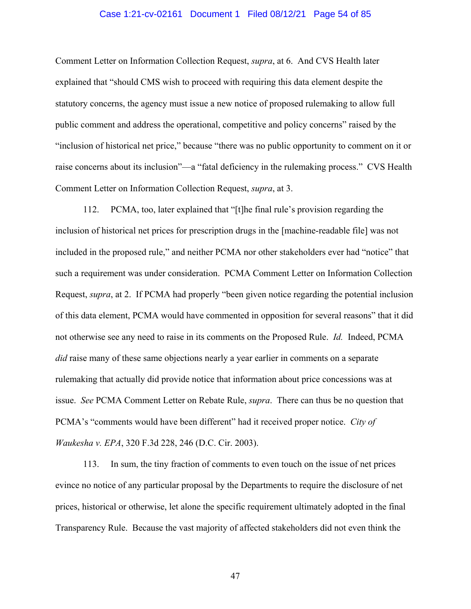#### Case 1:21-cv-02161 Document 1 Filed 08/12/21 Page 54 of 85

Comment Letter on Information Collection Request, *supra*, at 6. And CVS Health later explained that "should CMS wish to proceed with requiring this data element despite the statutory concerns, the agency must issue a new notice of proposed rulemaking to allow full public comment and address the operational, competitive and policy concerns" raised by the "inclusion of historical net price," because "there was no public opportunity to comment on it or raise concerns about its inclusion"—a "fatal deficiency in the rulemaking process." CVS Health Comment Letter on Information Collection Request, *supra*, at 3.

112. PCMA, too, later explained that "[t]he final rule's provision regarding the inclusion of historical net prices for prescription drugs in the [machine-readable file] was not included in the proposed rule," and neither PCMA nor other stakeholders ever had "notice" that such a requirement was under consideration. PCMA Comment Letter on Information Collection Request, *supra*, at 2. If PCMA had properly "been given notice regarding the potential inclusion of this data element, PCMA would have commented in opposition for several reasons" that it did not otherwise see any need to raise in its comments on the Proposed Rule. *Id.* Indeed, PCMA *did* raise many of these same objections nearly a year earlier in comments on a separate rulemaking that actually did provide notice that information about price concessions was at issue. *See* PCMA Comment Letter on Rebate Rule, *supra*. There can thus be no question that PCMA's "comments would have been different" had it received proper notice. *City of Waukesha v. EPA*, 320 F.3d 228, 246 (D.C. Cir. 2003).

113. In sum, the tiny fraction of comments to even touch on the issue of net prices evince no notice of any particular proposal by the Departments to require the disclosure of net prices, historical or otherwise, let alone the specific requirement ultimately adopted in the final Transparency Rule. Because the vast majority of affected stakeholders did not even think the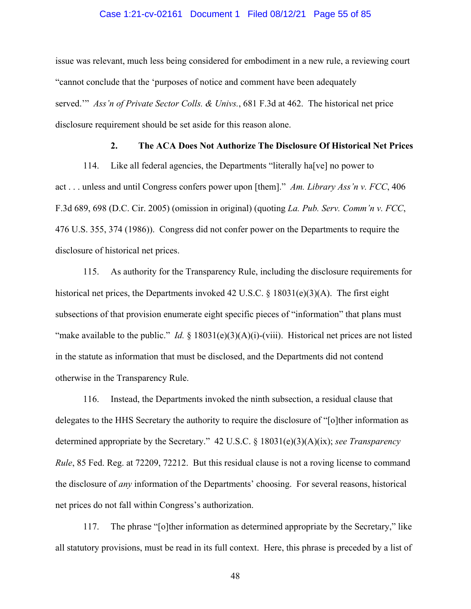#### Case 1:21-cv-02161 Document 1 Filed 08/12/21 Page 55 of 85

issue was relevant, much less being considered for embodiment in a new rule, a reviewing court "cannot conclude that the 'purposes of notice and comment have been adequately served.'" *Ass'n of Private Sector Colls. & Univs.*, 681 F.3d at 462. The historical net price disclosure requirement should be set aside for this reason alone.

### **2. The ACA Does Not Authorize The Disclosure Of Historical Net Prices**

114. Like all federal agencies, the Departments "literally ha[ve] no power to act . . . unless and until Congress confers power upon [them]." *Am. Library Ass'n v. FCC*, 406 F.3d 689, 698 (D.C. Cir. 2005) (omission in original) (quoting *La. Pub. Serv. Comm'n v. FCC*, 476 U.S. 355, 374 (1986)). Congress did not confer power on the Departments to require the disclosure of historical net prices.

115. As authority for the Transparency Rule, including the disclosure requirements for historical net prices, the Departments invoked 42 U.S.C. § 18031(e)(3)(A). The first eight subsections of that provision enumerate eight specific pieces of "information" that plans must "make available to the public." *Id.*  $\S 18031(e)(3)(A)(i)-(viii)$ . Historical net prices are not listed in the statute as information that must be disclosed, and the Departments did not contend otherwise in the Transparency Rule.

116. Instead, the Departments invoked the ninth subsection, a residual clause that delegates to the HHS Secretary the authority to require the disclosure of "[o]ther information as determined appropriate by the Secretary." 42 U.S.C. § 18031(e)(3)(A)(ix); *see Transparency Rule*, 85 Fed. Reg. at 72209, 72212. But this residual clause is not a roving license to command the disclosure of *any* information of the Departments' choosing. For several reasons, historical net prices do not fall within Congress's authorization.

117. The phrase "[o]ther information as determined appropriate by the Secretary," like all statutory provisions, must be read in its full context. Here, this phrase is preceded by a list of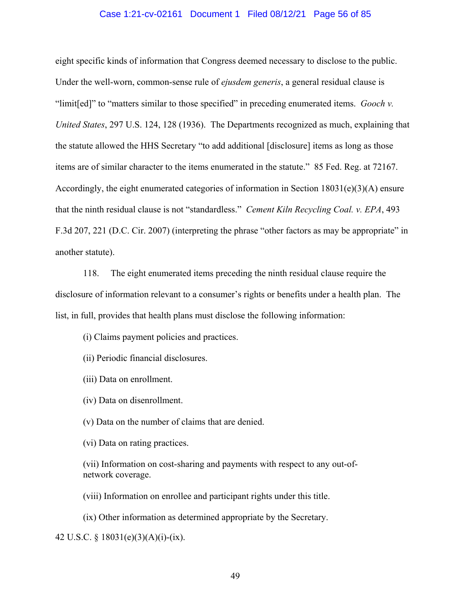#### Case 1:21-cv-02161 Document 1 Filed 08/12/21 Page 56 of 85

eight specific kinds of information that Congress deemed necessary to disclose to the public. Under the well-worn, common-sense rule of *ejusdem generis*, a general residual clause is "limit[ed]" to "matters similar to those specified" in preceding enumerated items. *Gooch v. United States*, 297 U.S. 124, 128 (1936). The Departments recognized as much, explaining that the statute allowed the HHS Secretary "to add additional [disclosure] items as long as those items are of similar character to the items enumerated in the statute." 85 Fed. Reg. at 72167. Accordingly, the eight enumerated categories of information in Section  $18031(e)(3)(A)$  ensure that the ninth residual clause is not "standardless." *Cement Kiln Recycling Coal. v. EPA*, 493 F.3d 207, 221 (D.C. Cir. 2007) (interpreting the phrase "other factors as may be appropriate" in another statute).

118. The eight enumerated items preceding the ninth residual clause require the disclosure of information relevant to a consumer's rights or benefits under a health plan. The list, in full, provides that health plans must disclose the following information:

(i) Claims payment policies and practices.

(ii) Periodic financial disclosures.

(iii) Data on enrollment.

(iv) Data on disenrollment.

(v) Data on the number of claims that are denied.

(vi) Data on rating practices.

(vii) Information on cost-sharing and payments with respect to any out-ofnetwork coverage.

(viii) Information on enrollee and participant rights under this title.

(ix) Other information as determined appropriate by the Secretary.

42 U.S.C. § 18031(e)(3)(A)(i)-(ix).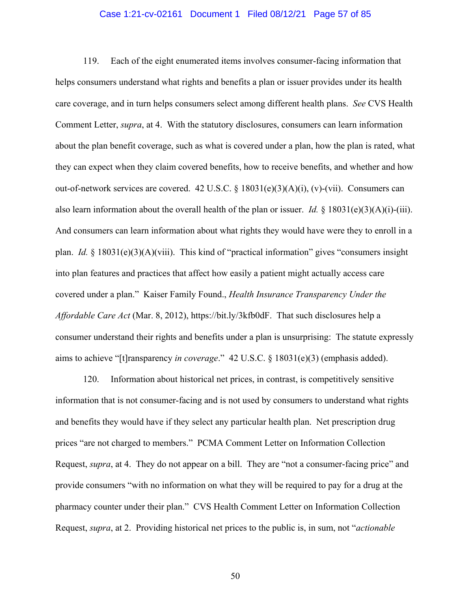#### Case 1:21-cv-02161 Document 1 Filed 08/12/21 Page 57 of 85

119. Each of the eight enumerated items involves consumer-facing information that helps consumers understand what rights and benefits a plan or issuer provides under its health care coverage, and in turn helps consumers select among different health plans. *See* CVS Health Comment Letter, *supra*, at 4. With the statutory disclosures, consumers can learn information about the plan benefit coverage, such as what is covered under a plan, how the plan is rated, what they can expect when they claim covered benefits, how to receive benefits, and whether and how out-of-network services are covered. 42 U.S.C.  $\S$  18031(e)(3)(A)(i), (v)-(vii). Consumers can also learn information about the overall health of the plan or issuer. *Id.* § 18031(e)(3)(A)(i)-(iii). And consumers can learn information about what rights they would have were they to enroll in a plan. *Id.* § 18031(e)(3)(A)(viii). This kind of "practical information" gives "consumers insight into plan features and practices that affect how easily a patient might actually access care covered under a plan." Kaiser Family Found., *Health Insurance Transparency Under the Affordable Care Act* (Mar. 8, 2012), https://bit.ly/3kfb0dF. That such disclosures help a consumer understand their rights and benefits under a plan is unsurprising: The statute expressly aims to achieve "[t]ransparency *in coverage*." 42 U.S.C. § 18031(e)(3) (emphasis added).

120. Information about historical net prices, in contrast, is competitively sensitive information that is not consumer-facing and is not used by consumers to understand what rights and benefits they would have if they select any particular health plan. Net prescription drug prices "are not charged to members." PCMA Comment Letter on Information Collection Request, *supra*, at 4. They do not appear on a bill. They are "not a consumer-facing price" and provide consumers "with no information on what they will be required to pay for a drug at the pharmacy counter under their plan." CVS Health Comment Letter on Information Collection Request, *supra*, at 2. Providing historical net prices to the public is, in sum, not "*actionable*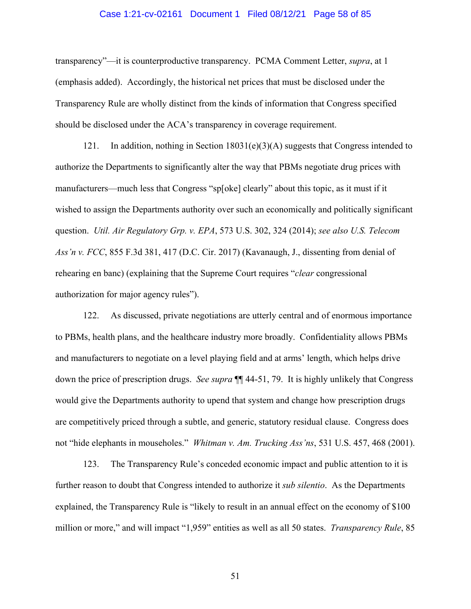#### Case 1:21-cv-02161 Document 1 Filed 08/12/21 Page 58 of 85

transparency"—it is counterproductive transparency. PCMA Comment Letter, *supra*, at 1 (emphasis added). Accordingly, the historical net prices that must be disclosed under the Transparency Rule are wholly distinct from the kinds of information that Congress specified should be disclosed under the ACA's transparency in coverage requirement.

121. In addition, nothing in Section 18031(e)(3)(A) suggests that Congress intended to authorize the Departments to significantly alter the way that PBMs negotiate drug prices with manufacturers—much less that Congress "sp[oke] clearly" about this topic, as it must if it wished to assign the Departments authority over such an economically and politically significant question. *Util. Air Regulatory Grp. v. EPA*, 573 U.S. 302, 324 (2014); *see also U.S. Telecom Ass'n v. FCC*, 855 F.3d 381, 417 (D.C. Cir. 2017) (Kavanaugh, J., dissenting from denial of rehearing en banc) (explaining that the Supreme Court requires "*clear* congressional authorization for major agency rules").

122. As discussed, private negotiations are utterly central and of enormous importance to PBMs, health plans, and the healthcare industry more broadly. Confidentiality allows PBMs and manufacturers to negotiate on a level playing field and at arms' length, which helps drive down the price of prescription drugs. *See supra* ¶¶ 44-51, 79. It is highly unlikely that Congress would give the Departments authority to upend that system and change how prescription drugs are competitively priced through a subtle, and generic, statutory residual clause. Congress does not "hide elephants in mouseholes." *Whitman v. Am. Trucking Ass'ns*, 531 U.S. 457, 468 (2001).

123. The Transparency Rule's conceded economic impact and public attention to it is further reason to doubt that Congress intended to authorize it *sub silentio*. As the Departments explained, the Transparency Rule is "likely to result in an annual effect on the economy of \$100 million or more," and will impact "1,959" entities as well as all 50 states. *Transparency Rule*, 85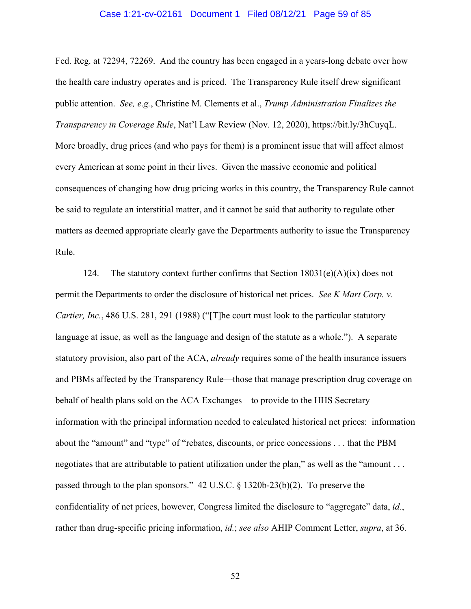#### Case 1:21-cv-02161 Document 1 Filed 08/12/21 Page 59 of 85

Fed. Reg. at 72294, 72269. And the country has been engaged in a years-long debate over how the health care industry operates and is priced. The Transparency Rule itself drew significant public attention. *See, e.g.*, Christine M. Clements et al., *Trump Administration Finalizes the Transparency in Coverage Rule*, Nat'l Law Review (Nov. 12, 2020), https://bit.ly/3hCuyqL. More broadly, drug prices (and who pays for them) is a prominent issue that will affect almost every American at some point in their lives. Given the massive economic and political consequences of changing how drug pricing works in this country, the Transparency Rule cannot be said to regulate an interstitial matter, and it cannot be said that authority to regulate other matters as deemed appropriate clearly gave the Departments authority to issue the Transparency Rule.

124. The statutory context further confirms that Section  $18031(e)(A)(ix)$  does not permit the Departments to order the disclosure of historical net prices. *See K Mart Corp. v. Cartier, Inc.*, 486 U.S. 281, 291 (1988) ("[T]he court must look to the particular statutory language at issue, as well as the language and design of the statute as a whole."). A separate statutory provision, also part of the ACA, *already* requires some of the health insurance issuers and PBMs affected by the Transparency Rule—those that manage prescription drug coverage on behalf of health plans sold on the ACA Exchanges—to provide to the HHS Secretary information with the principal information needed to calculated historical net prices: information about the "amount" and "type" of "rebates, discounts, or price concessions . . . that the PBM negotiates that are attributable to patient utilization under the plan," as well as the "amount . . . passed through to the plan sponsors." 42 U.S.C. § 1320b-23(b)(2). To preserve the confidentiality of net prices, however, Congress limited the disclosure to "aggregate" data, *id.*, rather than drug-specific pricing information, *id.*; *see also* AHIP Comment Letter, *supra*, at 36.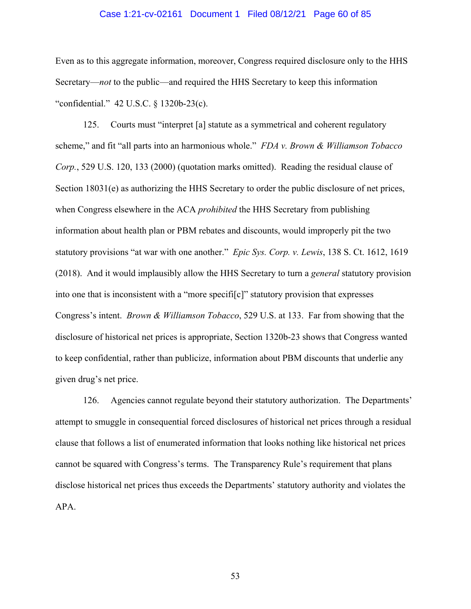#### Case 1:21-cv-02161 Document 1 Filed 08/12/21 Page 60 of 85

Even as to this aggregate information, moreover, Congress required disclosure only to the HHS Secretary—*not* to the public—and required the HHS Secretary to keep this information "confidential." 42 U.S.C. § 1320b-23(c).

125. Courts must "interpret [a] statute as a symmetrical and coherent regulatory scheme," and fit "all parts into an harmonious whole." *FDA v. Brown & Williamson Tobacco Corp.*, 529 U.S. 120, 133 (2000) (quotation marks omitted). Reading the residual clause of Section 18031(e) as authorizing the HHS Secretary to order the public disclosure of net prices, when Congress elsewhere in the ACA *prohibited* the HHS Secretary from publishing information about health plan or PBM rebates and discounts, would improperly pit the two statutory provisions "at war with one another." *Epic Sys. Corp. v. Lewis*, 138 S. Ct. 1612, 1619 (2018). And it would implausibly allow the HHS Secretary to turn a *general* statutory provision into one that is inconsistent with a "more specifi[c]" statutory provision that expresses Congress's intent. *Brown & Williamson Tobacco*, 529 U.S. at 133. Far from showing that the disclosure of historical net prices is appropriate, Section 1320b-23 shows that Congress wanted to keep confidential, rather than publicize, information about PBM discounts that underlie any given drug's net price.

126. Agencies cannot regulate beyond their statutory authorization. The Departments' attempt to smuggle in consequential forced disclosures of historical net prices through a residual clause that follows a list of enumerated information that looks nothing like historical net prices cannot be squared with Congress's terms. The Transparency Rule's requirement that plans disclose historical net prices thus exceeds the Departments' statutory authority and violates the APA.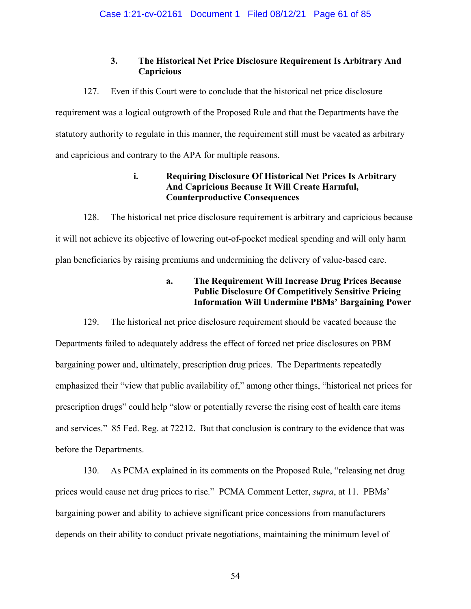# **3. The Historical Net Price Disclosure Requirement Is Arbitrary And Capricious**

127. Even if this Court were to conclude that the historical net price disclosure

requirement was a logical outgrowth of the Proposed Rule and that the Departments have the statutory authority to regulate in this manner, the requirement still must be vacated as arbitrary and capricious and contrary to the APA for multiple reasons.

# **i. Requiring Disclosure Of Historical Net Prices Is Arbitrary And Capricious Because It Will Create Harmful, Counterproductive Consequences**

128. The historical net price disclosure requirement is arbitrary and capricious because it will not achieve its objective of lowering out-of-pocket medical spending and will only harm plan beneficiaries by raising premiums and undermining the delivery of value-based care.

# **a. The Requirement Will Increase Drug Prices Because Public Disclosure Of Competitively Sensitive Pricing Information Will Undermine PBMs' Bargaining Power**

129. The historical net price disclosure requirement should be vacated because the Departments failed to adequately address the effect of forced net price disclosures on PBM bargaining power and, ultimately, prescription drug prices. The Departments repeatedly emphasized their "view that public availability of," among other things, "historical net prices for prescription drugs" could help "slow or potentially reverse the rising cost of health care items and services." 85 Fed. Reg. at 72212. But that conclusion is contrary to the evidence that was before the Departments.

130. As PCMA explained in its comments on the Proposed Rule, "releasing net drug prices would cause net drug prices to rise." PCMA Comment Letter, *supra*, at 11. PBMs' bargaining power and ability to achieve significant price concessions from manufacturers depends on their ability to conduct private negotiations, maintaining the minimum level of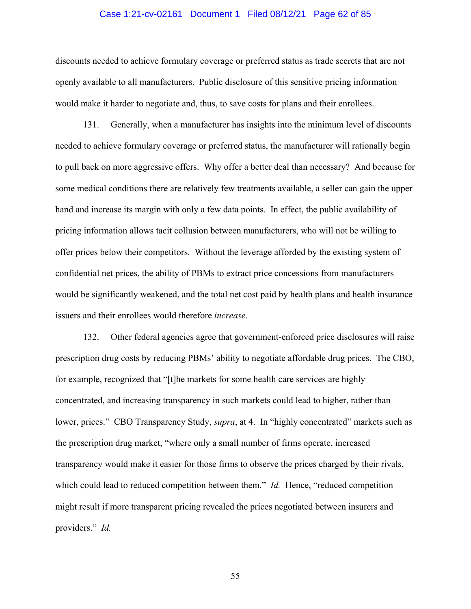#### Case 1:21-cv-02161 Document 1 Filed 08/12/21 Page 62 of 85

discounts needed to achieve formulary coverage or preferred status as trade secrets that are not openly available to all manufacturers. Public disclosure of this sensitive pricing information would make it harder to negotiate and, thus, to save costs for plans and their enrollees.

131. Generally, when a manufacturer has insights into the minimum level of discounts needed to achieve formulary coverage or preferred status, the manufacturer will rationally begin to pull back on more aggressive offers. Why offer a better deal than necessary? And because for some medical conditions there are relatively few treatments available, a seller can gain the upper hand and increase its margin with only a few data points. In effect, the public availability of pricing information allows tacit collusion between manufacturers, who will not be willing to offer prices below their competitors. Without the leverage afforded by the existing system of confidential net prices, the ability of PBMs to extract price concessions from manufacturers would be significantly weakened, and the total net cost paid by health plans and health insurance issuers and their enrollees would therefore *increase*.

132. Other federal agencies agree that government-enforced price disclosures will raise prescription drug costs by reducing PBMs' ability to negotiate affordable drug prices. The CBO, for example, recognized that "[t]he markets for some health care services are highly concentrated, and increasing transparency in such markets could lead to higher, rather than lower, prices." CBO Transparency Study, *supra*, at 4. In "highly concentrated" markets such as the prescription drug market, "where only a small number of firms operate, increased transparency would make it easier for those firms to observe the prices charged by their rivals, which could lead to reduced competition between them." *Id.* Hence, "reduced competition might result if more transparent pricing revealed the prices negotiated between insurers and providers." *Id.*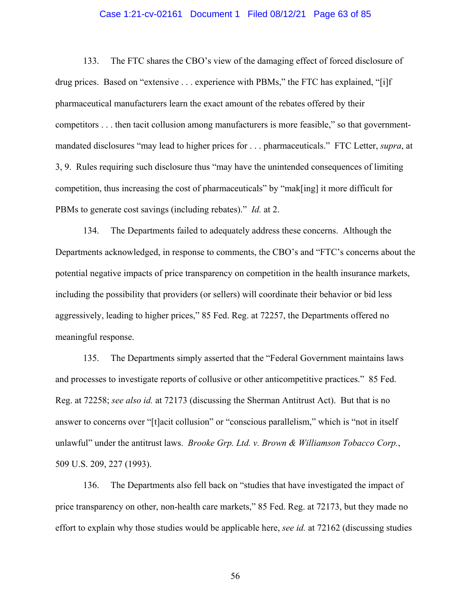#### Case 1:21-cv-02161 Document 1 Filed 08/12/21 Page 63 of 85

133. The FTC shares the CBO's view of the damaging effect of forced disclosure of drug prices. Based on "extensive . . . experience with PBMs," the FTC has explained, "[i]f pharmaceutical manufacturers learn the exact amount of the rebates offered by their competitors . . . then tacit collusion among manufacturers is more feasible," so that governmentmandated disclosures "may lead to higher prices for . . . pharmaceuticals." FTC Letter, *supra*, at 3, 9. Rules requiring such disclosure thus "may have the unintended consequences of limiting competition, thus increasing the cost of pharmaceuticals" by "mak[ing] it more difficult for PBMs to generate cost savings (including rebates)." *Id.* at 2.

134. The Departments failed to adequately address these concerns. Although the Departments acknowledged, in response to comments, the CBO's and "FTC's concerns about the potential negative impacts of price transparency on competition in the health insurance markets, including the possibility that providers (or sellers) will coordinate their behavior or bid less aggressively, leading to higher prices," 85 Fed. Reg. at 72257, the Departments offered no meaningful response.

135. The Departments simply asserted that the "Federal Government maintains laws and processes to investigate reports of collusive or other anticompetitive practices." 85 Fed. Reg. at 72258; *see also id.* at 72173 (discussing the Sherman Antitrust Act). But that is no answer to concerns over "[t]acit collusion" or "conscious parallelism," which is "not in itself unlawful" under the antitrust laws. *Brooke Grp. Ltd. v. Brown & Williamson Tobacco Corp.*, 509 U.S. 209, 227 (1993).

136. The Departments also fell back on "studies that have investigated the impact of price transparency on other, non-health care markets," 85 Fed. Reg. at 72173, but they made no effort to explain why those studies would be applicable here, *see id.* at 72162 (discussing studies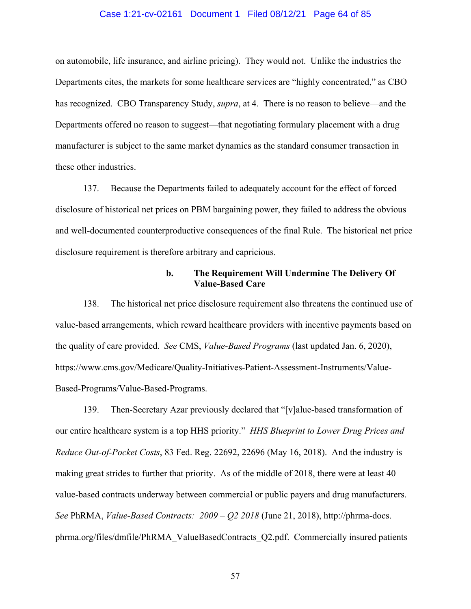#### Case 1:21-cv-02161 Document 1 Filed 08/12/21 Page 64 of 85

on automobile, life insurance, and airline pricing). They would not. Unlike the industries the Departments cites, the markets for some healthcare services are "highly concentrated," as CBO has recognized. CBO Transparency Study, *supra*, at 4. There is no reason to believe—and the Departments offered no reason to suggest—that negotiating formulary placement with a drug manufacturer is subject to the same market dynamics as the standard consumer transaction in these other industries.

137. Because the Departments failed to adequately account for the effect of forced disclosure of historical net prices on PBM bargaining power, they failed to address the obvious and well-documented counterproductive consequences of the final Rule. The historical net price disclosure requirement is therefore arbitrary and capricious.

### **b. The Requirement Will Undermine The Delivery Of Value-Based Care**

138. The historical net price disclosure requirement also threatens the continued use of value-based arrangements, which reward healthcare providers with incentive payments based on the quality of care provided. *See* CMS, *Value-Based Programs* (last updated Jan. 6, 2020), https://www.cms.gov/Medicare/Quality-Initiatives-Patient-Assessment-Instruments/Value-Based-Programs/Value-Based-Programs.

139. Then-Secretary Azar previously declared that "[v]alue-based transformation of our entire healthcare system is a top HHS priority." *HHS Blueprint to Lower Drug Prices and Reduce Out-of-Pocket Costs*, 83 Fed. Reg. 22692, 22696 (May 16, 2018). And the industry is making great strides to further that priority. As of the middle of 2018, there were at least 40 value-based contracts underway between commercial or public payers and drug manufacturers. *See* PhRMA, *Value-Based Contracts: 2009 – Q2 2018* (June 21, 2018), http://phrma-docs. phrma.org/files/dmfile/PhRMA\_ValueBasedContracts\_Q2.pdf. Commercially insured patients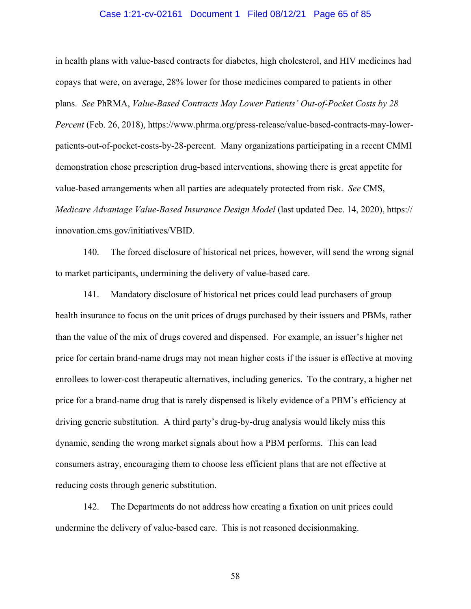#### Case 1:21-cv-02161 Document 1 Filed 08/12/21 Page 65 of 85

in health plans with value-based contracts for diabetes, high cholesterol, and HIV medicines had copays that were, on average, 28% lower for those medicines compared to patients in other plans. *See* PhRMA, *Value-Based Contracts May Lower Patients' Out-of-Pocket Costs by 28 Percent* (Feb. 26, 2018), https://www.phrma.org/press-release/value-based-contracts-may-lowerpatients-out-of-pocket-costs-by-28-percent. Many organizations participating in a recent CMMI demonstration chose prescription drug-based interventions, showing there is great appetite for value-based arrangements when all parties are adequately protected from risk. *See* CMS, *Medicare Advantage Value-Based Insurance Design Model* (last updated Dec. 14, 2020), https:// innovation.cms.gov/initiatives/VBID.

140. The forced disclosure of historical net prices, however, will send the wrong signal to market participants, undermining the delivery of value-based care.

141. Mandatory disclosure of historical net prices could lead purchasers of group health insurance to focus on the unit prices of drugs purchased by their issuers and PBMs, rather than the value of the mix of drugs covered and dispensed. For example, an issuer's higher net price for certain brand-name drugs may not mean higher costs if the issuer is effective at moving enrollees to lower-cost therapeutic alternatives, including generics. To the contrary, a higher net price for a brand-name drug that is rarely dispensed is likely evidence of a PBM's efficiency at driving generic substitution. A third party's drug-by-drug analysis would likely miss this dynamic, sending the wrong market signals about how a PBM performs. This can lead consumers astray, encouraging them to choose less efficient plans that are not effective at reducing costs through generic substitution.

142. The Departments do not address how creating a fixation on unit prices could undermine the delivery of value-based care. This is not reasoned decisionmaking.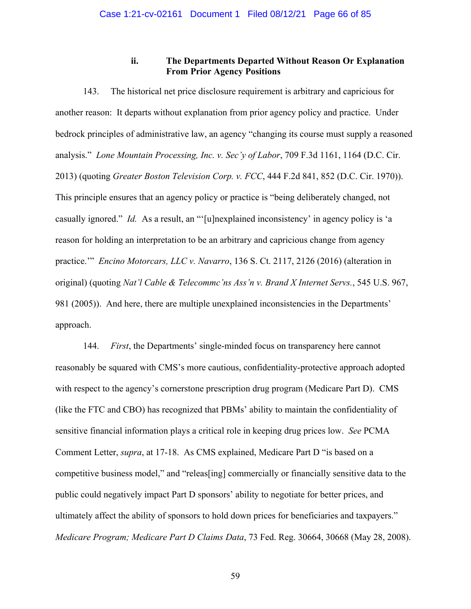**ii. The Departments Departed Without Reason Or Explanation From Prior Agency Positions** 

143. The historical net price disclosure requirement is arbitrary and capricious for another reason: It departs without explanation from prior agency policy and practice. Under bedrock principles of administrative law, an agency "changing its course must supply a reasoned analysis." *Lone Mountain Processing, Inc. v. Sec'y of Labor*, 709 F.3d 1161, 1164 (D.C. Cir. 2013) (quoting *Greater Boston Television Corp. v. FCC*, 444 F.2d 841, 852 (D.C. Cir. 1970)). This principle ensures that an agency policy or practice is "being deliberately changed, not casually ignored." *Id.* As a result, an "'[u]nexplained inconsistency' in agency policy is 'a reason for holding an interpretation to be an arbitrary and capricious change from agency practice.'" *Encino Motorcars, LLC v. Navarro*, 136 S. Ct. 2117, 2126 (2016) (alteration in original) (quoting *Nat'l Cable & Telecommc'ns Ass'n v. Brand X Internet Servs.*, 545 U.S. 967, 981 (2005)). And here, there are multiple unexplained inconsistencies in the Departments' approach.

144. *First*, the Departments' single-minded focus on transparency here cannot reasonably be squared with CMS's more cautious, confidentiality-protective approach adopted with respect to the agency's cornerstone prescription drug program (Medicare Part D). CMS (like the FTC and CBO) has recognized that PBMs' ability to maintain the confidentiality of sensitive financial information plays a critical role in keeping drug prices low. *See* PCMA Comment Letter, *supra*, at 17-18. As CMS explained, Medicare Part D "is based on a competitive business model," and "releas[ing] commercially or financially sensitive data to the public could negatively impact Part D sponsors' ability to negotiate for better prices, and ultimately affect the ability of sponsors to hold down prices for beneficiaries and taxpayers." *Medicare Program; Medicare Part D Claims Data*, 73 Fed. Reg. 30664, 30668 (May 28, 2008).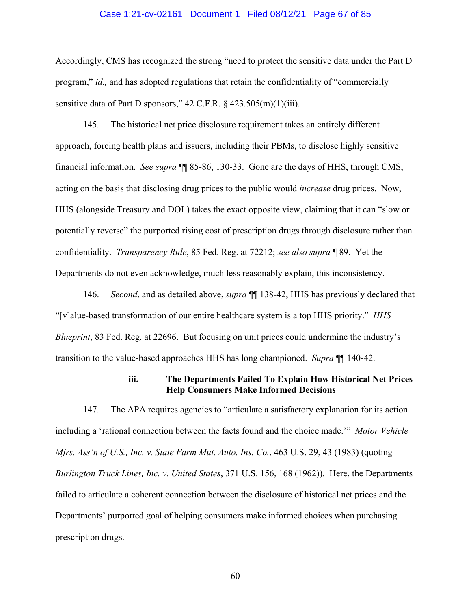#### Case 1:21-cv-02161 Document 1 Filed 08/12/21 Page 67 of 85

Accordingly, CMS has recognized the strong "need to protect the sensitive data under the Part D program," *id.,* and has adopted regulations that retain the confidentiality of "commercially sensitive data of Part D sponsors,"  $42$  C.F.R.  $\S$   $423.505(m)(1)(iii)$ .

145. The historical net price disclosure requirement takes an entirely different approach, forcing health plans and issuers, including their PBMs, to disclose highly sensitive financial information. *See supra* ¶¶ 85-86, 130-33. Gone are the days of HHS, through CMS, acting on the basis that disclosing drug prices to the public would *increase* drug prices. Now, HHS (alongside Treasury and DOL) takes the exact opposite view, claiming that it can "slow or potentially reverse" the purported rising cost of prescription drugs through disclosure rather than confidentiality. *Transparency Rule*, 85 Fed. Reg. at 72212; *see also supra* ¶ 89. Yet the Departments do not even acknowledge, much less reasonably explain, this inconsistency.

146. *Second*, and as detailed above, *supra* ¶¶ 138-42, HHS has previously declared that "[v]alue-based transformation of our entire healthcare system is a top HHS priority." *HHS Blueprint*, 83 Fed. Reg. at 22696. But focusing on unit prices could undermine the industry's transition to the value-based approaches HHS has long championed. *Supra* ¶¶ 140-42.

## **iii. The Departments Failed To Explain How Historical Net Prices Help Consumers Make Informed Decisions**

147. The APA requires agencies to "articulate a satisfactory explanation for its action including a 'rational connection between the facts found and the choice made.'" *Motor Vehicle Mfrs. Ass'n of U.S., Inc. v. State Farm Mut. Auto. Ins. Co.*, 463 U.S. 29, 43 (1983) (quoting *Burlington Truck Lines, Inc. v. United States*, 371 U.S. 156, 168 (1962)). Here, the Departments failed to articulate a coherent connection between the disclosure of historical net prices and the Departments' purported goal of helping consumers make informed choices when purchasing prescription drugs.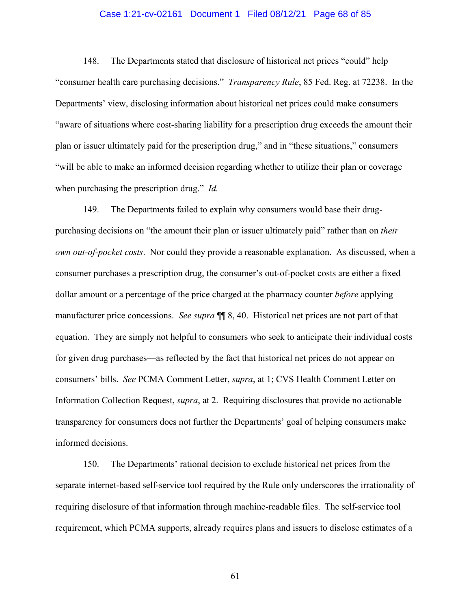#### Case 1:21-cv-02161 Document 1 Filed 08/12/21 Page 68 of 85

148. The Departments stated that disclosure of historical net prices "could" help "consumer health care purchasing decisions." *Transparency Rule*, 85 Fed. Reg. at 72238. In the Departments' view, disclosing information about historical net prices could make consumers "aware of situations where cost-sharing liability for a prescription drug exceeds the amount their plan or issuer ultimately paid for the prescription drug," and in "these situations," consumers "will be able to make an informed decision regarding whether to utilize their plan or coverage when purchasing the prescription drug." *Id.*

149. The Departments failed to explain why consumers would base their drugpurchasing decisions on "the amount their plan or issuer ultimately paid" rather than on *their own out-of-pocket costs*. Nor could they provide a reasonable explanation. As discussed, when a consumer purchases a prescription drug, the consumer's out-of-pocket costs are either a fixed dollar amount or a percentage of the price charged at the pharmacy counter *before* applying manufacturer price concessions. *See supra* ¶¶ 8, 40. Historical net prices are not part of that equation. They are simply not helpful to consumers who seek to anticipate their individual costs for given drug purchases—as reflected by the fact that historical net prices do not appear on consumers' bills. *See* PCMA Comment Letter, *supra*, at 1; CVS Health Comment Letter on Information Collection Request, *supra*, at 2. Requiring disclosures that provide no actionable transparency for consumers does not further the Departments' goal of helping consumers make informed decisions.

150. The Departments' rational decision to exclude historical net prices from the separate internet-based self-service tool required by the Rule only underscores the irrationality of requiring disclosure of that information through machine-readable files. The self-service tool requirement, which PCMA supports, already requires plans and issuers to disclose estimates of a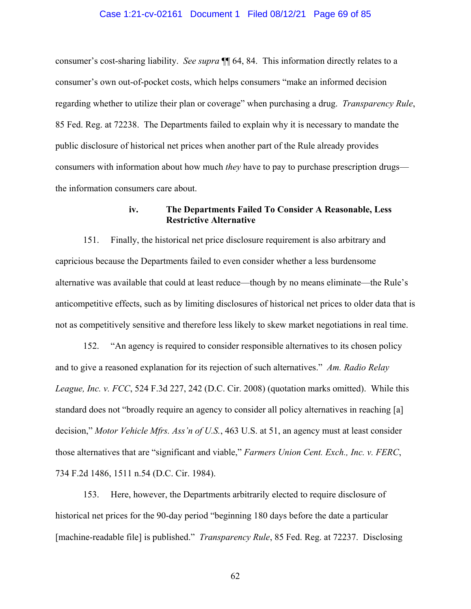#### Case 1:21-cv-02161 Document 1 Filed 08/12/21 Page 69 of 85

consumer's cost-sharing liability. *See supra* ¶¶ 64, 84. This information directly relates to a consumer's own out-of-pocket costs, which helps consumers "make an informed decision regarding whether to utilize their plan or coverage" when purchasing a drug. *Transparency Rule*, 85 Fed. Reg. at 72238. The Departments failed to explain why it is necessary to mandate the public disclosure of historical net prices when another part of the Rule already provides consumers with information about how much *they* have to pay to purchase prescription drugs the information consumers care about.

### **iv. The Departments Failed To Consider A Reasonable, Less Restrictive Alternative**

151. Finally, the historical net price disclosure requirement is also arbitrary and capricious because the Departments failed to even consider whether a less burdensome alternative was available that could at least reduce—though by no means eliminate—the Rule's anticompetitive effects, such as by limiting disclosures of historical net prices to older data that is not as competitively sensitive and therefore less likely to skew market negotiations in real time.

152. "An agency is required to consider responsible alternatives to its chosen policy and to give a reasoned explanation for its rejection of such alternatives." *Am. Radio Relay League, Inc. v. FCC*, 524 F.3d 227, 242 (D.C. Cir. 2008) (quotation marks omitted). While this standard does not "broadly require an agency to consider all policy alternatives in reaching [a] decision," *Motor Vehicle Mfrs. Ass'n of U.S.*, 463 U.S. at 51, an agency must at least consider those alternatives that are "significant and viable," *Farmers Union Cent. Exch., Inc. v. FERC*, 734 F.2d 1486, 1511 n.54 (D.C. Cir. 1984).

153. Here, however, the Departments arbitrarily elected to require disclosure of historical net prices for the 90-day period "beginning 180 days before the date a particular [machine-readable file] is published." *Transparency Rule*, 85 Fed. Reg. at 72237. Disclosing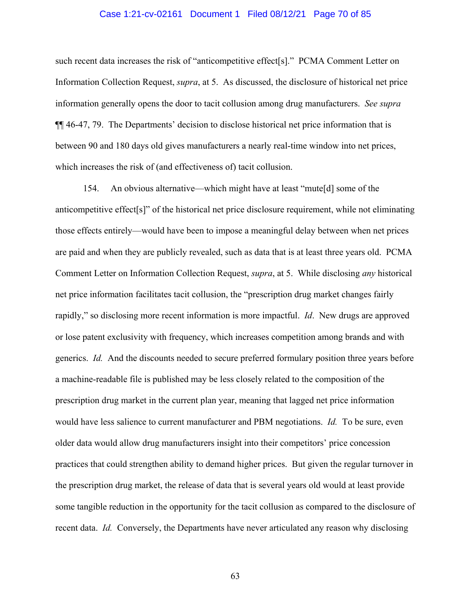#### Case 1:21-cv-02161 Document 1 Filed 08/12/21 Page 70 of 85

such recent data increases the risk of "anticompetitive effect[s]." PCMA Comment Letter on Information Collection Request, *supra*, at 5. As discussed, the disclosure of historical net price information generally opens the door to tacit collusion among drug manufacturers. *See supra* ¶¶ 46-47, 79. The Departments' decision to disclose historical net price information that is between 90 and 180 days old gives manufacturers a nearly real-time window into net prices, which increases the risk of (and effectiveness of) tacit collusion.

154. An obvious alternative—which might have at least "mute[d] some of the anticompetitive effect[s]" of the historical net price disclosure requirement, while not eliminating those effects entirely—would have been to impose a meaningful delay between when net prices are paid and when they are publicly revealed, such as data that is at least three years old. PCMA Comment Letter on Information Collection Request, *supra*, at 5. While disclosing *any* historical net price information facilitates tacit collusion, the "prescription drug market changes fairly rapidly," so disclosing more recent information is more impactful. *Id*. New drugs are approved or lose patent exclusivity with frequency, which increases competition among brands and with generics. *Id.* And the discounts needed to secure preferred formulary position three years before a machine-readable file is published may be less closely related to the composition of the prescription drug market in the current plan year, meaning that lagged net price information would have less salience to current manufacturer and PBM negotiations. *Id.* To be sure, even older data would allow drug manufacturers insight into their competitors' price concession practices that could strengthen ability to demand higher prices. But given the regular turnover in the prescription drug market, the release of data that is several years old would at least provide some tangible reduction in the opportunity for the tacit collusion as compared to the disclosure of recent data. *Id.* Conversely, the Departments have never articulated any reason why disclosing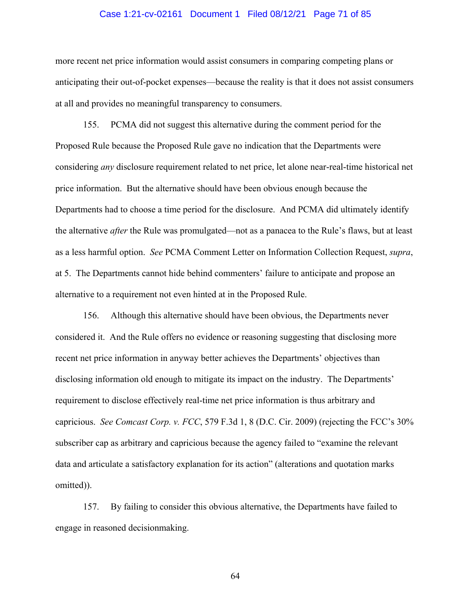#### Case 1:21-cv-02161 Document 1 Filed 08/12/21 Page 71 of 85

more recent net price information would assist consumers in comparing competing plans or anticipating their out-of-pocket expenses—because the reality is that it does not assist consumers at all and provides no meaningful transparency to consumers.

155. PCMA did not suggest this alternative during the comment period for the Proposed Rule because the Proposed Rule gave no indication that the Departments were considering *any* disclosure requirement related to net price, let alone near-real-time historical net price information. But the alternative should have been obvious enough because the Departments had to choose a time period for the disclosure. And PCMA did ultimately identify the alternative *after* the Rule was promulgated—not as a panacea to the Rule's flaws, but at least as a less harmful option. *See* PCMA Comment Letter on Information Collection Request, *supra*, at 5. The Departments cannot hide behind commenters' failure to anticipate and propose an alternative to a requirement not even hinted at in the Proposed Rule.

156. Although this alternative should have been obvious, the Departments never considered it. And the Rule offers no evidence or reasoning suggesting that disclosing more recent net price information in anyway better achieves the Departments' objectives than disclosing information old enough to mitigate its impact on the industry. The Departments' requirement to disclose effectively real-time net price information is thus arbitrary and capricious. *See Comcast Corp. v. FCC*, 579 F.3d 1, 8 (D.C. Cir. 2009) (rejecting the FCC's 30% subscriber cap as arbitrary and capricious because the agency failed to "examine the relevant data and articulate a satisfactory explanation for its action" (alterations and quotation marks omitted)).

157. By failing to consider this obvious alternative, the Departments have failed to engage in reasoned decisionmaking.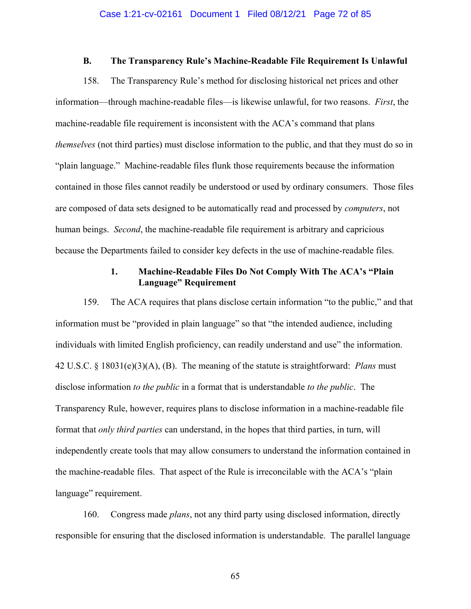### **B. The Transparency Rule's Machine-Readable File Requirement Is Unlawful**

158. The Transparency Rule's method for disclosing historical net prices and other information—through machine-readable files—is likewise unlawful, for two reasons. *First*, the machine-readable file requirement is inconsistent with the ACA's command that plans *themselves* (not third parties) must disclose information to the public, and that they must do so in "plain language." Machine-readable files flunk those requirements because the information contained in those files cannot readily be understood or used by ordinary consumers. Those files are composed of data sets designed to be automatically read and processed by *computers*, not human beings. *Second*, the machine-readable file requirement is arbitrary and capricious because the Departments failed to consider key defects in the use of machine-readable files.

## **1. Machine-Readable Files Do Not Comply With The ACA's "Plain Language" Requirement**

159. The ACA requires that plans disclose certain information "to the public," and that information must be "provided in plain language" so that "the intended audience, including individuals with limited English proficiency, can readily understand and use" the information. 42 U.S.C. § 18031(e)(3)(A), (B). The meaning of the statute is straightforward: *Plans* must disclose information *to the public* in a format that is understandable *to the public*. The Transparency Rule, however, requires plans to disclose information in a machine-readable file format that *only third parties* can understand, in the hopes that third parties, in turn, will independently create tools that may allow consumers to understand the information contained in the machine-readable files. That aspect of the Rule is irreconcilable with the ACA's "plain language" requirement.

160. Congress made *plans*, not any third party using disclosed information, directly responsible for ensuring that the disclosed information is understandable. The parallel language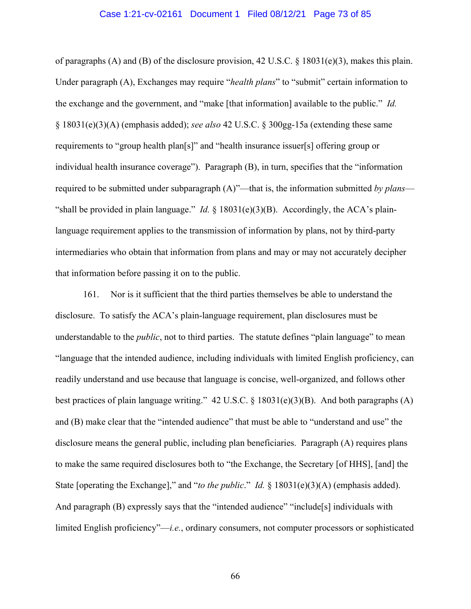#### Case 1:21-cv-02161 Document 1 Filed 08/12/21 Page 73 of 85

of paragraphs (A) and (B) of the disclosure provision, 42 U.S.C. § 18031(e)(3), makes this plain. Under paragraph (A), Exchanges may require "*health plans*" to "submit" certain information to the exchange and the government, and "make [that information] available to the public." *Id.* § 18031(e)(3)(A) (emphasis added); *see also* 42 U.S.C. § 300gg-15a (extending these same requirements to "group health plan[s]" and "health insurance issuer[s] offering group or individual health insurance coverage"). Paragraph (B), in turn, specifies that the "information required to be submitted under subparagraph (A)"—that is, the information submitted *by plans*— "shall be provided in plain language." *Id.* § 18031(e)(3)(B). Accordingly, the ACA's plainlanguage requirement applies to the transmission of information by plans, not by third-party intermediaries who obtain that information from plans and may or may not accurately decipher that information before passing it on to the public.

161. Nor is it sufficient that the third parties themselves be able to understand the disclosure. To satisfy the ACA's plain-language requirement, plan disclosures must be understandable to the *public*, not to third parties. The statute defines "plain language" to mean "language that the intended audience, including individuals with limited English proficiency, can readily understand and use because that language is concise, well-organized, and follows other best practices of plain language writing." 42 U.S.C. § 18031(e)(3)(B). And both paragraphs (A) and (B) make clear that the "intended audience" that must be able to "understand and use" the disclosure means the general public, including plan beneficiaries. Paragraph (A) requires plans to make the same required disclosures both to "the Exchange, the Secretary [of HHS], [and] the State [operating the Exchange]," and "*to the public*." *Id.* § 18031(e)(3)(A) (emphasis added). And paragraph (B) expressly says that the "intended audience" "include<sup>[s]</sup> individuals with limited English proficiency"—*i.e.*, ordinary consumers, not computer processors or sophisticated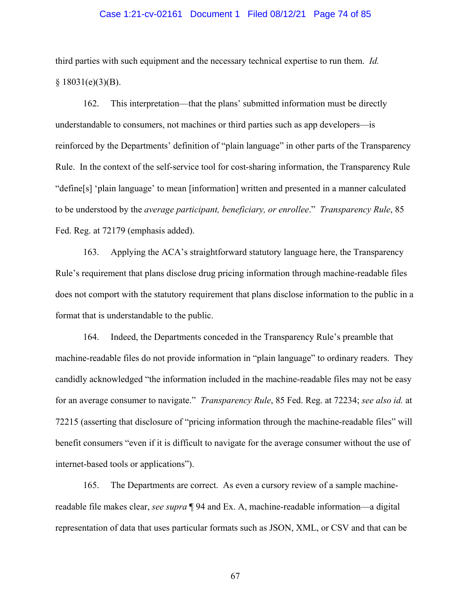#### Case 1:21-cv-02161 Document 1 Filed 08/12/21 Page 74 of 85

third parties with such equipment and the necessary technical expertise to run them. *Id.*  $§ 18031(e)(3)(B).$ 

162. This interpretation—that the plans' submitted information must be directly understandable to consumers, not machines or third parties such as app developers—is reinforced by the Departments' definition of "plain language" in other parts of the Transparency Rule. In the context of the self-service tool for cost-sharing information, the Transparency Rule "define[s] 'plain language' to mean [information] written and presented in a manner calculated to be understood by the *average participant, beneficiary, or enrollee*." *Transparency Rule*, 85 Fed. Reg. at 72179 (emphasis added).

163. Applying the ACA's straightforward statutory language here, the Transparency Rule's requirement that plans disclose drug pricing information through machine-readable files does not comport with the statutory requirement that plans disclose information to the public in a format that is understandable to the public.

164. Indeed, the Departments conceded in the Transparency Rule's preamble that machine-readable files do not provide information in "plain language" to ordinary readers. They candidly acknowledged "the information included in the machine-readable files may not be easy for an average consumer to navigate." *Transparency Rule*, 85 Fed. Reg. at 72234; *see also id.* at 72215 (asserting that disclosure of "pricing information through the machine-readable files" will benefit consumers "even if it is difficult to navigate for the average consumer without the use of internet-based tools or applications").

165. The Departments are correct. As even a cursory review of a sample machinereadable file makes clear, *see supra* ¶ 94 and Ex. A, machine-readable information—a digital representation of data that uses particular formats such as JSON, XML, or CSV and that can be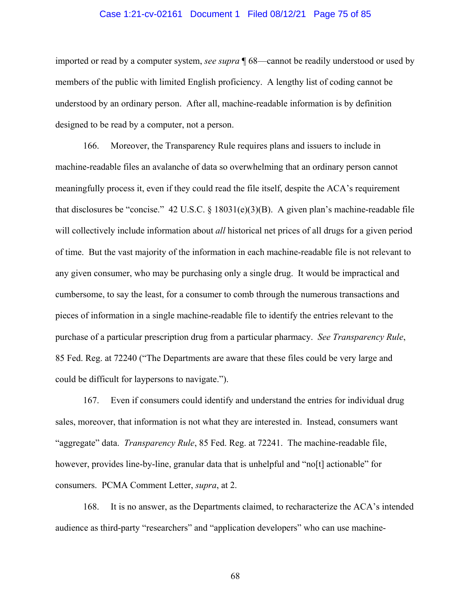#### Case 1:21-cv-02161 Document 1 Filed 08/12/21 Page 75 of 85

imported or read by a computer system, *see supra* ¶ 68—cannot be readily understood or used by members of the public with limited English proficiency. A lengthy list of coding cannot be understood by an ordinary person. After all, machine-readable information is by definition designed to be read by a computer, not a person.

166. Moreover, the Transparency Rule requires plans and issuers to include in machine-readable files an avalanche of data so overwhelming that an ordinary person cannot meaningfully process it, even if they could read the file itself, despite the ACA's requirement that disclosures be "concise." 42 U.S.C. § 18031(e)(3)(B). A given plan's machine-readable file will collectively include information about *all* historical net prices of all drugs for a given period of time. But the vast majority of the information in each machine-readable file is not relevant to any given consumer, who may be purchasing only a single drug. It would be impractical and cumbersome, to say the least, for a consumer to comb through the numerous transactions and pieces of information in a single machine-readable file to identify the entries relevant to the purchase of a particular prescription drug from a particular pharmacy. *See Transparency Rule*, 85 Fed. Reg. at 72240 ("The Departments are aware that these files could be very large and could be difficult for laypersons to navigate.").

167. Even if consumers could identify and understand the entries for individual drug sales, moreover, that information is not what they are interested in. Instead, consumers want "aggregate" data. *Transparency Rule*, 85 Fed. Reg. at 72241. The machine-readable file, however, provides line-by-line, granular data that is unhelpful and "no<sup>[t]</sup> actionable" for consumers. PCMA Comment Letter, *supra*, at 2.

168. It is no answer, as the Departments claimed, to recharacterize the ACA's intended audience as third-party "researchers" and "application developers" who can use machine-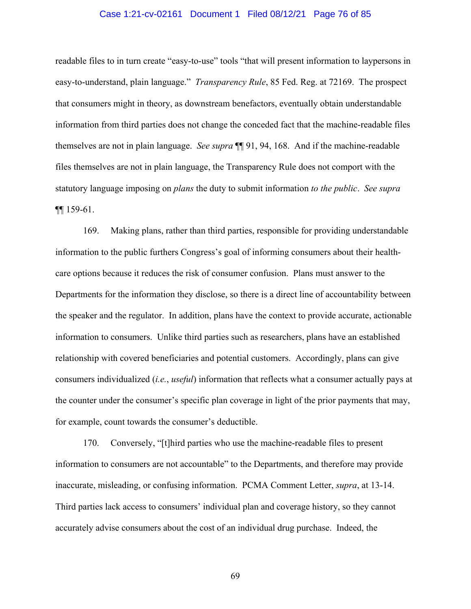#### Case 1:21-cv-02161 Document 1 Filed 08/12/21 Page 76 of 85

readable files to in turn create "easy-to-use" tools "that will present information to laypersons in easy-to-understand, plain language." *Transparency Rule*, 85 Fed. Reg. at 72169. The prospect that consumers might in theory, as downstream benefactors, eventually obtain understandable information from third parties does not change the conceded fact that the machine-readable files themselves are not in plain language. *See supra* ¶¶ 91, 94, 168. And if the machine-readable files themselves are not in plain language, the Transparency Rule does not comport with the statutory language imposing on *plans* the duty to submit information *to the public*. *See supra* ¶¶ 159-61.

169. Making plans, rather than third parties, responsible for providing understandable information to the public furthers Congress's goal of informing consumers about their healthcare options because it reduces the risk of consumer confusion. Plans must answer to the Departments for the information they disclose, so there is a direct line of accountability between the speaker and the regulator. In addition, plans have the context to provide accurate, actionable information to consumers. Unlike third parties such as researchers, plans have an established relationship with covered beneficiaries and potential customers. Accordingly, plans can give consumers individualized (*i.e.*, *useful*) information that reflects what a consumer actually pays at the counter under the consumer's specific plan coverage in light of the prior payments that may, for example, count towards the consumer's deductible.

170. Conversely, "[t]hird parties who use the machine-readable files to present information to consumers are not accountable" to the Departments, and therefore may provide inaccurate, misleading, or confusing information. PCMA Comment Letter, *supra*, at 13-14. Third parties lack access to consumers' individual plan and coverage history, so they cannot accurately advise consumers about the cost of an individual drug purchase. Indeed, the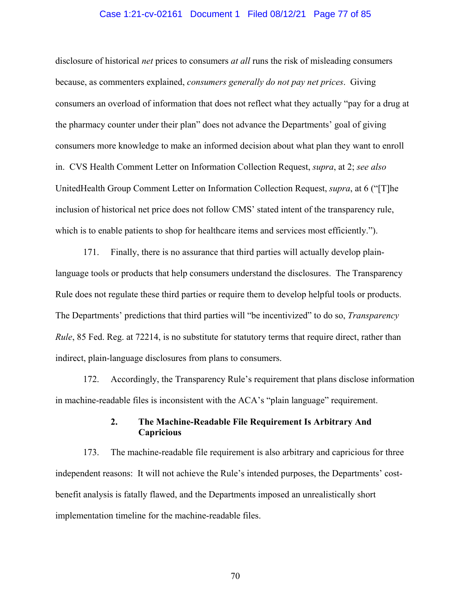#### Case 1:21-cv-02161 Document 1 Filed 08/12/21 Page 77 of 85

disclosure of historical *net* prices to consumers *at all* runs the risk of misleading consumers because, as commenters explained, *consumers generally do not pay net prices*. Giving consumers an overload of information that does not reflect what they actually "pay for a drug at the pharmacy counter under their plan" does not advance the Departments' goal of giving consumers more knowledge to make an informed decision about what plan they want to enroll in. CVS Health Comment Letter on Information Collection Request, *supra*, at 2; *see also* UnitedHealth Group Comment Letter on Information Collection Request, *supra*, at 6 ("[T]he inclusion of historical net price does not follow CMS' stated intent of the transparency rule, which is to enable patients to shop for healthcare items and services most efficiently.").

171. Finally, there is no assurance that third parties will actually develop plainlanguage tools or products that help consumers understand the disclosures. The Transparency Rule does not regulate these third parties or require them to develop helpful tools or products. The Departments' predictions that third parties will "be incentivized" to do so, *Transparency Rule*, 85 Fed. Reg. at 72214, is no substitute for statutory terms that require direct, rather than indirect, plain-language disclosures from plans to consumers.

172. Accordingly, the Transparency Rule's requirement that plans disclose information in machine-readable files is inconsistent with the ACA's "plain language" requirement.

# **2. The Machine-Readable File Requirement Is Arbitrary And Capricious**

173. The machine-readable file requirement is also arbitrary and capricious for three independent reasons: It will not achieve the Rule's intended purposes, the Departments' costbenefit analysis is fatally flawed, and the Departments imposed an unrealistically short implementation timeline for the machine-readable files.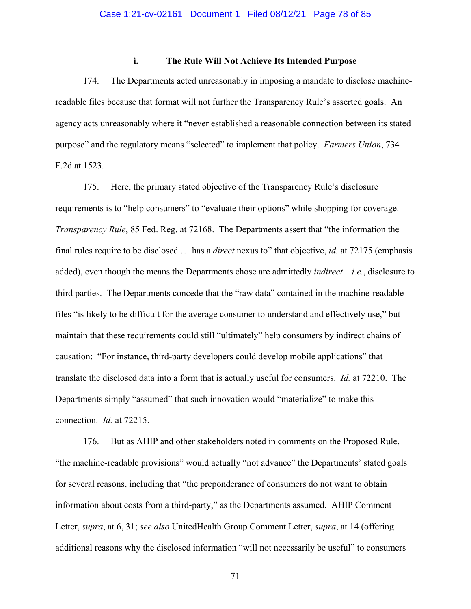## **i. The Rule Will Not Achieve Its Intended Purpose**

174. The Departments acted unreasonably in imposing a mandate to disclose machinereadable files because that format will not further the Transparency Rule's asserted goals. An agency acts unreasonably where it "never established a reasonable connection between its stated purpose" and the regulatory means "selected" to implement that policy. *Farmers Union*, 734 F.2d at 1523.

175. Here, the primary stated objective of the Transparency Rule's disclosure requirements is to "help consumers" to "evaluate their options" while shopping for coverage. *Transparency Rule*, 85 Fed. Reg. at 72168. The Departments assert that "the information the final rules require to be disclosed … has a *direct* nexus to" that objective, *id.* at 72175 (emphasis added), even though the means the Departments chose are admittedly *indirect*—*i.e*., disclosure to third parties. The Departments concede that the "raw data" contained in the machine-readable files "is likely to be difficult for the average consumer to understand and effectively use," but maintain that these requirements could still "ultimately" help consumers by indirect chains of causation: "For instance, third-party developers could develop mobile applications" that translate the disclosed data into a form that is actually useful for consumers. *Id.* at 72210. The Departments simply "assumed" that such innovation would "materialize" to make this connection. *Id.* at 72215.

176. But as AHIP and other stakeholders noted in comments on the Proposed Rule, "the machine-readable provisions" would actually "not advance" the Departments' stated goals for several reasons, including that "the preponderance of consumers do not want to obtain information about costs from a third-party," as the Departments assumed. AHIP Comment Letter, *supra*, at 6, 31; *see also* UnitedHealth Group Comment Letter, *supra*, at 14 (offering additional reasons why the disclosed information "will not necessarily be useful" to consumers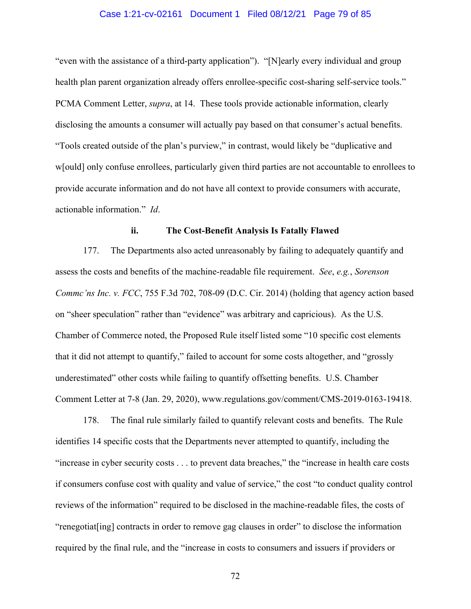#### Case 1:21-cv-02161 Document 1 Filed 08/12/21 Page 79 of 85

"even with the assistance of a third-party application"). "[N]early every individual and group health plan parent organization already offers enrollee-specific cost-sharing self-service tools." PCMA Comment Letter, *supra*, at 14. These tools provide actionable information, clearly disclosing the amounts a consumer will actually pay based on that consumer's actual benefits. "Tools created outside of the plan's purview," in contrast, would likely be "duplicative and w[ould] only confuse enrollees, particularly given third parties are not accountable to enrollees to provide accurate information and do not have all context to provide consumers with accurate, actionable information." *Id*.

## **ii. The Cost-Benefit Analysis Is Fatally Flawed**

177. The Departments also acted unreasonably by failing to adequately quantify and assess the costs and benefits of the machine-readable file requirement. *See*, *e.g.*, *Sorenson Commc'ns Inc. v. FCC*, 755 F.3d 702, 708-09 (D.C. Cir. 2014) (holding that agency action based on "sheer speculation" rather than "evidence" was arbitrary and capricious). As the U.S. Chamber of Commerce noted, the Proposed Rule itself listed some "10 specific cost elements that it did not attempt to quantify," failed to account for some costs altogether, and "grossly underestimated" other costs while failing to quantify offsetting benefits. U.S. Chamber Comment Letter at 7-8 (Jan. 29, 2020), www.regulations.gov/comment/CMS-2019-0163-19418.

178. The final rule similarly failed to quantify relevant costs and benefits. The Rule identifies 14 specific costs that the Departments never attempted to quantify, including the "increase in cyber security costs . . . to prevent data breaches," the "increase in health care costs if consumers confuse cost with quality and value of service," the cost "to conduct quality control reviews of the information" required to be disclosed in the machine-readable files, the costs of "renegotiat[ing] contracts in order to remove gag clauses in order" to disclose the information required by the final rule, and the "increase in costs to consumers and issuers if providers or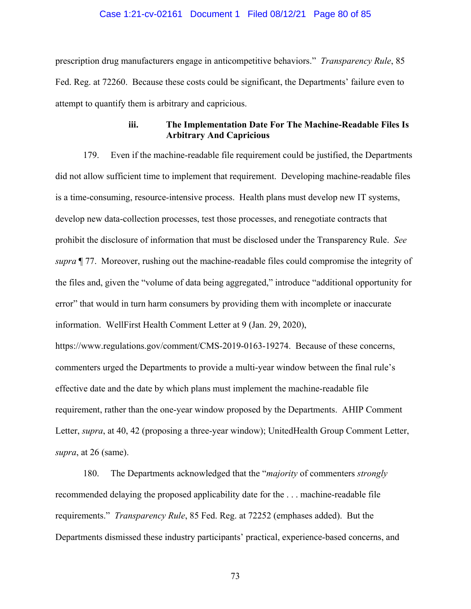#### Case 1:21-cv-02161 Document 1 Filed 08/12/21 Page 80 of 85

prescription drug manufacturers engage in anticompetitive behaviors." *Transparency Rule*, 85 Fed. Reg. at 72260. Because these costs could be significant, the Departments' failure even to attempt to quantify them is arbitrary and capricious.

## **iii. The Implementation Date For The Machine-Readable Files Is Arbitrary And Capricious**

179. Even if the machine-readable file requirement could be justified, the Departments did not allow sufficient time to implement that requirement. Developing machine-readable files is a time-consuming, resource-intensive process. Health plans must develop new IT systems, develop new data-collection processes, test those processes, and renegotiate contracts that prohibit the disclosure of information that must be disclosed under the Transparency Rule. *See supra* ¶ 77. Moreover, rushing out the machine-readable files could compromise the integrity of the files and, given the "volume of data being aggregated," introduce "additional opportunity for error" that would in turn harm consumers by providing them with incomplete or inaccurate information. WellFirst Health Comment Letter at 9 (Jan. 29, 2020),

https://www.regulations.gov/comment/CMS-2019-0163-19274. Because of these concerns, commenters urged the Departments to provide a multi-year window between the final rule's effective date and the date by which plans must implement the machine-readable file requirement, rather than the one-year window proposed by the Departments. AHIP Comment Letter, *supra*, at 40, 42 (proposing a three-year window); UnitedHealth Group Comment Letter, *supra*, at 26 (same).

180. The Departments acknowledged that the "*majority* of commenters *strongly* recommended delaying the proposed applicability date for the . . . machine-readable file requirements." *Transparency Rule*, 85 Fed. Reg. at 72252 (emphases added). But the Departments dismissed these industry participants' practical, experience-based concerns, and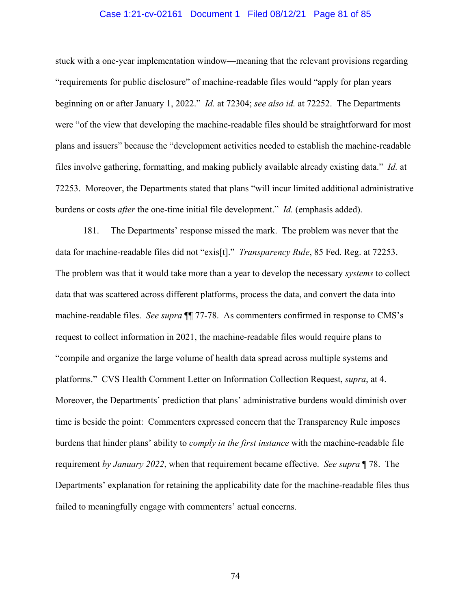#### Case 1:21-cv-02161 Document 1 Filed 08/12/21 Page 81 of 85

stuck with a one-year implementation window—meaning that the relevant provisions regarding "requirements for public disclosure" of machine-readable files would "apply for plan years beginning on or after January 1, 2022." *Id.* at 72304; *see also id.* at 72252. The Departments were "of the view that developing the machine-readable files should be straightforward for most plans and issuers" because the "development activities needed to establish the machine-readable files involve gathering, formatting, and making publicly available already existing data." *Id.* at 72253. Moreover, the Departments stated that plans "will incur limited additional administrative burdens or costs *after* the one-time initial file development." *Id.* (emphasis added).

181. The Departments' response missed the mark. The problem was never that the data for machine-readable files did not "exis[t]." *Transparency Rule*, 85 Fed. Reg. at 72253. The problem was that it would take more than a year to develop the necessary *systems* to collect data that was scattered across different platforms, process the data, and convert the data into machine-readable files. *See supra* ¶¶ 77-78. As commenters confirmed in response to CMS's request to collect information in 2021, the machine-readable files would require plans to "compile and organize the large volume of health data spread across multiple systems and platforms." CVS Health Comment Letter on Information Collection Request, *supra*, at 4. Moreover, the Departments' prediction that plans' administrative burdens would diminish over time is beside the point: Commenters expressed concern that the Transparency Rule imposes burdens that hinder plans' ability to *comply in the first instance* with the machine-readable file requirement *by January 2022*, when that requirement became effective. *See supra* ¶ 78. The Departments' explanation for retaining the applicability date for the machine-readable files thus failed to meaningfully engage with commenters' actual concerns.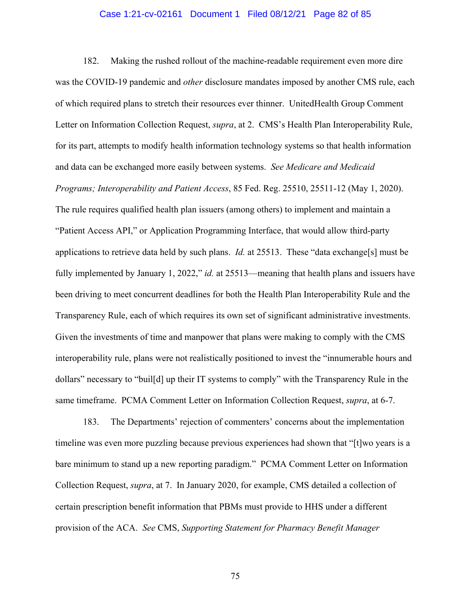#### Case 1:21-cv-02161 Document 1 Filed 08/12/21 Page 82 of 85

182. Making the rushed rollout of the machine-readable requirement even more dire was the COVID-19 pandemic and *other* disclosure mandates imposed by another CMS rule, each of which required plans to stretch their resources ever thinner. UnitedHealth Group Comment Letter on Information Collection Request, *supra*, at 2. CMS's Health Plan Interoperability Rule, for its part, attempts to modify health information technology systems so that health information and data can be exchanged more easily between systems. *See Medicare and Medicaid Programs; Interoperability and Patient Access*, 85 Fed. Reg. 25510, 25511-12 (May 1, 2020). The rule requires qualified health plan issuers (among others) to implement and maintain a "Patient Access API," or Application Programming Interface, that would allow third-party applications to retrieve data held by such plans. *Id.* at 25513. These "data exchange[s] must be fully implemented by January 1, 2022," *id.* at 25513—meaning that health plans and issuers have been driving to meet concurrent deadlines for both the Health Plan Interoperability Rule and the Transparency Rule, each of which requires its own set of significant administrative investments. Given the investments of time and manpower that plans were making to comply with the CMS interoperability rule, plans were not realistically positioned to invest the "innumerable hours and dollars" necessary to "buil[d] up their IT systems to comply" with the Transparency Rule in the same timeframe. PCMA Comment Letter on Information Collection Request, *supra*, at 6-7.

183. The Departments' rejection of commenters' concerns about the implementation timeline was even more puzzling because previous experiences had shown that "[t]wo years is a bare minimum to stand up a new reporting paradigm." PCMA Comment Letter on Information Collection Request, *supra*, at 7. In January 2020, for example, CMS detailed a collection of certain prescription benefit information that PBMs must provide to HHS under a different provision of the ACA. *See* CMS, *Supporting Statement for Pharmacy Benefit Manager*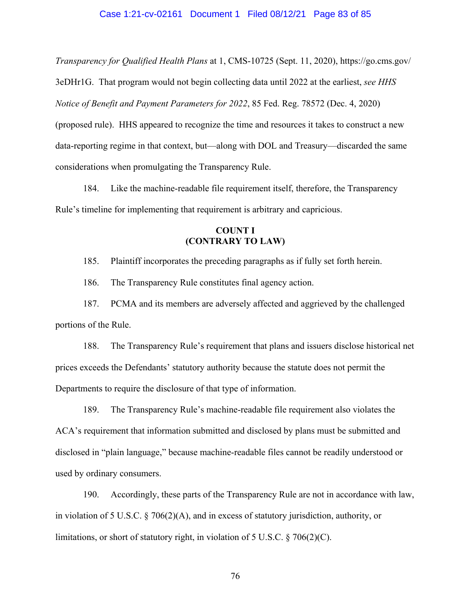#### Case 1:21-cv-02161 Document 1 Filed 08/12/21 Page 83 of 85

*Transparency for Qualified Health Plans* at 1, CMS-10725 (Sept. 11, 2020), https://go.cms.gov/ 3eDHr1G. That program would not begin collecting data until 2022 at the earliest, *see HHS Notice of Benefit and Payment Parameters for 2022*, 85 Fed. Reg. 78572 (Dec. 4, 2020) (proposed rule). HHS appeared to recognize the time and resources it takes to construct a new data-reporting regime in that context, but—along with DOL and Treasury—discarded the same considerations when promulgating the Transparency Rule.

184. Like the machine-readable file requirement itself, therefore, the Transparency Rule's timeline for implementing that requirement is arbitrary and capricious.

# **COUNT I (CONTRARY TO LAW)**

185. Plaintiff incorporates the preceding paragraphs as if fully set forth herein.

186. The Transparency Rule constitutes final agency action.

187. PCMA and its members are adversely affected and aggrieved by the challenged portions of the Rule.

188. The Transparency Rule's requirement that plans and issuers disclose historical net prices exceeds the Defendants' statutory authority because the statute does not permit the Departments to require the disclosure of that type of information.

189. The Transparency Rule's machine-readable file requirement also violates the ACA's requirement that information submitted and disclosed by plans must be submitted and disclosed in "plain language," because machine-readable files cannot be readily understood or used by ordinary consumers.

190. Accordingly, these parts of the Transparency Rule are not in accordance with law, in violation of 5 U.S.C. § 706(2)(A), and in excess of statutory jurisdiction, authority, or limitations, or short of statutory right, in violation of 5 U.S.C. § 706(2)(C).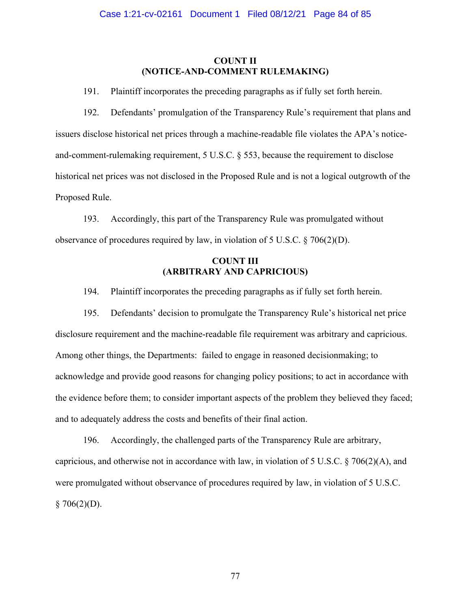### **COUNT II (NOTICE-AND-COMMENT RULEMAKING)**

191. Plaintiff incorporates the preceding paragraphs as if fully set forth herein.

192. Defendants' promulgation of the Transparency Rule's requirement that plans and issuers disclose historical net prices through a machine-readable file violates the APA's noticeand-comment-rulemaking requirement, 5 U.S.C. § 553, because the requirement to disclose historical net prices was not disclosed in the Proposed Rule and is not a logical outgrowth of the Proposed Rule.

193. Accordingly, this part of the Transparency Rule was promulgated without observance of procedures required by law, in violation of 5 U.S.C.  $\S$  706(2)(D).

# **COUNT III (ARBITRARY AND CAPRICIOUS)**

194. Plaintiff incorporates the preceding paragraphs as if fully set forth herein.

195. Defendants' decision to promulgate the Transparency Rule's historical net price disclosure requirement and the machine-readable file requirement was arbitrary and capricious. Among other things, the Departments: failed to engage in reasoned decisionmaking; to acknowledge and provide good reasons for changing policy positions; to act in accordance with the evidence before them; to consider important aspects of the problem they believed they faced; and to adequately address the costs and benefits of their final action.

196. Accordingly, the challenged parts of the Transparency Rule are arbitrary, capricious, and otherwise not in accordance with law, in violation of 5 U.S.C. § 706(2)(A), and were promulgated without observance of procedures required by law, in violation of 5 U.S.C.  $$706(2)(D).$